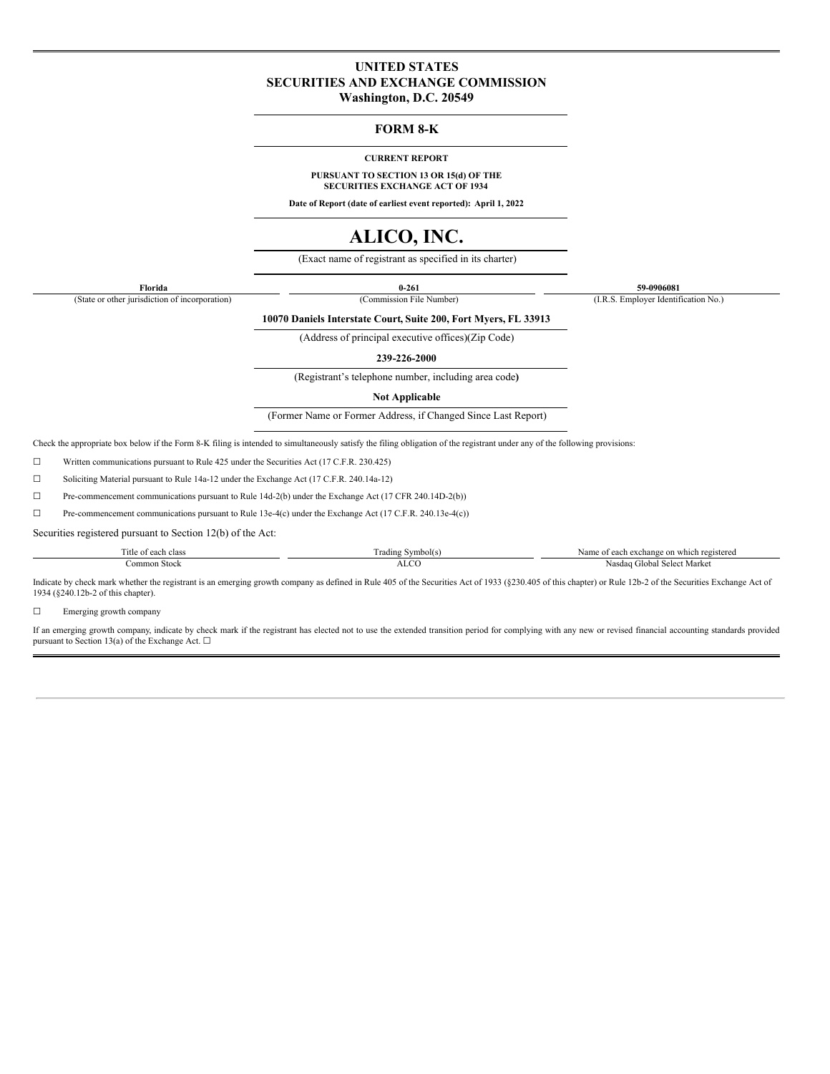# **UNITED STATES SECURITIES AND EXCHANGE COMMISSION**

**Washington, D.C. 20549**

### **FORM 8-K**

#### **CURRENT REPORT**

**PURSUANT TO SECTION 13 OR 15(d) OF THE SECURITIES EXCHANGE ACT OF 1934**

**Date of Report (date of earliest event reported): April 1, 2022**

# **ALICO, INC.**

(Exact name of registrant as specified in its charter)

**Florida 0-261 59-0906081**

(State or other jurisdiction of incorporation) (Commission File Number) (I.R.S. Employer Identification No.)

**10070 Daniels Interstate Court, Suite 200, Fort Myers, FL 33913**

(Address of principal executive offices)(Zip Code)

**239-226-2000**

(Registrant's telephone number, including area code**)**

**Not Applicable**

(Former Name or Former Address, if Changed Since Last Report)

Check the appropriate box below if the Form 8-K filing is intended to simultaneously satisfy the filing obligation of the registrant under any of the following provisions:

☐ Written communications pursuant to Rule 425 under the Securities Act (17 C.F.R. 230.425)

☐ Soliciting Material pursuant to Rule 14a-12 under the Exchange Act (17 C.F.R. 240.14a-12)

☐ Pre-commencement communications pursuant to Rule 14d-2(b) under the Exchange Act (17 CFR 240.14D-2(b))

☐ Pre-commencement communications pursuant to Rule 13e-4(c) under the Exchange Act (17 C.F.R. 240.13e-4(c))

Securities registered pursuant to Section 12(b) of the Act:

| 'itle o<br>acu cias    | --<br>∖vmbo.<br>---<br>ding | ` which registere∝<br>exchang<br>Name<br>: on<br>$\sim$ |
|------------------------|-----------------------------|---------------------------------------------------------|
| ______<br>`ommon Stock | $\sim$                      | : Market<br>Select<br>Cilobal<br>Nasdag                 |

Indicate by check mark whether the registrant is an emerging growth company as defined in Rule 405 of the Securities Act of 1933 (§230.405 of this chapter) or Rule 12b-2 of the Securities Exchange Act of 1934 (§240.12b-2 of this chapter).

☐ Emerging growth company

If an emerging growth company, indicate by check mark if the registrant has elected not to use the extended transition period for complying with any new or revised financial accounting standards provided pursuant to Section 13(a) of the Exchange Act.  $\Box$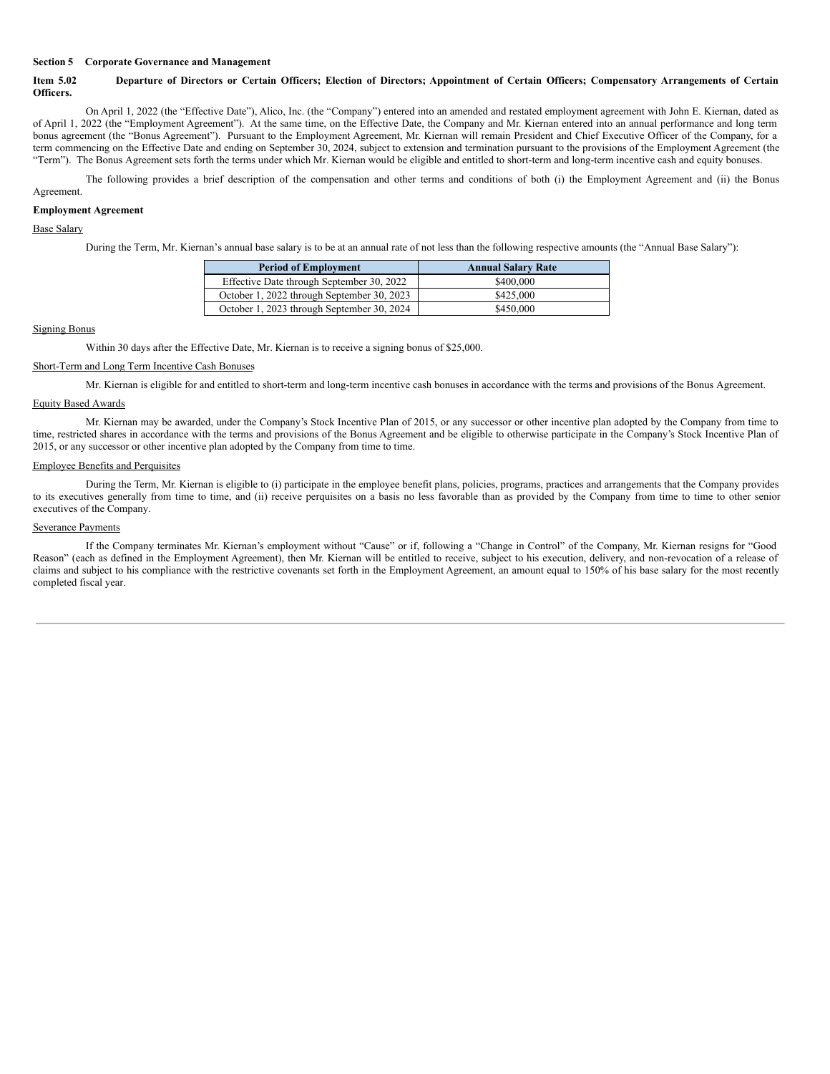#### **Section 5 Corporate Governance and Management**

### Item 5.02 Departure of Directors or Certain Officers; Election of Directors; Appointment of Certain Officers; Compensatory Arrangements of Certain **Officers.**

On April 1, 2022 (the "Effective Date"), Alico, Inc. (the "Company") entered into an amended and restated employment agreement with John E. Kiernan, dated as of April 1, 2022 (the "Employment Agreement"). At the same time, on the Effective Date, the Company and Mr. Kiernan entered into an annual performance and long term bonus agreement (the "Bonus Agreement"). Pursuant to the Employment Agreement, Mr. Kiernan will remain President and Chief Executive Officer of the Company, for a term commencing on the Effective Date and ending on September 30, 2024, subject to extension and termination pursuant to the provisions of the Employment Agreement (the "Term"). The Bonus Agreement sets forth the terms under which Mr. Kiernan would be eligible and entitled to short-term and long-term incentive cash and equity bonuses.

The following provides a brief description of the compensation and other terms and conditions of both (i) the Employment Agreement and (ii) the Bonus Agreement.

#### **Employment Agreement**

#### Base Salary

During the Term, Mr. Kiernan's annual base salary is to be at an annual rate of not less than the following respective amounts (the "Annual Base Salary"):

| <b>Period of Employment</b>                | <b>Annual Salary Rate</b> |
|--------------------------------------------|---------------------------|
| Effective Date through September 30, 2022  | \$400,000                 |
| October 1, 2022 through September 30, 2023 | \$425,000                 |
| October 1, 2023 through September 30, 2024 | \$450,000                 |

#### Signing Bonus

Within 30 days after the Effective Date, Mr. Kiernan is to receive a signing bonus of \$25,000.

#### Short-Term and Long Term Incentive Cash Bonuses

Mr. Kiernan is eligible for and entitled to short-term and long-term incentive cash bonuses in accordance with the terms and provisions of the Bonus Agreement.

#### Equity Based Awards

Mr. Kiernan may be awarded, under the Company's Stock Incentive Plan of 2015, or any successor or other incentive plan adopted by the Company from time to time, restricted shares in accordance with the terms and provisions of the Bonus Agreement and be eligible to otherwise participate in the Company's Stock Incentive Plan of 2015, or any successor or other incentive plan adopted by the Company from time to time.

#### Employee Benefits and Perquisites

During the Term, Mr. Kiernan is eligible to (i) participate in the employee benefit plans, policies, programs, practices and arrangements that the Company provides to its executives generally from time to time, and (ii) receive perquisites on a basis no less favorable than as provided by the Company from time to time to other senior executives of the Company.

#### Severance Payments

If the Company terminates Mr. Kiernan's employment without "Cause" or if, following a "Change in Control" of the Company, Mr. Kiernan resigns for "Good Reason" (each as defined in the Employment Agreement), then Mr. Kiernan will be entitled to receive, subject to his execution, delivery, and non-revocation of a release of claims and subject to his compliance with the restrictive covenants set forth in the Employment Agreement, an amount equal to 150% of his base salary for the most recently completed fiscal year.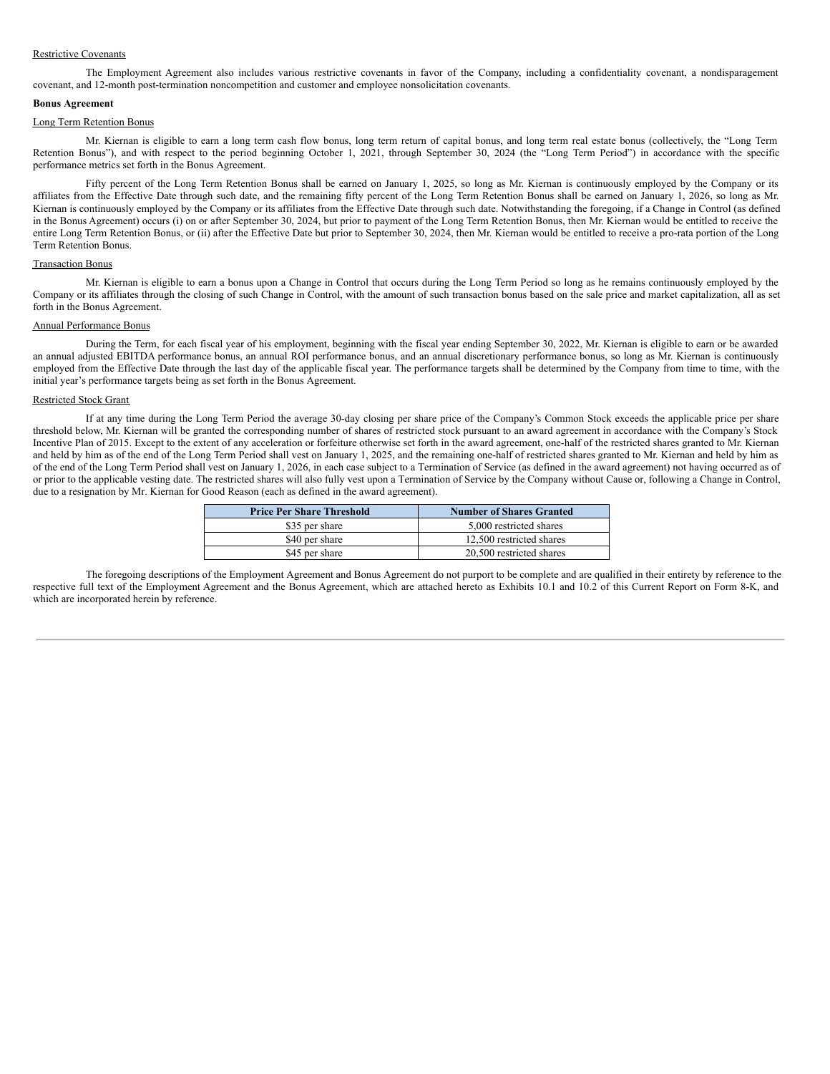#### Restrictive Covenants

The Employment Agreement also includes various restrictive covenants in favor of the Company, including a confidentiality covenant, a nondisparagement covenant, and 12-month post-termination noncompetition and customer and employee nonsolicitation covenants.

#### **Bonus Agreement**

#### Long Term Retention Bonus

Mr. Kiernan is eligible to earn a long term cash flow bonus, long term return of capital bonus, and long term real estate bonus (collectively, the "Long Term Retention Bonus"), and with respect to the period beginning October 1, 2021, through September 30, 2024 (the "Long Term Period") in accordance with the specific performance metrics set forth in the Bonus Agreement.

Fifty percent of the Long Term Retention Bonus shall be earned on January 1, 2025, so long as Mr. Kiernan is continuously employed by the Company or its affiliates from the Effective Date through such date, and the remaining fifty percent of the Long Term Retention Bonus shall be earned on January 1, 2026, so long as Mr. Kiernan is continuously employed by the Company or its affiliates from the Effective Date through such date. Notwithstanding the foregoing, if a Change in Control (as defined in the Bonus Agreement) occurs (i) on or after September 30, 2024, but prior to payment of the Long Term Retention Bonus, then Mr. Kiernan would be entitled to receive the entire Long Term Retention Bonus, or (ii) after the Effective Date but prior to September 30, 2024, then Mr. Kiernan would be entitled to receive a pro-rata portion of the Long Term Retention Bonus.

#### Transaction Bonus

Mr. Kiernan is eligible to earn a bonus upon a Change in Control that occurs during the Long Term Period so long as he remains continuously employed by the Company or its affiliates through the closing of such Change in Control, with the amount of such transaction bonus based on the sale price and market capitalization, all as set forth in the Bonus Agreement.

#### Annual Performance Bonus

During the Term, for each fiscal year of his employment, beginning with the fiscal year ending September 30, 2022, Mr. Kiernan is eligible to earn or be awarded an annual adjusted EBITDA performance bonus, an annual ROI performance bonus, and an annual discretionary performance bonus, so long as Mr. Kiernan is continuously employed from the Effective Date through the last day of the applicable fiscal year. The performance targets shall be determined by the Company from time to time, with the initial year's performance targets being as set forth in the Bonus Agreement.

#### Restricted Stock Grant

If at any time during the Long Term Period the average 30-day closing per share price of the Company's Common Stock exceeds the applicable price per share threshold below, Mr. Kiernan will be granted the corresponding number of shares of restricted stock pursuant to an award agreement in accordance with the Company's Stock Incentive Plan of 2015. Except to the extent of any acceleration or forfeiture otherwise set forth in the award agreement, one-half of the restricted shares granted to Mr. Kiernan and held by him as of the end of the Long Term Period shall vest on January 1, 2025, and the remaining one-half of restricted shares granted to Mr. Kiernan and held by him as of the end of the Long Term Period shall vest on January 1, 2026, in each case subject to a Termination of Service (as defined in the award agreement) not having occurred as of or prior to the applicable vesting date. The restricted shares will also fully vest upon a Termination of Service by the Company without Cause or, following a Change in Control, due to a resignation by Mr. Kiernan for Good Reason (each as defined in the award agreement).

| <b>Price Per Share Threshold</b> | <b>Number of Shares Granted</b> |
|----------------------------------|---------------------------------|
| \$35 per share                   | 5,000 restricted shares         |
| \$40 per share                   | 12.500 restricted shares        |
| \$45 per share                   | 20,500 restricted shares        |

The foregoing descriptions of the Employment Agreement and Bonus Agreement do not purport to be complete and are qualified in their entirety by reference to the respective full text of the Employment Agreement and the Bonus Agreement, which are attached hereto as Exhibits 10.1 and 10.2 of this Current Report on Form 8-K, and which are incorporated herein by reference.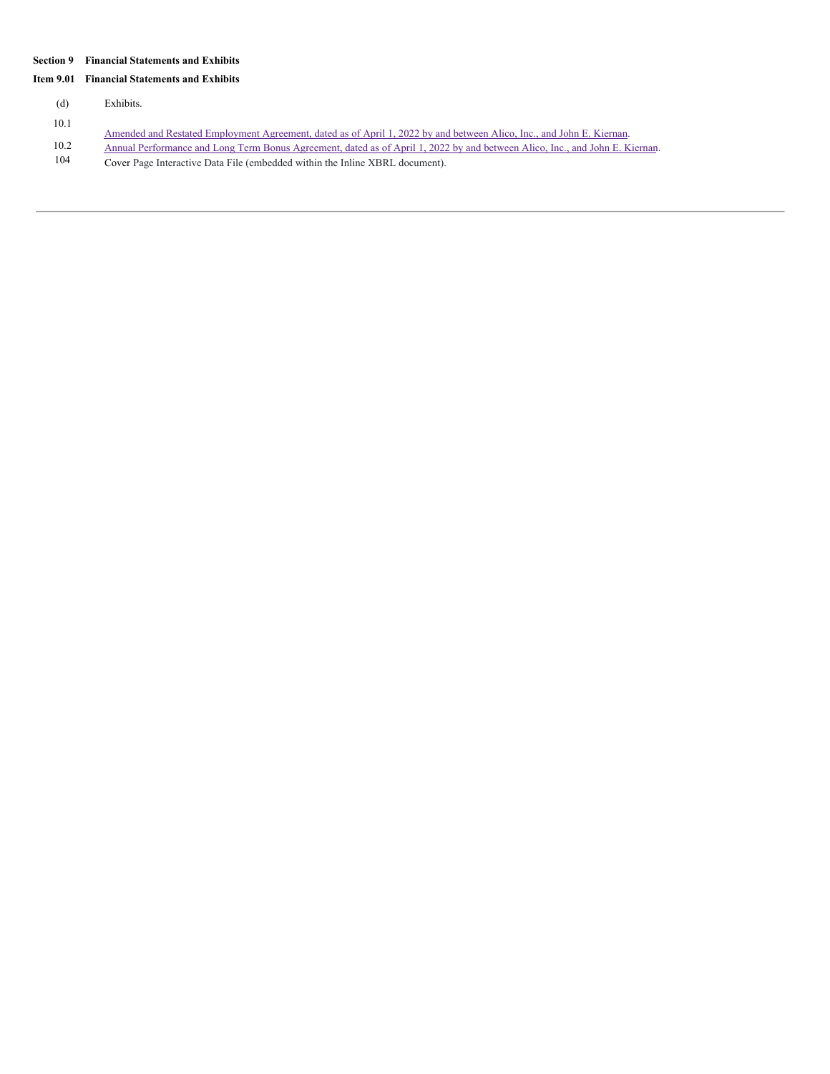### **Section 9 Financial Statements and Exhibits**

### **Item 9.01 Financial Statements and Exhibits**

(d) Exhibits.

- 10.1
- Amended and Restated [Employment](#page-15-0) Agreement, dated as of April 1, 2022 by and between Alico, Inc., and John E. Kiernan.
- 10.2 Annual [Performance](#page-37-0) and Long Term Bonus Agreement, dated as of April 1, 2022 by and between Alico, Inc., and John E. Kiernan.<br>104 Cover Page Interactive Data File (embedded within the Inline XBRL document).
- Cover Page Interactive Data File (embedded within the Inline XBRL document).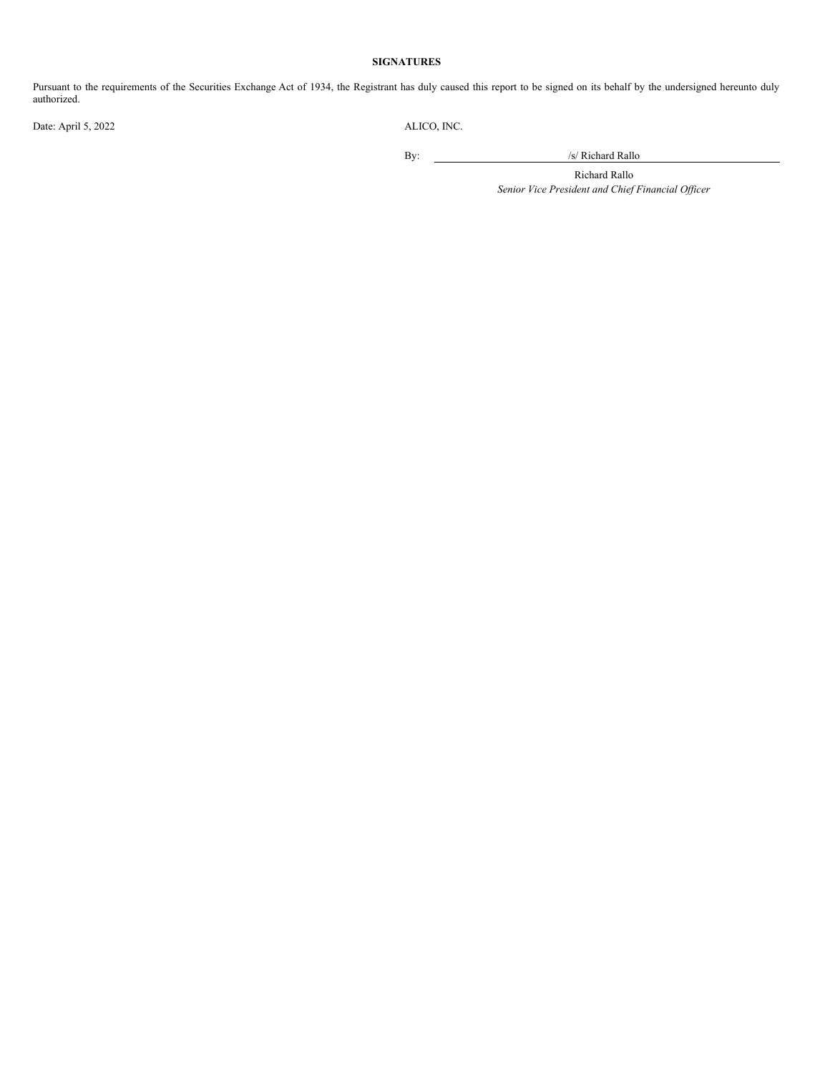## **SIGNATURES**

Pursuant to the requirements of the Securities Exchange Act of 1934, the Registrant has duly caused this report to be signed on its behalf by the undersigned hereunto duly authorized.

Date: April 5, 2022 ALICO, INC.

By: /s/ Richard Rallo

Richard Rallo *Senior Vice President and Chief Financial Of icer*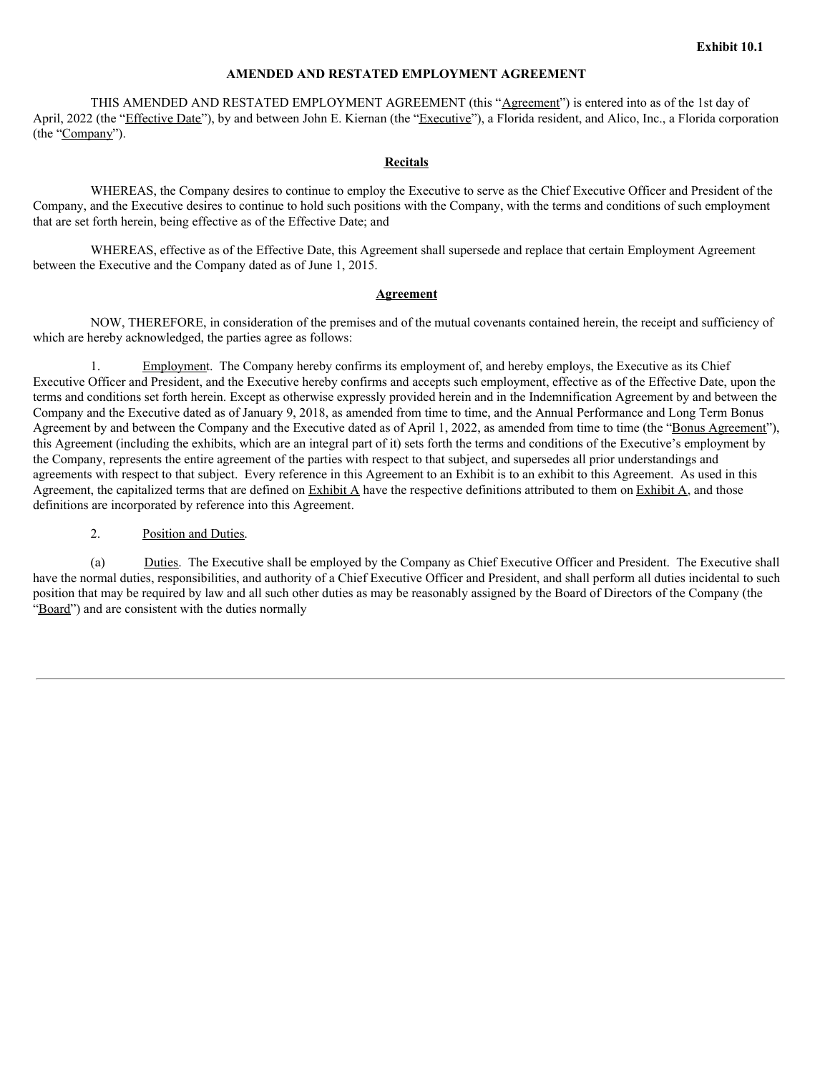# **AMENDED AND RESTATED EMPLOYMENT AGREEMENT**

THIS AMENDED AND RESTATED EMPLOYMENT AGREEMENT (this "Agreement") is entered into as of the 1st day of April, 2022 (the "Effective Date"), by and between John E. Kiernan (the "Executive"), a Florida resident, and Alico, Inc., a Florida corporation (the "Company").

### **Recitals**

WHEREAS, the Company desires to continue to employ the Executive to serve as the Chief Executive Officer and President of the Company, and the Executive desires to continue to hold such positions with the Company, with the terms and conditions of such employment that are set forth herein, being effective as of the Effective Date; and

WHEREAS, effective as of the Effective Date, this Agreement shall supersede and replace that certain Employment Agreement between the Executive and the Company dated as of June 1, 2015.

### **Agreement**

NOW, THEREFORE, in consideration of the premises and of the mutual covenants contained herein, the receipt and sufficiency of which are hereby acknowledged, the parties agree as follows:

Employment. The Company hereby confirms its employment of, and hereby employs, the Executive as its Chief Executive Officer and President, and the Executive hereby confirms and accepts such employment, effective as of the Effective Date, upon the terms and conditions set forth herein. Except as otherwise expressly provided herein and in the Indemnification Agreement by and between the Company and the Executive dated as of January 9, 2018, as amended from time to time, and the Annual Performance and Long Term Bonus Agreement by and between the Company and the Executive dated as of April 1, 2022, as amended from time to time (the "Bonus Agreement"), this Agreement (including the exhibits, which are an integral part of it) sets forth the terms and conditions of the Executive's employment by the Company, represents the entire agreement of the parties with respect to that subject, and supersedes all prior understandings and agreements with respect to that subject. Every reference in this Agreement to an Exhibit is to an exhibit to this Agreement. As used in this Agreement, the capitalized terms that are defined on Exhibit A have the respective definitions attributed to them on Exhibit A, and those definitions are incorporated by reference into this Agreement.

2. Position and Duties.

(a) Duties. The Executive shall be employed by the Company as Chief Executive Officer and President. The Executive shall have the normal duties, responsibilities, and authority of a Chief Executive Officer and President, and shall perform all duties incidental to such position that may be required by law and all such other duties as may be reasonably assigned by the Board of Directors of the Company (the "Board") and are consistent with the duties normally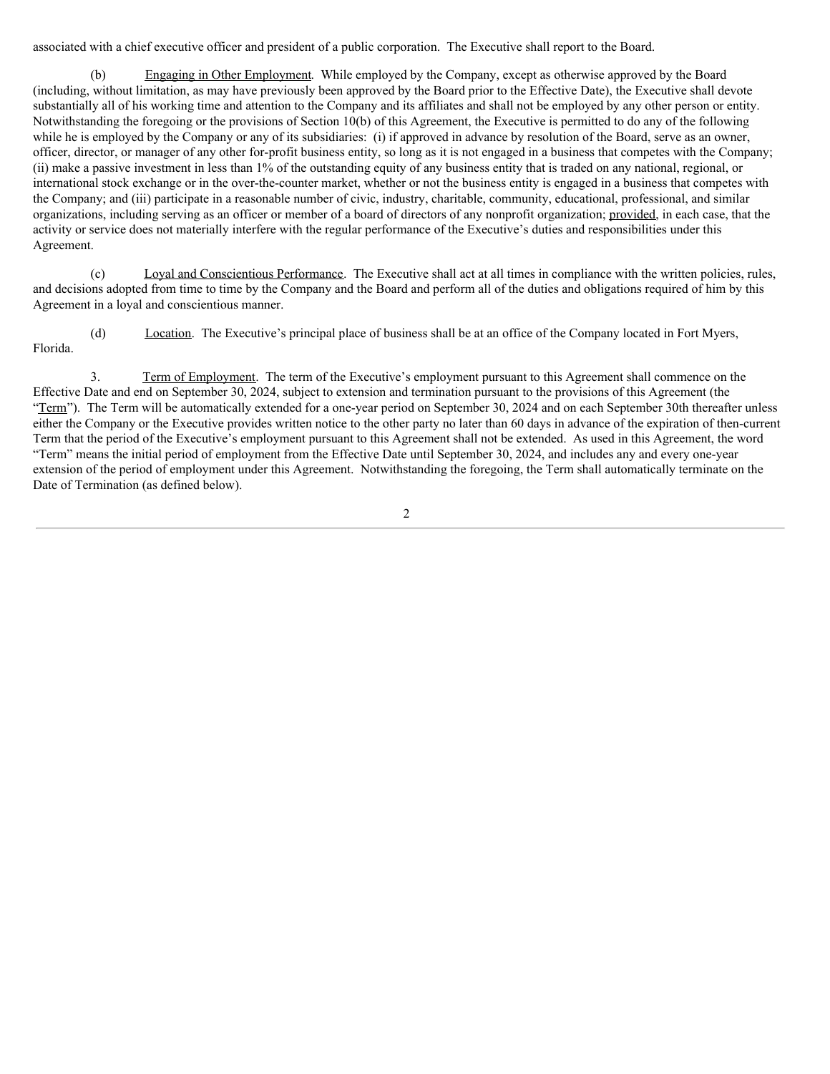associated with a chief executive officer and president of a public corporation. The Executive shall report to the Board.

(b) Engaging in Other Employment. While employed by the Company, except as otherwise approved by the Board (including, without limitation, as may have previously been approved by the Board prior to the Effective Date), the Executive shall devote substantially all of his working time and attention to the Company and its affiliates and shall not be employed by any other person or entity. Notwithstanding the foregoing or the provisions of Section 10(b) of this Agreement, the Executive is permitted to do any of the following while he is employed by the Company or any of its subsidiaries: (i) if approved in advance by resolution of the Board, serve as an owner, officer, director, or manager of any other for-profit business entity, so long as it is not engaged in a business that competes with the Company; (ii) make a passive investment in less than 1% of the outstanding equity of any business entity that is traded on any national, regional, or international stock exchange or in the over-the-counter market, whether or not the business entity is engaged in a business that competes with the Company; and (iii) participate in a reasonable number of civic, industry, charitable, community, educational, professional, and similar organizations, including serving as an officer or member of a board of directors of any nonprofit organization; provided, in each case, that the activity or service does not materially interfere with the regular performance of the Executive's duties and responsibilities under this Agreement.

(c) Loyal and Conscientious Performance. The Executive shall act at all times in compliance with the written policies, rules, and decisions adopted from time to time by the Company and the Board and perform all of the duties and obligations required of him by this Agreement in a loyal and conscientious manner.

(d) Location. The Executive's principal place of business shall be at an office of the Company located in Fort Myers, Florida.

3. Term of Employment. The term of the Executive's employment pursuant to this Agreement shall commence on the Effective Date and end on September 30, 2024, subject to extension and termination pursuant to the provisions of this Agreement (the "Term"). The Term will be automatically extended for a one-year period on September 30, 2024 and on each September 30th thereafter unless either the Company or the Executive provides written notice to the other party no later than 60 days in advance of the expiration of then-current Term that the period of the Executive's employment pursuant to this Agreement shall not be extended. As used in this Agreement, the word "Term" means the initial period of employment from the Effective Date until September 30, 2024, and includes any and every one-year extension of the period of employment under this Agreement. Notwithstanding the foregoing, the Term shall automatically terminate on the Date of Termination (as defined below).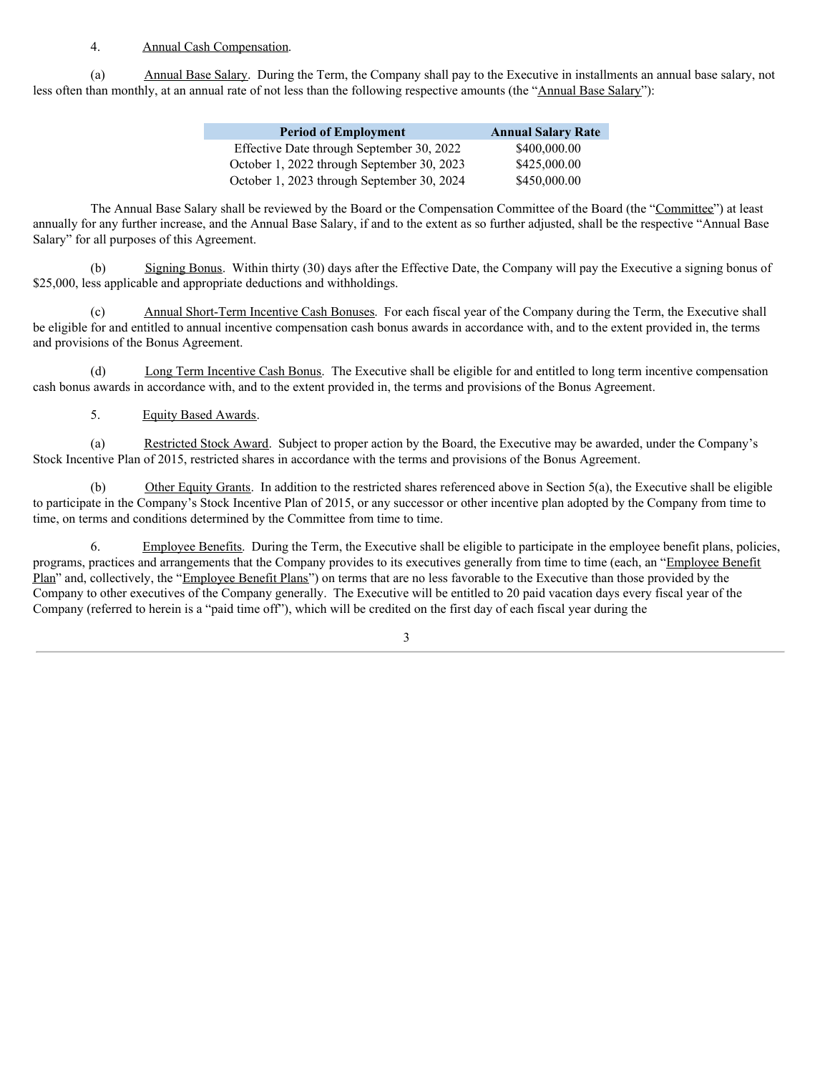# 4. Annual Cash Compensation.

(a) Annual Base Salary. During the Term, the Company shall pay to the Executive in installments an annual base salary, not less often than monthly, at an annual rate of not less than the following respective amounts (the "Annual Base Salary"):

| <b>Period of Employment</b>                | <b>Annual Salary Rate</b> |
|--------------------------------------------|---------------------------|
| Effective Date through September 30, 2022  | \$400,000.00              |
| October 1, 2022 through September 30, 2023 | \$425,000.00              |
| October 1, 2023 through September 30, 2024 | \$450,000.00              |

The Annual Base Salary shall be reviewed by the Board or the Compensation Committee of the Board (the "Committee") at least annually for any further increase, and the Annual Base Salary, if and to the extent as so further adjusted, shall be the respective "Annual Base Salary" for all purposes of this Agreement.

(b) Signing Bonus. Within thirty (30) days after the Effective Date, the Company will pay the Executive a signing bonus of \$25,000, less applicable and appropriate deductions and withholdings.

Annual Short-Term Incentive Cash Bonuses. For each fiscal year of the Company during the Term, the Executive shall be eligible for and entitled to annual incentive compensation cash bonus awards in accordance with, and to the extent provided in, the terms and provisions of the Bonus Agreement.

(d) Long Term Incentive Cash Bonus. The Executive shall be eligible for and entitled to long term incentive compensation cash bonus awards in accordance with, and to the extent provided in, the terms and provisions of the Bonus Agreement.

# 5. Equity Based Awards.

(a) Restricted Stock Award. Subject to proper action by the Board, the Executive may be awarded, under the Company's Stock Incentive Plan of 2015, restricted shares in accordance with the terms and provisions of the Bonus Agreement.

(b) Other Equity Grants. In addition to the restricted shares referenced above in Section 5(a), the Executive shall be eligible to participate in the Company's Stock Incentive Plan of 2015, or any successor or other incentive plan adopted by the Company from time to time, on terms and conditions determined by the Committee from time to time.

6. Employee Benefits. During the Term, the Executive shall be eligible to participate in the employee benefit plans, policies, programs, practices and arrangements that the Company provides to its executives generally from time to time (each, an "Employee Benefit Plan" and, collectively, the "Employee Benefit Plans") on terms that are no less favorable to the Executive than those provided by the Company to other executives of the Company generally. The Executive will be entitled to 20 paid vacation days every fiscal year of the Company (referred to herein is a "paid time off"), which will be credited on the first day of each fiscal year during the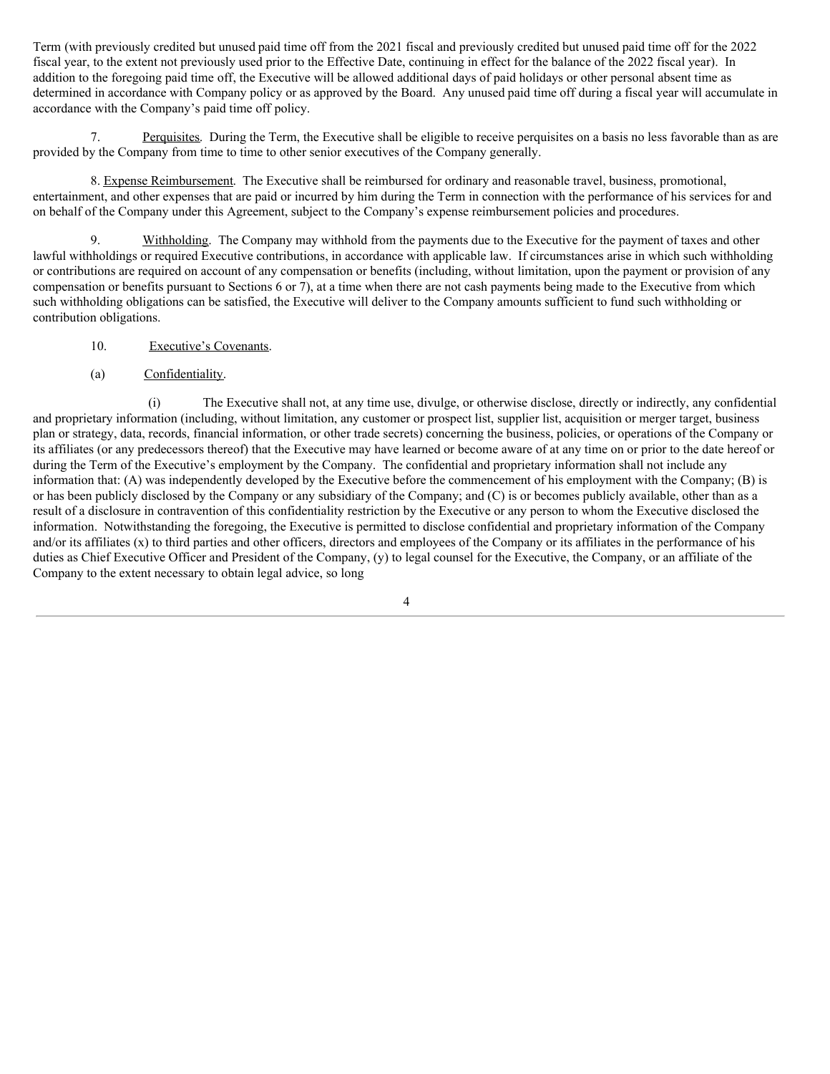Term (with previously credited but unused paid time off from the 2021 fiscal and previously credited but unused paid time off for the 2022 fiscal year, to the extent not previously used prior to the Effective Date, continuing in effect for the balance of the 2022 fiscal year). In addition to the foregoing paid time off, the Executive will be allowed additional days of paid holidays or other personal absent time as determined in accordance with Company policy or as approved by the Board. Any unused paid time off during a fiscal year will accumulate in accordance with the Company's paid time off policy.

7. Perquisites. During the Term, the Executive shall be eligible to receive perquisites on a basis no less favorable than as are provided by the Company from time to time to other senior executives of the Company generally.

8. Expense Reimbursement. The Executive shall be reimbursed for ordinary and reasonable travel, business, promotional, entertainment, and other expenses that are paid or incurred by him during the Term in connection with the performance of his services for and on behalf of the Company under this Agreement, subject to the Company's expense reimbursement policies and procedures.

9. Withholding. The Company may withhold from the payments due to the Executive for the payment of taxes and other lawful withholdings or required Executive contributions, in accordance with applicable law. If circumstances arise in which such withholding or contributions are required on account of any compensation or benefits (including, without limitation, upon the payment or provision of any compensation or benefits pursuant to Sections 6 or 7), at a time when there are not cash payments being made to the Executive from which such withholding obligations can be satisfied, the Executive will deliver to the Company amounts sufficient to fund such withholding or contribution obligations.

- 10. Executive's Covenants.
- (a) Confidentiality.

(i) The Executive shall not, at any time use, divulge, or otherwise disclose, directly or indirectly, any confidential and proprietary information (including, without limitation, any customer or prospect list, supplier list, acquisition or merger target, business plan or strategy, data, records, financial information, or other trade secrets) concerning the business, policies, or operations of the Company or its affiliates (or any predecessors thereof) that the Executive may have learned or become aware of at any time on or prior to the date hereof or during the Term of the Executive's employment by the Company. The confidential and proprietary information shall not include any information that: (A) was independently developed by the Executive before the commencement of his employment with the Company; (B) is or has been publicly disclosed by the Company or any subsidiary of the Company; and (C) is or becomes publicly available, other than as a result of a disclosure in contravention of this confidentiality restriction by the Executive or any person to whom the Executive disclosed the information. Notwithstanding the foregoing, the Executive is permitted to disclose confidential and proprietary information of the Company and/or its affiliates (x) to third parties and other officers, directors and employees of the Company or its affiliates in the performance of his duties as Chief Executive Officer and President of the Company, (y) to legal counsel for the Executive, the Company, or an affiliate of the Company to the extent necessary to obtain legal advice, so long

<sup>4</sup>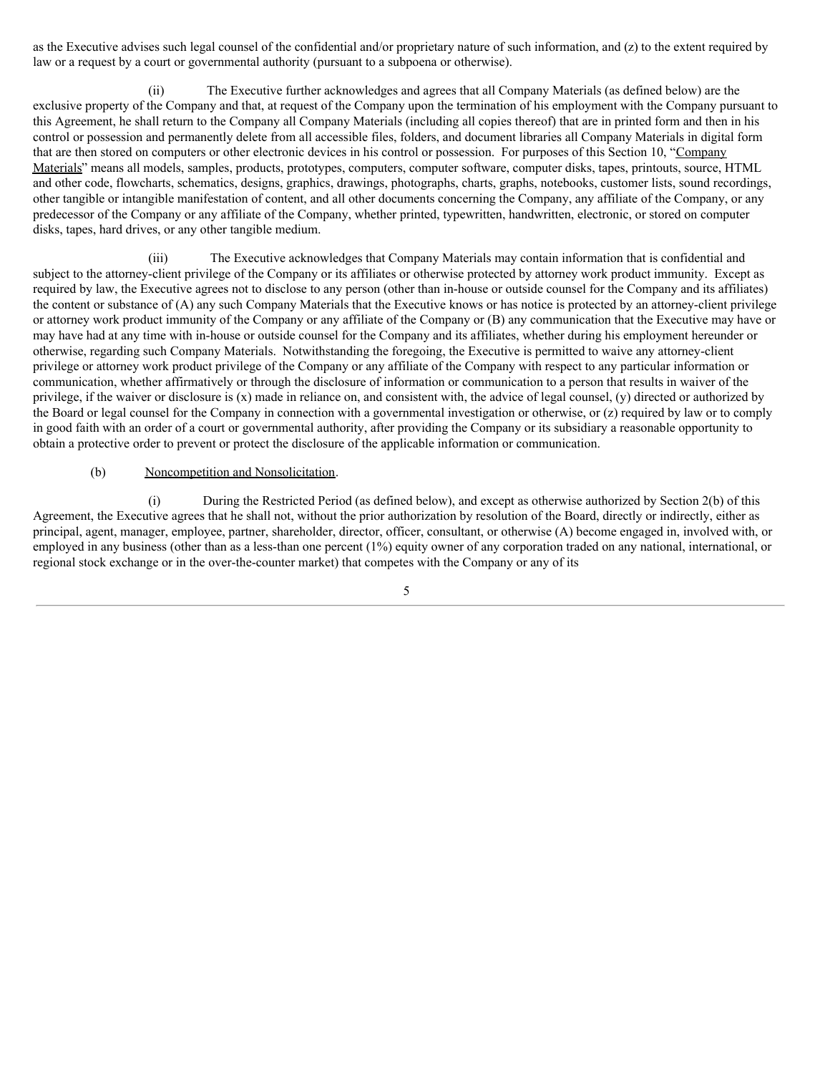as the Executive advises such legal counsel of the confidential and/or proprietary nature of such information, and (z) to the extent required by law or a request by a court or governmental authority (pursuant to a subpoena or otherwise).

(ii) The Executive further acknowledges and agrees that all Company Materials (as defined below) are the exclusive property of the Company and that, at request of the Company upon the termination of his employment with the Company pursuant to this Agreement, he shall return to the Company all Company Materials (including all copies thereof) that are in printed form and then in his control or possession and permanently delete from all accessible files, folders, and document libraries all Company Materials in digital form that are then stored on computers or other electronic devices in his control or possession. For purposes of this Section 10, "Company Materials" means all models, samples, products, prototypes, computers, computer software, computer disks, tapes, printouts, source, HTML and other code, flowcharts, schematics, designs, graphics, drawings, photographs, charts, graphs, notebooks, customer lists, sound recordings, other tangible or intangible manifestation of content, and all other documents concerning the Company, any affiliate of the Company, or any predecessor of the Company or any affiliate of the Company, whether printed, typewritten, handwritten, electronic, or stored on computer disks, tapes, hard drives, or any other tangible medium.

(iii) The Executive acknowledges that Company Materials may contain information that is confidential and subject to the attorney-client privilege of the Company or its affiliates or otherwise protected by attorney work product immunity. Except as required by law, the Executive agrees not to disclose to any person (other than in-house or outside counsel for the Company and its affiliates) the content or substance of (A) any such Company Materials that the Executive knows or has notice is protected by an attorney-client privilege or attorney work product immunity of the Company or any affiliate of the Company or (B) any communication that the Executive may have or may have had at any time with in-house or outside counsel for the Company and its affiliates, whether during his employment hereunder or otherwise, regarding such Company Materials. Notwithstanding the foregoing, the Executive is permitted to waive any attorney-client privilege or attorney work product privilege of the Company or any affiliate of the Company with respect to any particular information or communication, whether affirmatively or through the disclosure of information or communication to a person that results in waiver of the privilege, if the waiver or disclosure is (x) made in reliance on, and consistent with, the advice of legal counsel, (y) directed or authorized by the Board or legal counsel for the Company in connection with a governmental investigation or otherwise, or (z) required by law or to comply in good faith with an order of a court or governmental authority, after providing the Company or its subsidiary a reasonable opportunity to obtain a protective order to prevent or protect the disclosure of the applicable information or communication.

## (b) Noncompetition and Nonsolicitation.

(i) During the Restricted Period (as defined below), and except as otherwise authorized by Section 2(b) of this Agreement, the Executive agrees that he shall not, without the prior authorization by resolution of the Board, directly or indirectly, either as principal, agent, manager, employee, partner, shareholder, director, officer, consultant, or otherwise (A) become engaged in, involved with, or employed in any business (other than as a less-than one percent (1%) equity owner of any corporation traded on any national, international, or regional stock exchange or in the over-the-counter market) that competes with the Company or any of its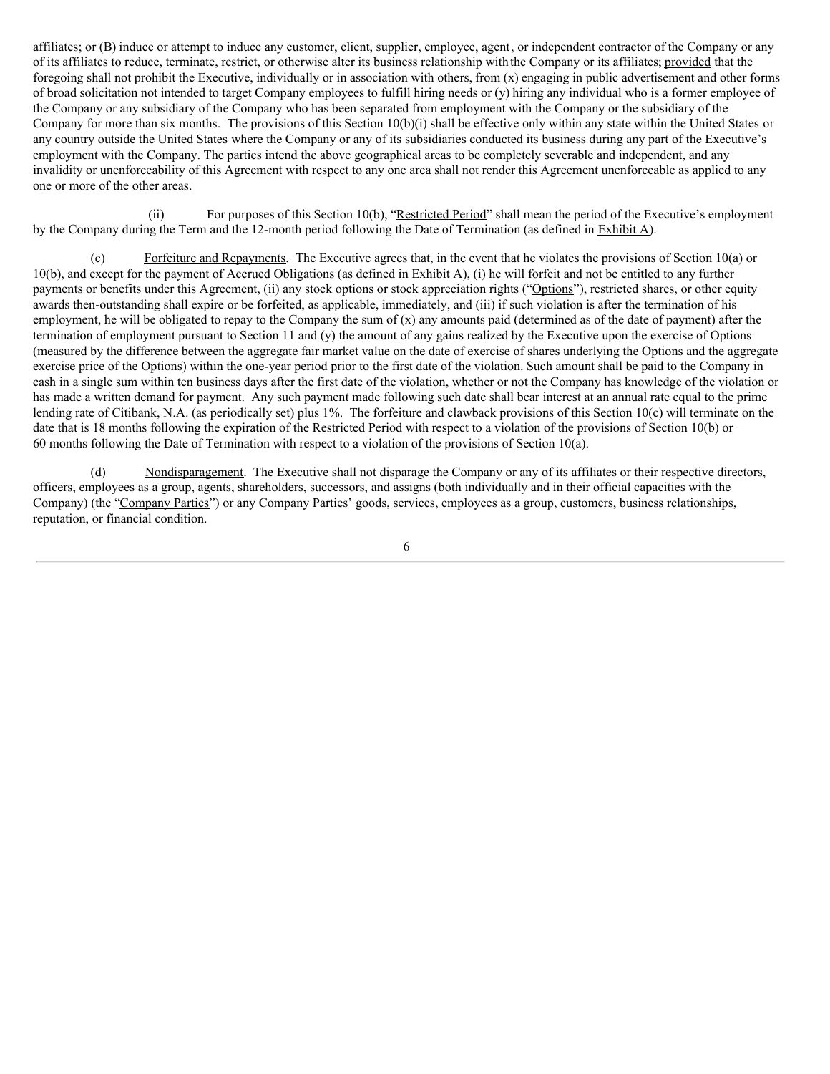affiliates; or (B) induce or attempt to induce any customer, client, supplier, employee, agent, or independent contractor of the Company or any of its affiliates to reduce, terminate, restrict, or otherwise alter its business relationship with the Company or its affiliates; provided that the foregoing shall not prohibit the Executive, individually or in association with others, from  $(x)$  engaging in public advertisement and other forms of broad solicitation not intended to target Company employees to fulfill hiring needs or (y) hiring any individual who is a former employee of the Company or any subsidiary of the Company who has been separated from employment with the Company or the subsidiary of the Company for more than six months. The provisions of this Section 10(b)(i) shall be effective only within any state within the United States or any country outside the United States where the Company or any of its subsidiaries conducted its business during any part of the Executive's employment with the Company. The parties intend the above geographical areas to be completely severable and independent, and any invalidity or unenforceability of this Agreement with respect to any one area shall not render this Agreement unenforceable as applied to any one or more of the other areas.

(ii) For purposes of this Section 10(b), "Restricted Period" shall mean the period of the Executive's employment by the Company during the Term and the 12-month period following the Date of Termination (as defined in Exhibit A).

(c) Forfeiture and Repayments. The Executive agrees that, in the event that he violates the provisions of Section 10(a) or 10(b), and except for the payment of Accrued Obligations (as defined in Exhibit A), (i) he will forfeit and not be entitled to any further payments or benefits under this Agreement, (ii) any stock options or stock appreciation rights ("Options"), restricted shares, or other equity awards then-outstanding shall expire or be forfeited, as applicable, immediately, and (iii) if such violation is after the termination of his employment, he will be obligated to repay to the Company the sum of  $(x)$  any amounts paid (determined as of the date of payment) after the termination of employment pursuant to Section 11 and (y) the amount of any gains realized by the Executive upon the exercise of Options (measured by the difference between the aggregate fair market value on the date of exercise of shares underlying the Options and the aggregate exercise price of the Options) within the one-year period prior to the first date of the violation. Such amount shall be paid to the Company in cash in a single sum within ten business days after the first date of the violation, whether or not the Company has knowledge of the violation or has made a written demand for payment. Any such payment made following such date shall bear interest at an annual rate equal to the prime lending rate of Citibank, N.A. (as periodically set) plus 1%. The forfeiture and clawback provisions of this Section 10(c) will terminate on the date that is 18 months following the expiration of the Restricted Period with respect to a violation of the provisions of Section 10(b) or 60 months following the Date of Termination with respect to a violation of the provisions of Section 10(a).

(d) Nondisparagement. The Executive shall not disparage the Company or any of its affiliates or their respective directors, officers, employees as a group, agents, shareholders, successors, and assigns (both individually and in their official capacities with the Company) (the "Company Parties") or any Company Parties' goods, services, employees as a group, customers, business relationships, reputation, or financial condition.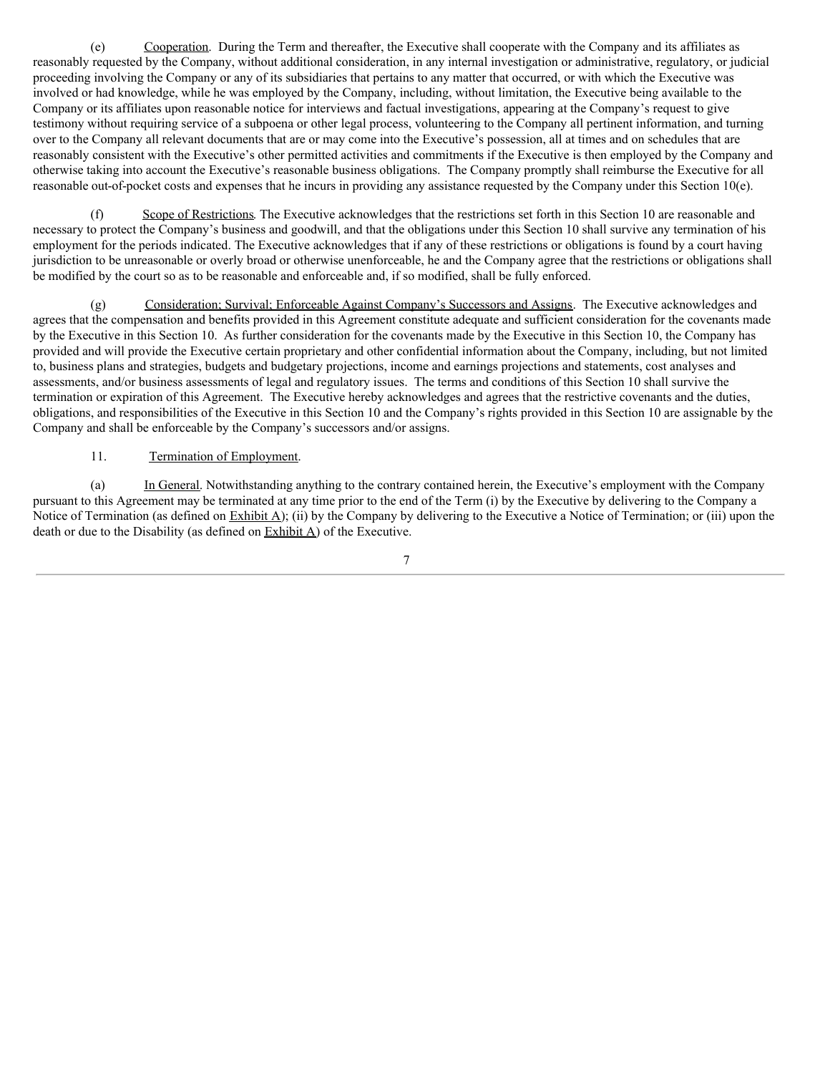(e) Cooperation. During the Term and thereafter, the Executive shall cooperate with the Company and its affiliates as reasonably requested by the Company, without additional consideration, in any internal investigation or administrative, regulatory, or judicial proceeding involving the Company or any of its subsidiaries that pertains to any matter that occurred, or with which the Executive was involved or had knowledge, while he was employed by the Company, including, without limitation, the Executive being available to the Company or its affiliates upon reasonable notice for interviews and factual investigations, appearing at the Company's request to give testimony without requiring service of a subpoena or other legal process, volunteering to the Company all pertinent information, and turning over to the Company all relevant documents that are or may come into the Executive's possession, all at times and on schedules that are reasonably consistent with the Executive's other permitted activities and commitments if the Executive is then employed by the Company and otherwise taking into account the Executive's reasonable business obligations. The Company promptly shall reimburse the Executive for all reasonable out-of-pocket costs and expenses that he incurs in providing any assistance requested by the Company under this Section 10(e).

(f) Scope of Restrictions. The Executive acknowledges that the restrictions set forth in this Section 10 are reasonable and necessary to protect the Company's business and goodwill, and that the obligations under this Section 10 shall survive any termination of his employment for the periods indicated. The Executive acknowledges that if any of these restrictions or obligations is found by a court having jurisdiction to be unreasonable or overly broad or otherwise unenforceable, he and the Company agree that the restrictions or obligations shall be modified by the court so as to be reasonable and enforceable and, if so modified, shall be fully enforced.

(g) Consideration; Survival; Enforceable Against Company's Successors and Assigns. The Executive acknowledges and agrees that the compensation and benefits provided in this Agreement constitute adequate and sufficient consideration for the covenants made by the Executive in this Section 10. As further consideration for the covenants made by the Executive in this Section 10, the Company has provided and will provide the Executive certain proprietary and other confidential information about the Company, including, but not limited to, business plans and strategies, budgets and budgetary projections, income and earnings projections and statements, cost analyses and assessments, and/or business assessments of legal and regulatory issues. The terms and conditions of this Section 10 shall survive the termination or expiration of this Agreement. The Executive hereby acknowledges and agrees that the restrictive covenants and the duties, obligations, and responsibilities of the Executive in this Section 10 and the Company's rights provided in this Section 10 are assignable by the Company and shall be enforceable by the Company's successors and/or assigns.

# 11. Termination of Employment.

(a) In General. Notwithstanding anything to the contrary contained herein, the Executive's employment with the Company pursuant to this Agreement may be terminated at any time prior to the end of the Term (i) by the Executive by delivering to the Company a Notice of Termination (as defined on Exhibit A); (ii) by the Company by delivering to the Executive a Notice of Termination; or (iii) upon the death or due to the Disability (as defined on Exhibit A) of the Executive.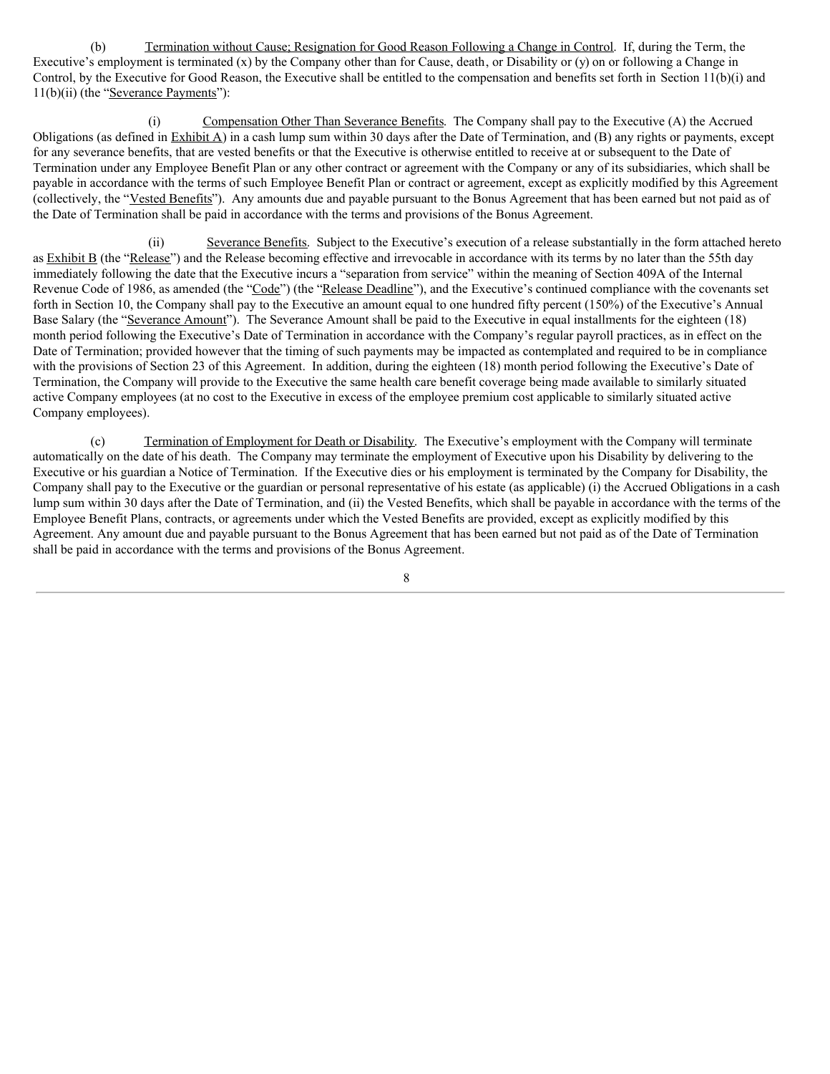(b) Termination without Cause; Resignation for Good Reason Following a Change in Control. If, during the Term, the Executive's employment is terminated (x) by the Company other than for Cause, death, or Disability or (y) on or following a Change in Control, by the Executive for Good Reason, the Executive shall be entitled to the compensation and benefits set forth in Section 11(b)(i) and 11(b)(ii) (the "Severance Payments"):

(i) Compensation Other Than Severance Benefits. The Company shall pay to the Executive (A) the Accrued Obligations (as defined in Exhibit A) in a cash lump sum within 30 days after the Date of Termination, and (B) any rights or payments, except for any severance benefits, that are vested benefits or that the Executive is otherwise entitled to receive at or subsequent to the Date of Termination under any Employee Benefit Plan or any other contract or agreement with the Company or any of its subsidiaries, which shall be payable in accordance with the terms of such Employee Benefit Plan or contract or agreement, except as explicitly modified by this Agreement (collectively, the "Vested Benefits"). Any amounts due and payable pursuant to the Bonus Agreement that has been earned but not paid as of the Date of Termination shall be paid in accordance with the terms and provisions of the Bonus Agreement.

(ii) Severance Benefits. Subject to the Executive's execution of a release substantially in the form attached hereto as Exhibit B (the "Release") and the Release becoming effective and irrevocable in accordance with its terms by no later than the 55th day immediately following the date that the Executive incurs a "separation from service" within the meaning of Section 409A of the Internal Revenue Code of 1986, as amended (the "Code") (the "Release Deadline"), and the Executive's continued compliance with the covenants set forth in Section 10, the Company shall pay to the Executive an amount equal to one hundred fifty percent (150%) of the Executive's Annual Base Salary (the "Severance Amount"). The Severance Amount shall be paid to the Executive in equal installments for the eighteen (18) month period following the Executive's Date of Termination in accordance with the Company's regular payroll practices, as in effect on the Date of Termination; provided however that the timing of such payments may be impacted as contemplated and required to be in compliance with the provisions of Section 23 of this Agreement. In addition, during the eighteen (18) month period following the Executive's Date of Termination, the Company will provide to the Executive the same health care benefit coverage being made available to similarly situated active Company employees (at no cost to the Executive in excess of the employee premium cost applicable to similarly situated active Company employees).

(c) Termination of Employment for Death or Disability. The Executive's employment with the Company will terminate automatically on the date of his death. The Company may terminate the employment of Executive upon his Disability by delivering to the Executive or his guardian a Notice of Termination. If the Executive dies or his employment is terminated by the Company for Disability, the Company shall pay to the Executive or the guardian or personal representative of his estate (as applicable) (i) the Accrued Obligations in a cash lump sum within 30 days after the Date of Termination, and (ii) the Vested Benefits, which shall be payable in accordance with the terms of the Employee Benefit Plans, contracts, or agreements under which the Vested Benefits are provided, except as explicitly modified by this Agreement. Any amount due and payable pursuant to the Bonus Agreement that has been earned but not paid as of the Date of Termination shall be paid in accordance with the terms and provisions of the Bonus Agreement.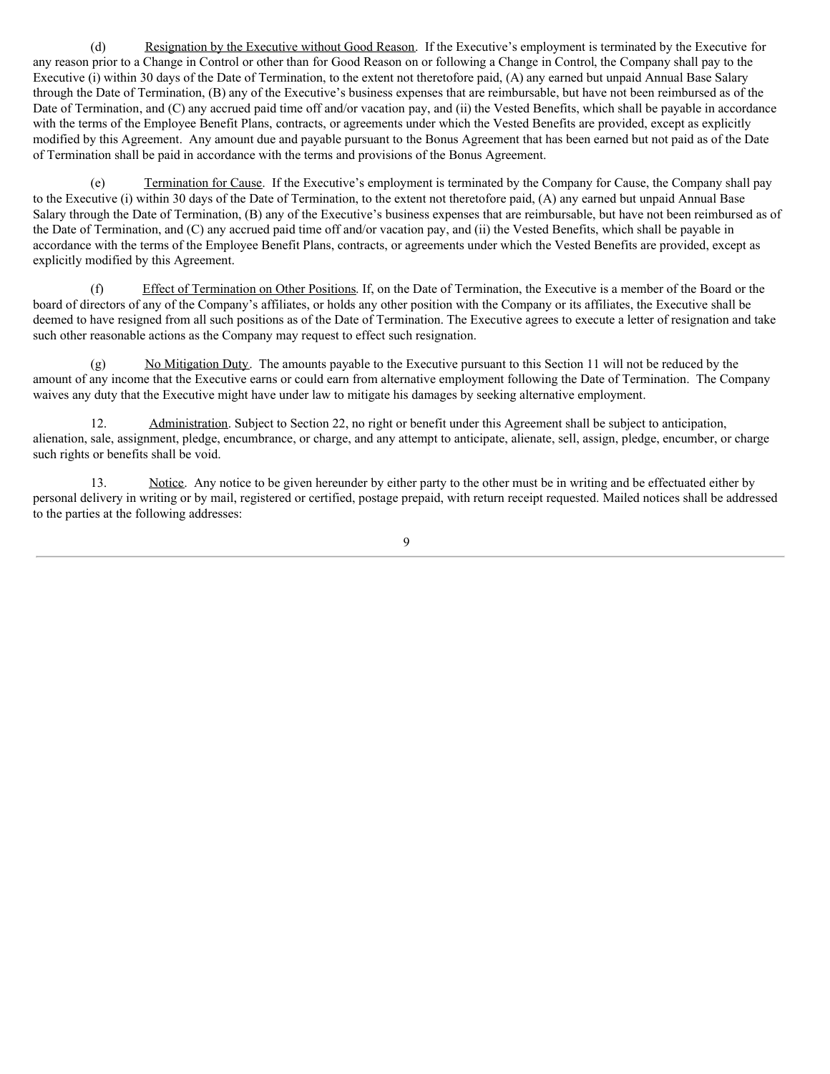(d) Resignation by the Executive without Good Reason. If the Executive's employment is terminated by the Executive for any reason prior to a Change in Control or other than for Good Reason on or following a Change in Control, the Company shall pay to the Executive (i) within 30 days of the Date of Termination, to the extent not theretofore paid, (A) any earned but unpaid Annual Base Salary through the Date of Termination, (B) any of the Executive's business expenses that are reimbursable, but have not been reimbursed as of the Date of Termination, and (C) any accrued paid time off and/or vacation pay, and (ii) the Vested Benefits, which shall be payable in accordance with the terms of the Employee Benefit Plans, contracts, or agreements under which the Vested Benefits are provided, except as explicitly modified by this Agreement. Any amount due and payable pursuant to the Bonus Agreement that has been earned but not paid as of the Date of Termination shall be paid in accordance with the terms and provisions of the Bonus Agreement.

(e) Termination for Cause. If the Executive's employment is terminated by the Company for Cause, the Company shall pay to the Executive (i) within 30 days of the Date of Termination, to the extent not theretofore paid, (A) any earned but unpaid Annual Base Salary through the Date of Termination, (B) any of the Executive's business expenses that are reimbursable, but have not been reimbursed as of the Date of Termination, and (C) any accrued paid time off and/or vacation pay, and (ii) the Vested Benefits, which shall be payable in accordance with the terms of the Employee Benefit Plans, contracts, or agreements under which the Vested Benefits are provided, except as explicitly modified by this Agreement.

(f) Effect of Termination on Other Positions. If, on the Date of Termination, the Executive is a member of the Board or the board of directors of any of the Company's affiliates, or holds any other position with the Company or its affiliates, the Executive shall be deemed to have resigned from all such positions as of the Date of Termination. The Executive agrees to execute a letter of resignation and take such other reasonable actions as the Company may request to effect such resignation.

(g) No Mitigation Duty. The amounts payable to the Executive pursuant to this Section 11 will not be reduced by the amount of any income that the Executive earns or could earn from alternative employment following the Date of Termination. The Company waives any duty that the Executive might have under law to mitigate his damages by seeking alternative employment.

12. Administration. Subject to Section 22, no right or benefit under this Agreement shall be subject to anticipation, alienation, sale, assignment, pledge, encumbrance, or charge, and any attempt to anticipate, alienate, sell, assign, pledge, encumber, or charge such rights or benefits shall be void.

13. Notice. Any notice to be given hereunder by either party to the other must be in writing and be effectuated either by personal delivery in writing or by mail, registered or certified, postage prepaid, with return receipt requested. Mailed notices shall be addressed to the parties at the following addresses: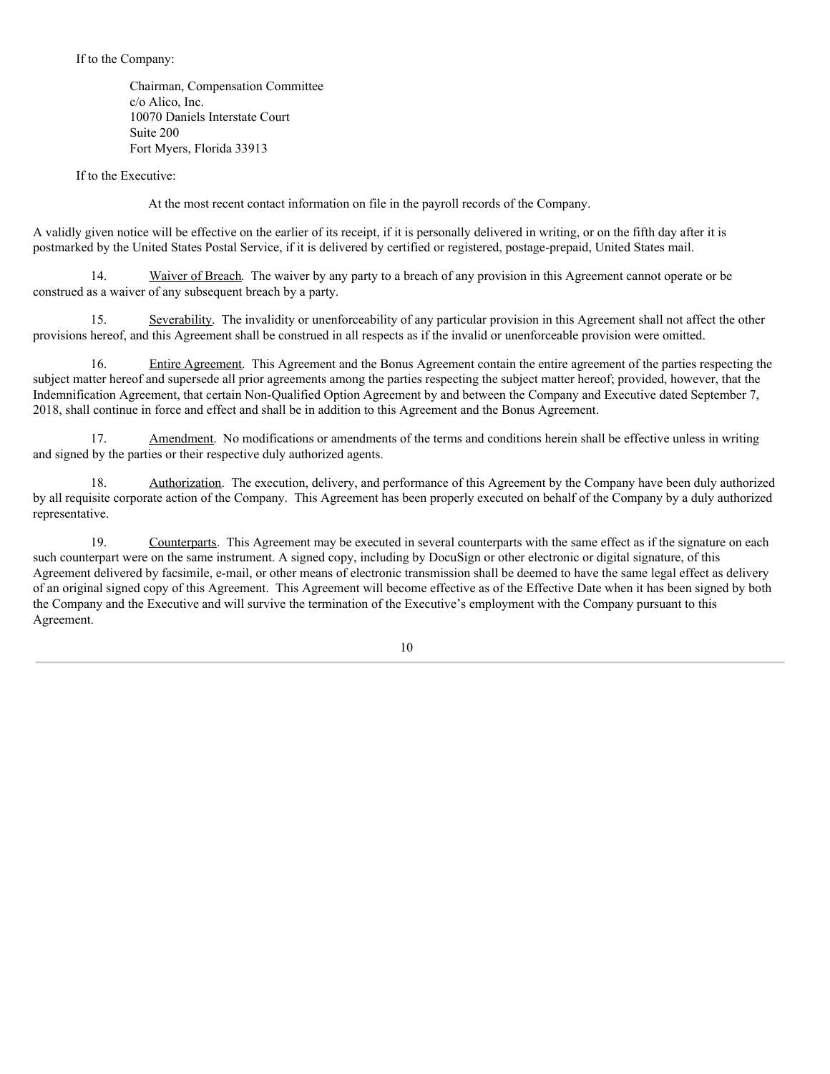If to the Company:

Chairman, Compensation Committee c/o Alico, Inc. 10070 Daniels Interstate Court Suite 200 Fort Myers, Florida 33913

If to the Executive:

At the most recent contact information on file in the payroll records of the Company.

A validly given notice will be effective on the earlier of its receipt, if it is personally delivered in writing, or on the fifth day after it is postmarked by the United States Postal Service, if it is delivered by certified or registered, postage-prepaid, United States mail.

14. Waiver of Breach. The waiver by any party to a breach of any provision in this Agreement cannot operate or be construed as a waiver of any subsequent breach by a party.

15. Severability. The invalidity or unenforceability of any particular provision in this Agreement shall not affect the other provisions hereof, and this Agreement shall be construed in all respects as if the invalid or unenforceable provision were omitted.

16. Entire Agreement. This Agreement and the Bonus Agreement contain the entire agreement of the parties respecting the subject matter hereof and supersede all prior agreements among the parties respecting the subject matter hereof; provided, however, that the Indemnification Agreement, that certain Non-Qualified Option Agreement by and between the Company and Executive dated September 7, 2018, shall continue in force and effect and shall be in addition to this Agreement and the Bonus Agreement.

17. Amendment. No modifications or amendments of the terms and conditions herein shall be effective unless in writing and signed by the parties or their respective duly authorized agents.

18. Authorization. The execution, delivery, and performance of this Agreement by the Company have been duly authorized by all requisite corporate action of the Company. This Agreement has been properly executed on behalf of the Company by a duly authorized representative.

19. Counterparts. This Agreement may be executed in several counterparts with the same effect as if the signature on each such counterpart were on the same instrument. A signed copy, including by DocuSign or other electronic or digital signature, of this Agreement delivered by facsimile, e-mail, or other means of electronic transmission shall be deemed to have the same legal effect as delivery of an original signed copy of this Agreement. This Agreement will become effective as of the Effective Date when it has been signed by both the Company and the Executive and will survive the termination of the Executive's employment with the Company pursuant to this Agreement.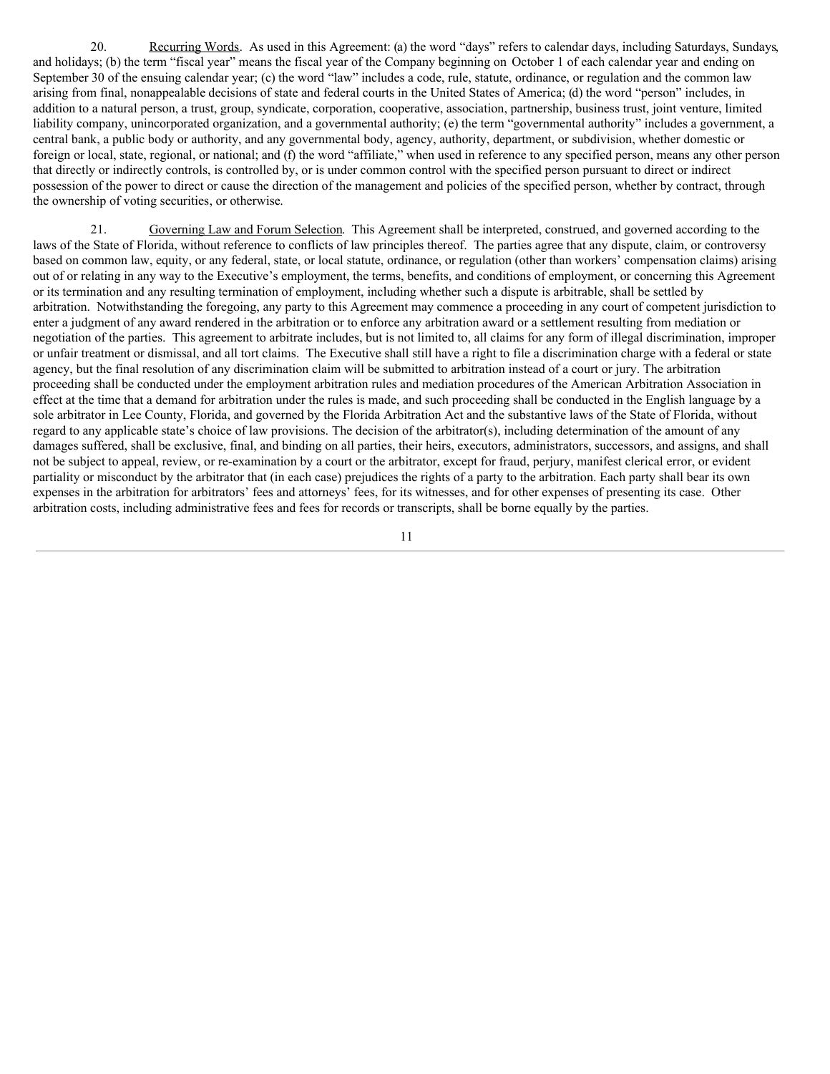<span id="page-15-0"></span>20. Recurring Words. As used in this Agreement: (a) the word "days" refers to calendar days, including Saturdays, Sundays, and holidays; (b) the term "fiscal year" means the fiscal year of the Company beginning on October 1 of each calendar year and ending on September 30 of the ensuing calendar year; (c) the word "law" includes a code, rule, statute, ordinance, or regulation and the common law arising from final, nonappealable decisions of state and federal courts in the United States of America; (d) the word "person" includes, in addition to a natural person, a trust, group, syndicate, corporation, cooperative, association, partnership, business trust, joint venture, limited liability company, unincorporated organization, and a governmental authority; (e) the term "governmental authority" includes a government, a central bank, a public body or authority, and any governmental body, agency, authority, department, or subdivision, whether domestic or foreign or local, state, regional, or national; and (f) the word "affiliate," when used in reference to any specified person, means any other person that directly or indirectly controls, is controlled by, or is under common control with the specified person pursuant to direct or indirect possession of the power to direct or cause the direction of the management and policies of the specified person, whether by contract, through the ownership of voting securities, or otherwise.

21. Governing Law and Forum Selection. This Agreement shall be interpreted, construed, and governed according to the laws of the State of Florida, without reference to conflicts of law principles thereof. The parties agree that any dispute, claim, or controversy based on common law, equity, or any federal, state, or local statute, ordinance, or regulation (other than workers' compensation claims) arising out of or relating in any way to the Executive's employment, the terms, benefits, and conditions of employment, or concerning this Agreement or its termination and any resulting termination of employment, including whether such a dispute is arbitrable, shall be settled by arbitration. Notwithstanding the foregoing, any party to this Agreement may commence a proceeding in any court of competent jurisdiction to enter a judgment of any award rendered in the arbitration or to enforce any arbitration award or a settlement resulting from mediation or negotiation of the parties. This agreement to arbitrate includes, but is not limited to, all claims for any form of illegal discrimination, improper or unfair treatment or dismissal, and all tort claims. The Executive shall still have a right to file a discrimination charge with a federal or state agency, but the final resolution of any discrimination claim will be submitted to arbitration instead of a court or jury. The arbitration proceeding shall be conducted under the employment arbitration rules and mediation procedures of the American Arbitration Association in effect at the time that a demand for arbitration under the rules is made, and such proceeding shall be conducted in the English language by a sole arbitrator in Lee County, Florida, and governed by the Florida Arbitration Act and the substantive laws of the State of Florida, without regard to any applicable state's choice of law provisions. The decision of the arbitrator(s), including determination of the amount of any damages suffered, shall be exclusive, final, and binding on all parties, their heirs, executors, administrators, successors, and assigns, and shall not be subject to appeal, review, or re-examination by a court or the arbitrator, except for fraud, perjury, manifest clerical error, or evident partiality or misconduct by the arbitrator that (in each case) prejudices the rights of a party to the arbitration. Each party shall bear its own expenses in the arbitration for arbitrators' fees and attorneys' fees, for its witnesses, and for other expenses of presenting its case. Other arbitration costs, including administrative fees and fees for records or transcripts, shall be borne equally by the parties.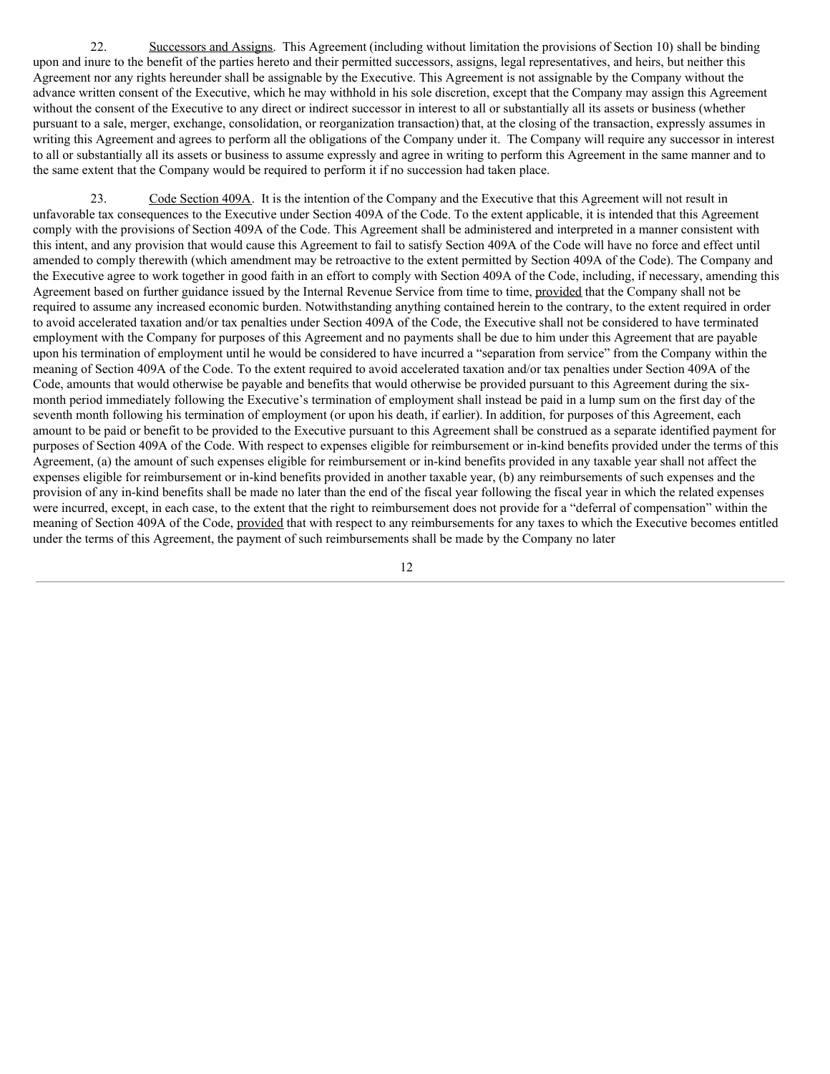22. Successors and Assigns. This Agreement (including without limitation the provisions of Section 10) shall be binding upon and inure to the benefit of the parties hereto and their permitted successors, assigns, legal representatives, and heirs, but neither this Agreement nor any rights hereunder shall be assignable by the Executive. This Agreement is not assignable by the Company without the advance written consent of the Executive, which he may withhold in his sole discretion, except that the Company may assign this Agreement without the consent of the Executive to any direct or indirect successor in interest to all or substantially all its assets or business (whether pursuant to a sale, merger, exchange, consolidation, or reorganization transaction) that, at the closing of the transaction, expressly assumes in writing this Agreement and agrees to perform all the obligations of the Company under it. The Company will require any successor in interest to all or substantially all its assets or business to assume expressly and agree in writing to perform this Agreement in the same manner and to the same extent that the Company would be required to perform it if no succession had taken place.

23. Code Section 409A. It is the intention of the Company and the Executive that this Agreement will not result in unfavorable tax consequences to the Executive under Section 409A of the Code. To the extent applicable, it is intended that this Agreement comply with the provisions of Section 409A of the Code. This Agreement shall be administered and interpreted in a manner consistent with this intent, and any provision that would cause this Agreement to fail to satisfy Section 409A of the Code will have no force and effect until amended to comply therewith (which amendment may be retroactive to the extent permitted by Section 409A of the Code). The Company and the Executive agree to work together in good faith in an effort to comply with Section 409A of the Code, including, if necessary, amending this Agreement based on further guidance issued by the Internal Revenue Service from time to time, provided that the Company shall not be required to assume any increased economic burden. Notwithstanding anything contained herein to the contrary, to the extent required in order to avoid accelerated taxation and/or tax penalties under Section 409A of the Code, the Executive shall not be considered to have terminated employment with the Company for purposes of this Agreement and no payments shall be due to him under this Agreement that are payable upon his termination of employment until he would be considered to have incurred a "separation from service" from the Company within the meaning of Section 409A of the Code. To the extent required to avoid accelerated taxation and/or tax penalties under Section 409A of the Code, amounts that would otherwise be payable and benefits that would otherwise be provided pursuant to this Agreement during the sixmonth period immediately following the Executive's termination of employment shall instead be paid in a lump sum on the first day of the seventh month following his termination of employment (or upon his death, if earlier). In addition, for purposes of this Agreement, each amount to be paid or benefit to be provided to the Executive pursuant to this Agreement shall be construed as a separate identified payment for purposes of Section 409A of the Code. With respect to expenses eligible for reimbursement or in-kind benefits provided under the terms of this Agreement, (a) the amount of such expenses eligible for reimbursement or in-kind benefits provided in any taxable year shall not affect the expenses eligible for reimbursement or in-kind benefits provided in another taxable year, (b) any reimbursements of such expenses and the provision of any in-kind benefits shall be made no later than the end of the fiscal year following the fiscal year in which the related expenses were incurred, except, in each case, to the extent that the right to reimbursement does not provide for a "deferral of compensation" within the meaning of Section 409A of the Code, provided that with respect to any reimbursements for any taxes to which the Executive becomes entitled under the terms of this Agreement, the payment of such reimbursements shall be made by the Company no later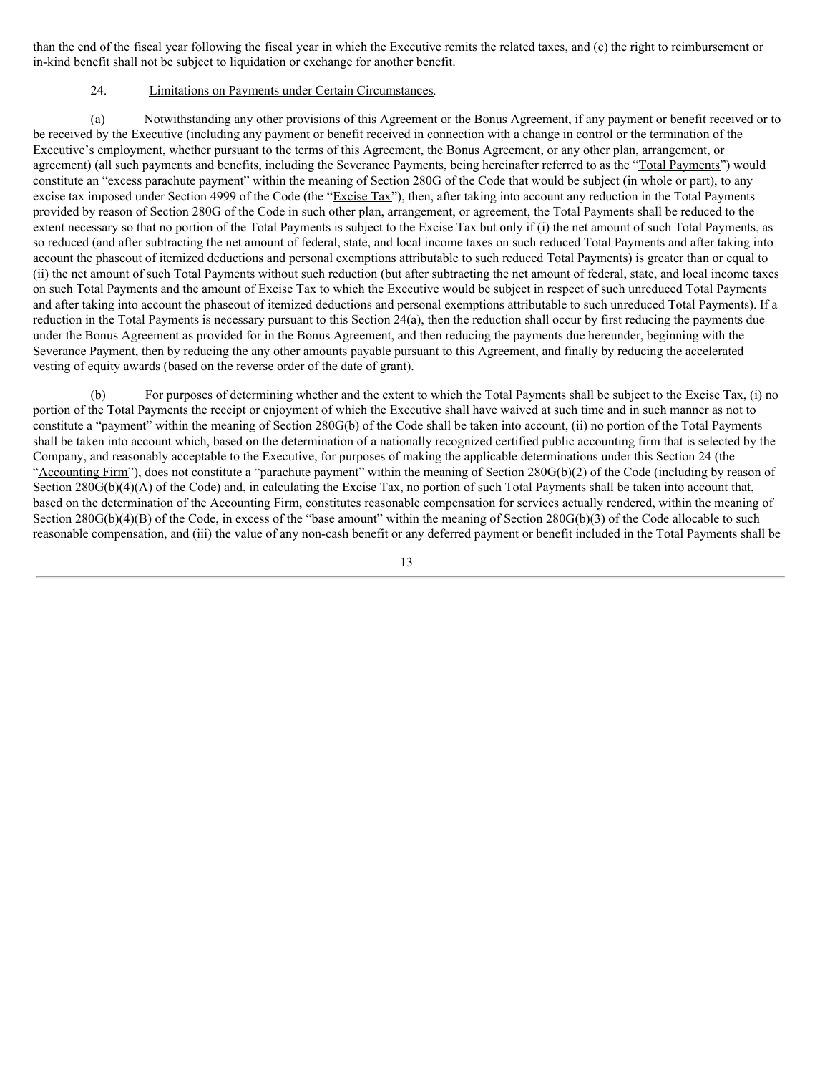than the end of the fiscal year following the fiscal year in which the Executive remits the related taxes, and (c) the right to reimbursement or in-kind benefit shall not be subject to liquidation or exchange for another benefit.

# 24. Limitations on Payments under Certain Circumstances.

(a) Notwithstanding any other provisions of this Agreement or the Bonus Agreement, if any payment or benefit received or to be received by the Executive (including any payment or benefit received in connection with a change in control or the termination of the Executive's employment, whether pursuant to the terms of this Agreement, the Bonus Agreement, or any other plan, arrangement, or agreement) (all such payments and benefits, including the Severance Payments, being hereinafter referred to as the "Total Payments") would constitute an "excess parachute payment" within the meaning of Section 280G of the Code that would be subject (in whole or part), to any excise tax imposed under Section 4999 of the Code (the "Excise Tax"), then, after taking into account any reduction in the Total Payments provided by reason of Section 280G of the Code in such other plan, arrangement, or agreement, the Total Payments shall be reduced to the extent necessary so that no portion of the Total Payments is subject to the Excise Tax but only if (i) the net amount of such Total Payments, as so reduced (and after subtracting the net amount of federal, state, and local income taxes on such reduced Total Payments and after taking into account the phaseout of itemized deductions and personal exemptions attributable to such reduced Total Payments) is greater than or equal to (ii) the net amount of such Total Payments without such reduction (but after subtracting the net amount of federal, state, and local income taxes on such Total Payments and the amount of Excise Tax to which the Executive would be subject in respect of such unreduced Total Payments and after taking into account the phaseout of itemized deductions and personal exemptions attributable to such unreduced Total Payments). If a reduction in the Total Payments is necessary pursuant to this Section 24(a), then the reduction shall occur by first reducing the payments due under the Bonus Agreement as provided for in the Bonus Agreement, and then reducing the payments due hereunder, beginning with the Severance Payment, then by reducing the any other amounts payable pursuant to this Agreement, and finally by reducing the accelerated vesting of equity awards (based on the reverse order of the date of grant).

(b) For purposes of determining whether and the extent to which the Total Payments shall be subject to the Excise Tax, (i) no portion of the Total Payments the receipt or enjoyment of which the Executive shall have waived at such time and in such manner as not to constitute a "payment" within the meaning of Section 280G(b) of the Code shall be taken into account, (ii) no portion of the Total Payments shall be taken into account which, based on the determination of a nationally recognized certified public accounting firm that is selected by the Company, and reasonably acceptable to the Executive, for purposes of making the applicable determinations under this Section 24 (the "Accounting Firm"), does not constitute a "parachute payment" within the meaning of Section 280G(b)(2) of the Code (including by reason of Section 280G(b)(4)(A) of the Code) and, in calculating the Excise Tax, no portion of such Total Payments shall be taken into account that, based on the determination of the Accounting Firm, constitutes reasonable compensation for services actually rendered, within the meaning of Section 280G(b)(4)(B) of the Code, in excess of the "base amount" within the meaning of Section 280G(b)(3) of the Code allocable to such reasonable compensation, and (iii) the value of any non-cash benefit or any deferred payment or benefit included in the Total Payments shall be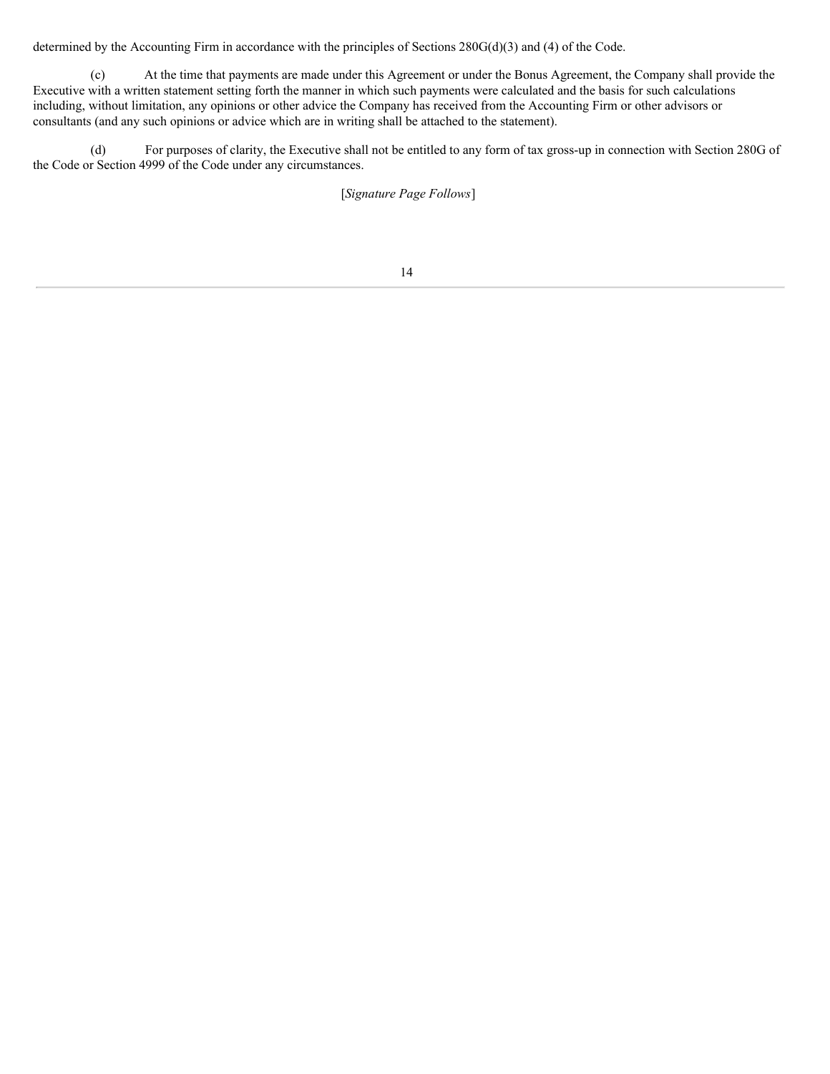determined by the Accounting Firm in accordance with the principles of Sections 280G(d)(3) and (4) of the Code.

(c) At the time that payments are made under this Agreement or under the Bonus Agreement, the Company shall provide the Executive with a written statement setting forth the manner in which such payments were calculated and the basis for such calculations including, without limitation, any opinions or other advice the Company has received from the Accounting Firm or other advisors or consultants (and any such opinions or advice which are in writing shall be attached to the statement).

(d) For purposes of clarity, the Executive shall not be entitled to any form of tax gross-up in connection with Section 280G of the Code or Section 4999 of the Code under any circumstances.

[*Signature Page Follows*]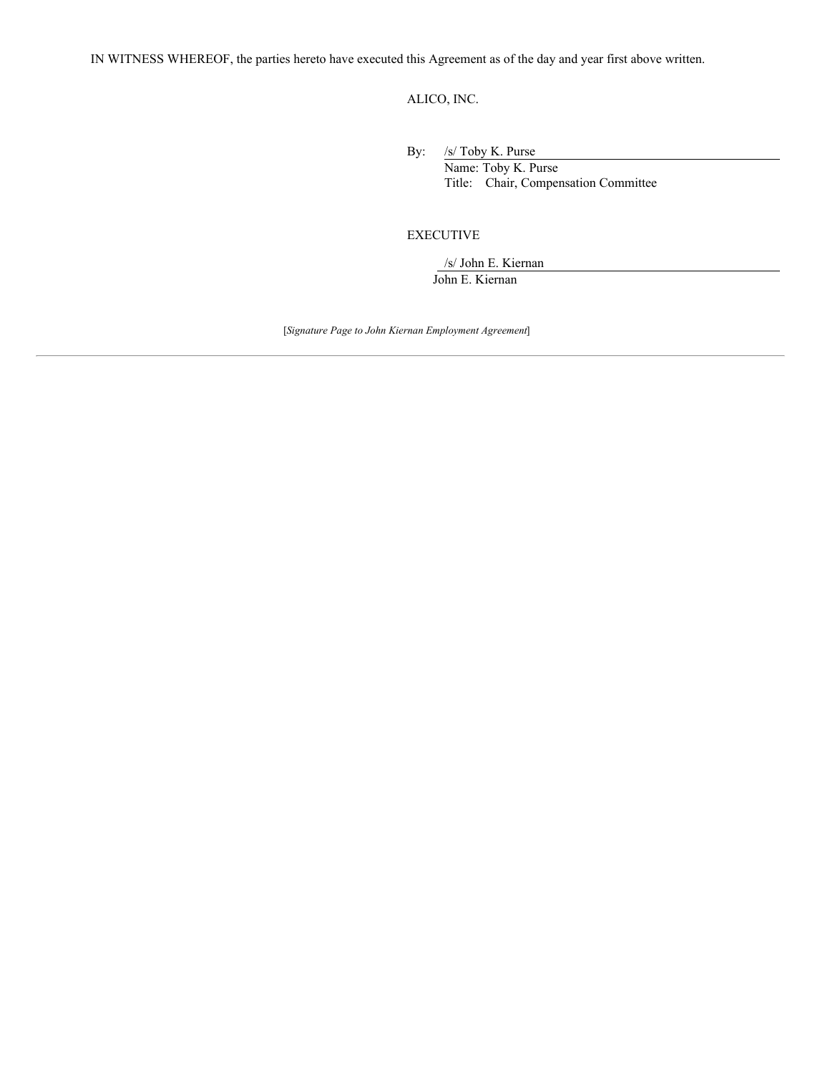IN WITNESS WHEREOF, the parties hereto have executed this Agreement as of the day and year first above written.

ALICO, INC.

By: /s/ Toby K. Purse

Name: Toby K. Purse Title: Chair, Compensation Committee

# EXECUTIVE

/s/ John E. Kiernan John E. Kiernan

[*Signature Page to John Kiernan Employment Agreement*]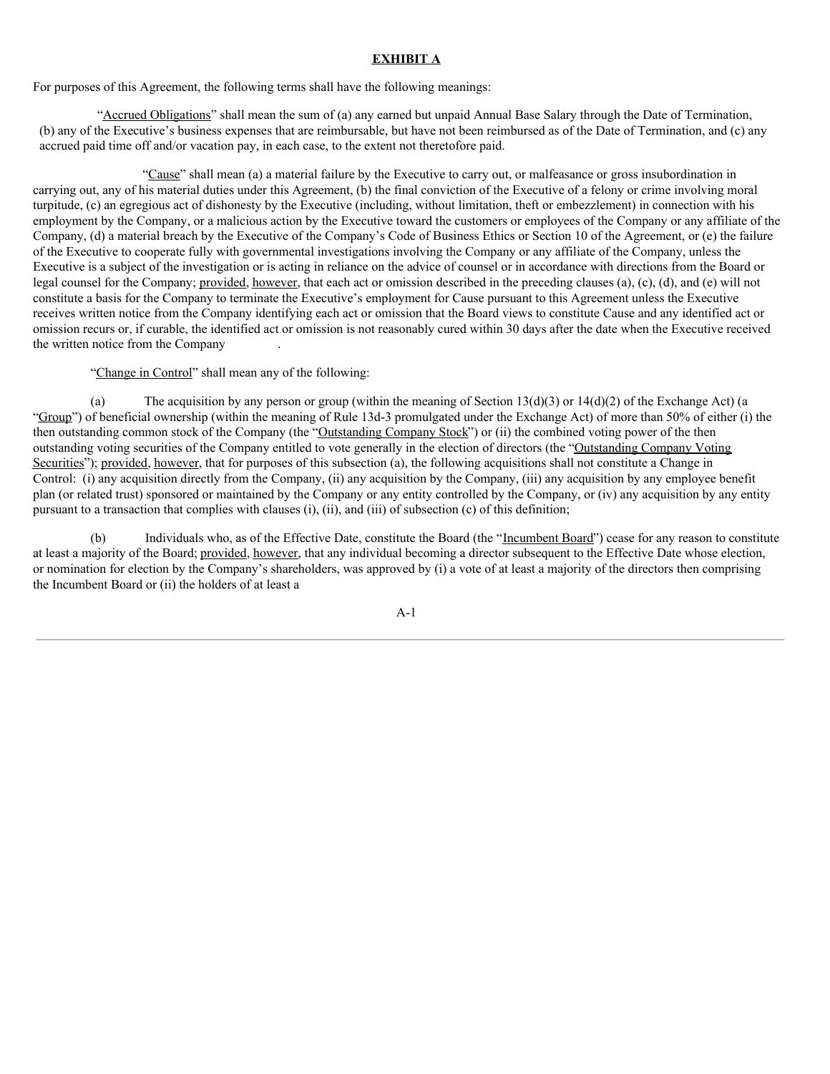# **EXHIBIT A**

For purposes of this Agreement, the following terms shall have the following meanings:

"Accrued Obligations" shall mean the sum of (a) any earned but unpaid Annual Base Salary through the Date of Termination, (b) any of the Executive's business expenses that are reimbursable, but have not been reimbursed as of the Date of Termination, and (c) any accrued paid time off and/or vacation pay, in each case, to the extent not theretofore paid.

"Cause" shall mean (a) a material failure by the Executive to carry out, or malfeasance or gross insubordination in carrying out, any of his material duties under this Agreement, (b) the final conviction of the Executive of a felony or crime involving moral turpitude, (c) an egregious act of dishonesty by the Executive (including, without limitation, theft or embezzlement) in connection with his employment by the Company, or a malicious action by the Executive toward the customers or employees of the Company or any affiliate of the Company, (d) a material breach by the Executive of the Company's Code of Business Ethics or Section 10 of the Agreement, or (e) the failure of the Executive to cooperate fully with governmental investigations involving the Company or any affiliate of the Company, unless the Executive is a subject of the investigation or is acting in reliance on the advice of counsel or in accordance with directions from the Board or legal counsel for the Company; provided, however, that each act or omission described in the preceding clauses (a), (c), (d), and (e) will not constitute a basis for the Company to terminate the Executive's employment for Cause pursuant to this Agreement unless the Executive receives written notice from the Company identifying each act or omission that the Board views to constitute Cause and any identified act or omission recurs or, if curable, the identified act or omission is not reasonably cured within 30 days after the date when the Executive received the written notice from the Company .

"Change in Control" shall mean any of the following:

(a) The acquisition by any person or group (within the meaning of Section 13(d)(3) or 14(d)(2) of the Exchange Act) (a "Group") of beneficial ownership (within the meaning of Rule 13d-3 promulgated under the Exchange Act) of more than 50% of either (i) the then outstanding common stock of the Company (the "Outstanding Company Stock") or (ii) the combined voting power of the then outstanding voting securities of the Company entitled to vote generally in the election of directors (the "Outstanding Company Voting Securities"); provided, however, that for purposes of this subsection (a), the following acquisitions shall not constitute a Change in Control: (i) any acquisition directly from the Company, (ii) any acquisition by the Company, (iii) any acquisition by any employee benefit plan (or related trust) sponsored or maintained by the Company or any entity controlled by the Company, or (iv) any acquisition by any entity pursuant to a transaction that complies with clauses (i), (ii), and (iii) of subsection (c) of this definition;

Individuals who, as of the Effective Date, constitute the Board (the "Incumbent Board") cease for any reason to constitute at least a majority of the Board; provided, however, that any individual becoming a director subsequent to the Effective Date whose election, or nomination for election by the Company's shareholders, was approved by (i) a vote of at least a majority of the directors then comprising the Incumbent Board or (ii) the holders of at least a

A-1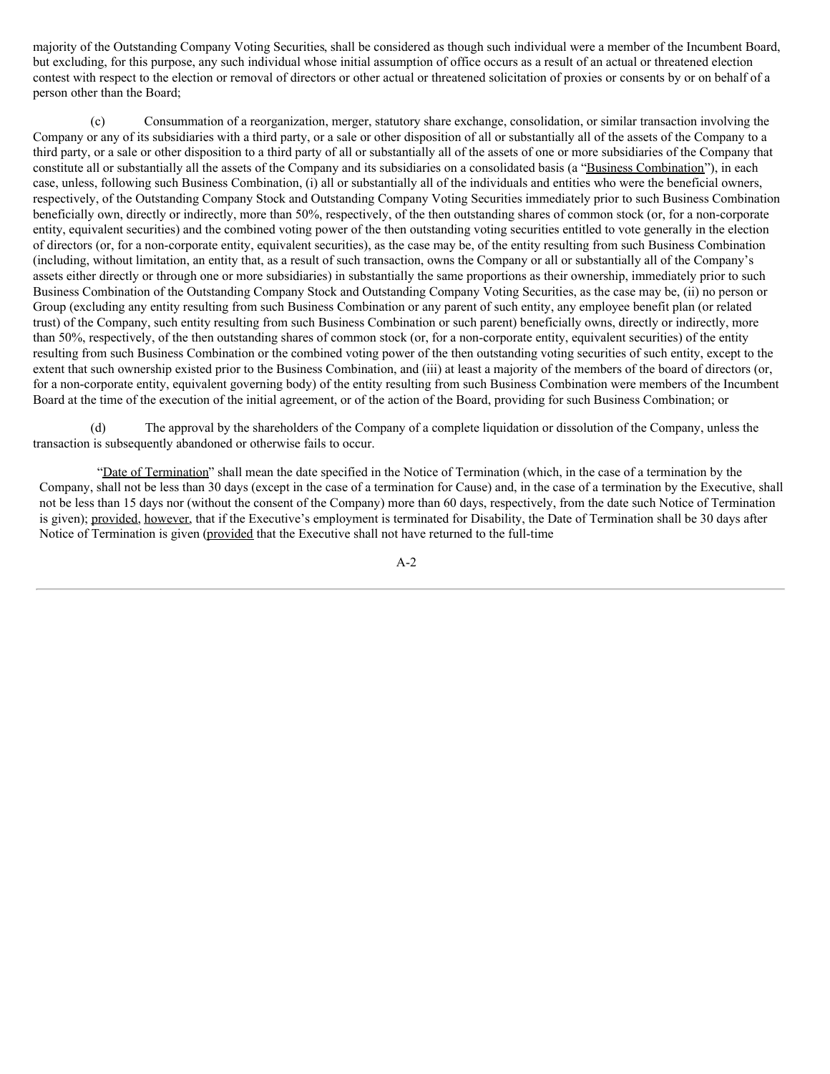majority of the Outstanding Company Voting Securities, shall be considered as though such individual were a member of the Incumbent Board, but excluding, for this purpose, any such individual whose initial assumption of office occurs as a result of an actual or threatened election contest with respect to the election or removal of directors or other actual or threatened solicitation of proxies or consents by or on behalf of a person other than the Board;

(c) Consummation of a reorganization, merger, statutory share exchange, consolidation, or similar transaction involving the Company or any of its subsidiaries with a third party, or a sale or other disposition of all or substantially all of the assets of the Company to a third party, or a sale or other disposition to a third party of all or substantially all of the assets of one or more subsidiaries of the Company that constitute all or substantially all the assets of the Company and its subsidiaries on a consolidated basis (a "Business Combination"), in each case, unless, following such Business Combination, (i) all or substantially all of the individuals and entities who were the beneficial owners, respectively, of the Outstanding Company Stock and Outstanding Company Voting Securities immediately prior to such Business Combination beneficially own, directly or indirectly, more than 50%, respectively, of the then outstanding shares of common stock (or, for a non-corporate entity, equivalent securities) and the combined voting power of the then outstanding voting securities entitled to vote generally in the election of directors (or, for a non-corporate entity, equivalent securities), as the case may be, of the entity resulting from such Business Combination (including, without limitation, an entity that, as a result of such transaction, owns the Company or all or substantially all of the Company's assets either directly or through one or more subsidiaries) in substantially the same proportions as their ownership, immediately prior to such Business Combination of the Outstanding Company Stock and Outstanding Company Voting Securities, as the case may be, (ii) no person or Group (excluding any entity resulting from such Business Combination or any parent of such entity, any employee benefit plan (or related trust) of the Company, such entity resulting from such Business Combination or such parent) beneficially owns, directly or indirectly, more than 50%, respectively, of the then outstanding shares of common stock (or, for a non-corporate entity, equivalent securities) of the entity resulting from such Business Combination or the combined voting power of the then outstanding voting securities of such entity, except to the extent that such ownership existed prior to the Business Combination, and (iii) at least a majority of the members of the board of directors (or, for a non-corporate entity, equivalent governing body) of the entity resulting from such Business Combination were members of the Incumbent Board at the time of the execution of the initial agreement, or of the action of the Board, providing for such Business Combination; or

(d) The approval by the shareholders of the Company of a complete liquidation or dissolution of the Company, unless the transaction is subsequently abandoned or otherwise fails to occur.

"Date of Termination" shall mean the date specified in the Notice of Termination (which, in the case of a termination by the Company, shall not be less than 30 days (except in the case of a termination for Cause) and, in the case of a termination by the Executive, shall not be less than 15 days nor (without the consent of the Company) more than 60 days, respectively, from the date such Notice of Termination is given); provided, however, that if the Executive's employment is terminated for Disability, the Date of Termination shall be 30 days after Notice of Termination is given (provided that the Executive shall not have returned to the full-time

A-2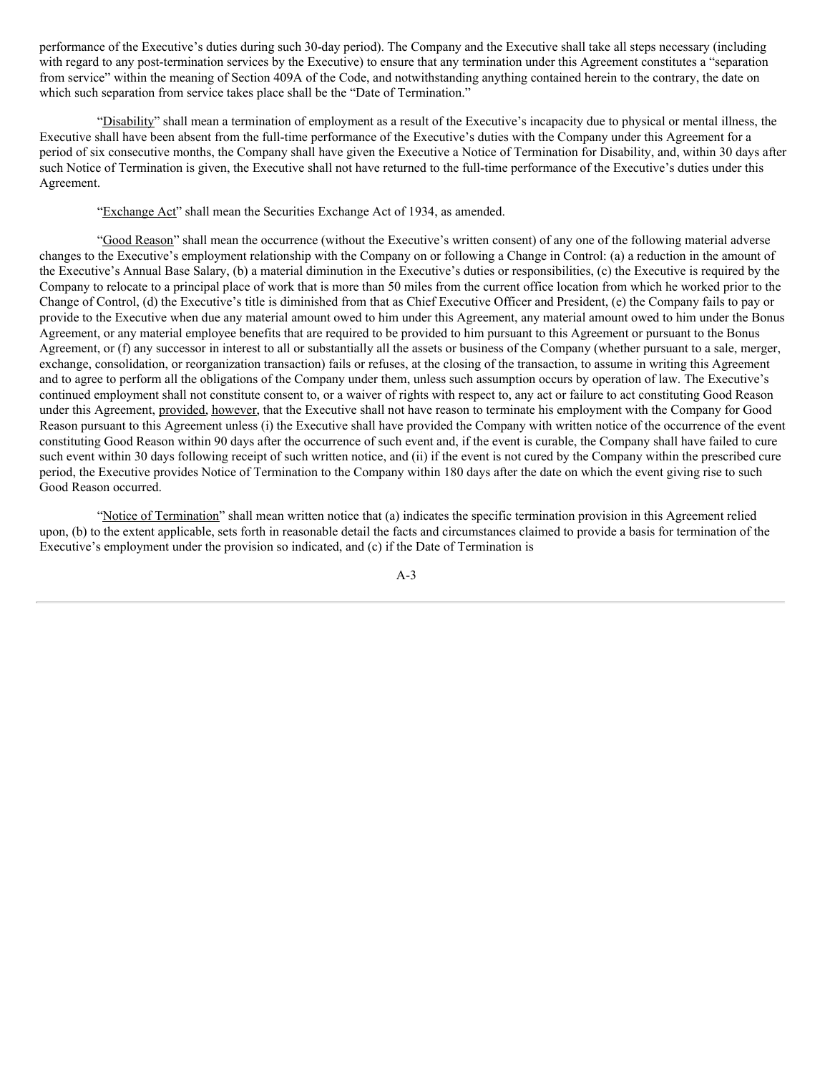performance of the Executive's duties during such 30-day period). The Company and the Executive shall take all steps necessary (including with regard to any post-termination services by the Executive) to ensure that any termination under this Agreement constitutes a "separation" from service" within the meaning of Section 409A of the Code, and notwithstanding anything contained herein to the contrary, the date on which such separation from service takes place shall be the "Date of Termination."

"Disability" shall mean a termination of employment as a result of the Executive's incapacity due to physical or mental illness, the Executive shall have been absent from the full-time performance of the Executive's duties with the Company under this Agreement for a period of six consecutive months, the Company shall have given the Executive a Notice of Termination for Disability, and, within 30 days after such Notice of Termination is given, the Executive shall not have returned to the full-time performance of the Executive's duties under this Agreement.

"Exchange Act" shall mean the Securities Exchange Act of 1934, as amended.

"Good Reason" shall mean the occurrence (without the Executive's written consent) of any one of the following material adverse changes to the Executive's employment relationship with the Company on or following a Change in Control: (a) a reduction in the amount of the Executive's Annual Base Salary, (b) a material diminution in the Executive's duties or responsibilities, (c) the Executive is required by the Company to relocate to a principal place of work that is more than 50 miles from the current office location from which he worked prior to the Change of Control, (d) the Executive's title is diminished from that as Chief Executive Officer and President, (e) the Company fails to pay or provide to the Executive when due any material amount owed to him under this Agreement, any material amount owed to him under the Bonus Agreement, or any material employee benefits that are required to be provided to him pursuant to this Agreement or pursuant to the Bonus Agreement, or (f) any successor in interest to all or substantially all the assets or business of the Company (whether pursuant to a sale, merger, exchange, consolidation, or reorganization transaction) fails or refuses, at the closing of the transaction, to assume in writing this Agreement and to agree to perform all the obligations of the Company under them, unless such assumption occurs by operation of law. The Executive's continued employment shall not constitute consent to, or a waiver of rights with respect to, any act or failure to act constituting Good Reason under this Agreement, provided, however, that the Executive shall not have reason to terminate his employment with the Company for Good Reason pursuant to this Agreement unless (i) the Executive shall have provided the Company with written notice of the occurrence of the event constituting Good Reason within 90 days after the occurrence of such event and, if the event is curable, the Company shall have failed to cure such event within 30 days following receipt of such written notice, and (ii) if the event is not cured by the Company within the prescribed cure period, the Executive provides Notice of Termination to the Company within 180 days after the date on which the event giving rise to such Good Reason occurred.

"Notice of Termination" shall mean written notice that (a) indicates the specific termination provision in this Agreement relied upon, (b) to the extent applicable, sets forth in reasonable detail the facts and circumstances claimed to provide a basis for termination of the Executive's employment under the provision so indicated, and (c) if the Date of Termination is

A-3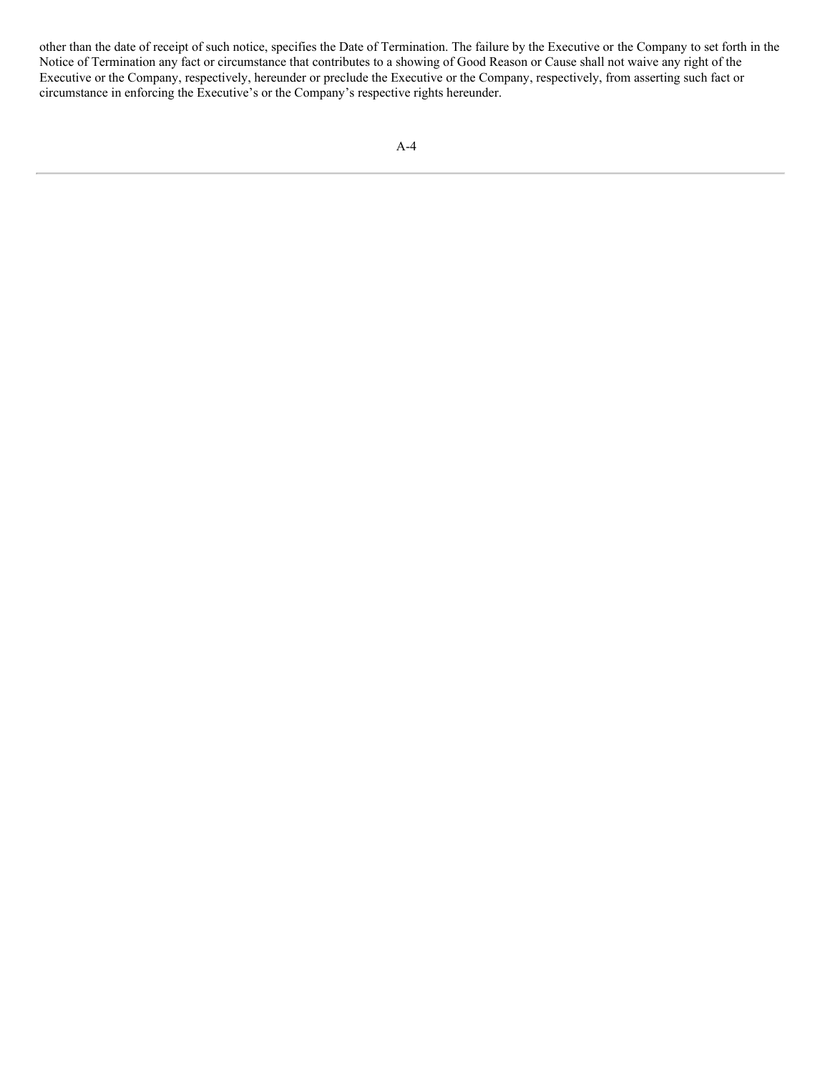other than the date of receipt of such notice, specifies the Date of Termination. The failure by the Executive or the Company to set forth in the Notice of Termination any fact or circumstance that contributes to a showing of Good Reason or Cause shall not waive any right of the Executive or the Company, respectively, hereunder or preclude the Executive or the Company, respectively, from asserting such fact or circumstance in enforcing the Executive's or the Company's respective rights hereunder.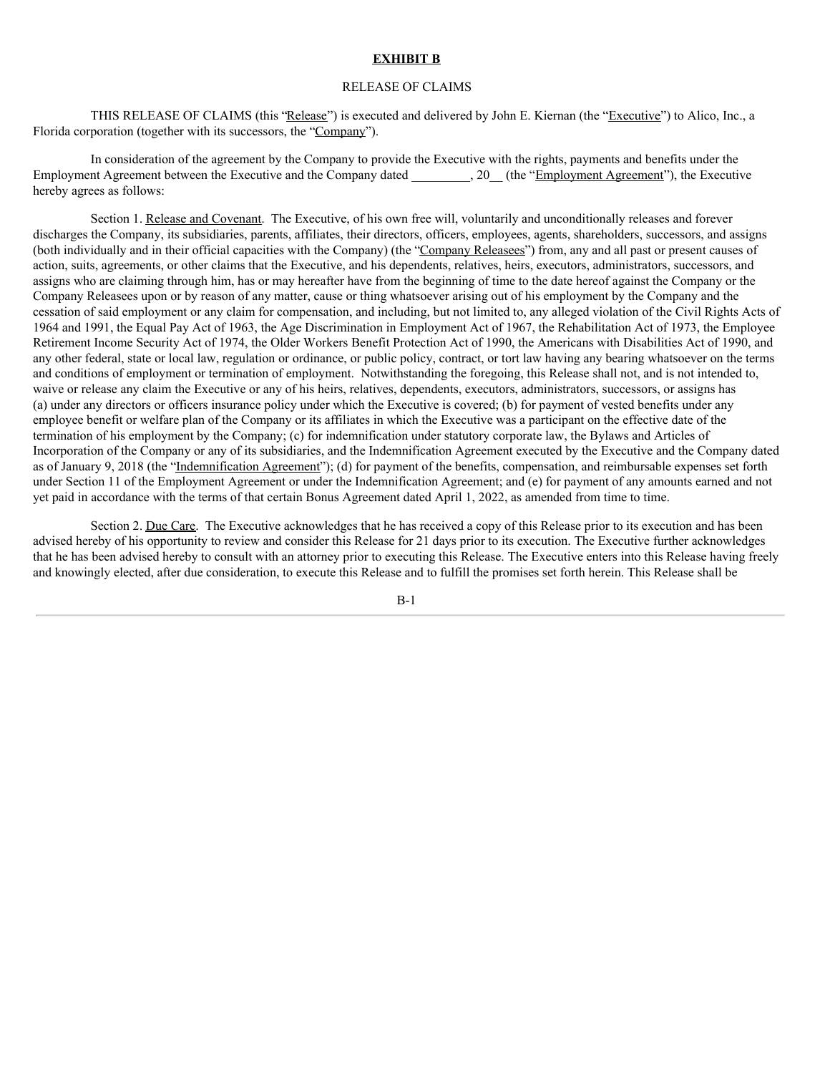# **EXHIBIT B**

### RELEASE OF CLAIMS

THIS RELEASE OF CLAIMS (this "Release") is executed and delivered by John E. Kiernan (the "Executive") to Alico, Inc., a Florida corporation (together with its successors, the "Company").

In consideration of the agreement by the Company to provide the Executive with the rights, payments and benefits under the Employment Agreement between the Executive and the Company dated . 20 (the "Employment Agreement"), the Executive hereby agrees as follows:

Section 1. Release and Covenant. The Executive, of his own free will, voluntarily and unconditionally releases and forever discharges the Company, its subsidiaries, parents, affiliates, their directors, officers, employees, agents, shareholders, successors, and assigns (both individually and in their official capacities with the Company) (the "Company Releasees") from, any and all past or present causes of action, suits, agreements, or other claims that the Executive, and his dependents, relatives, heirs, executors, administrators, successors, and assigns who are claiming through him, has or may hereafter have from the beginning of time to the date hereof against the Company or the Company Releasees upon or by reason of any matter, cause or thing whatsoever arising out of his employment by the Company and the cessation of said employment or any claim for compensation, and including, but not limited to, any alleged violation of the Civil Rights Acts of 1964 and 1991, the Equal Pay Act of 1963, the Age Discrimination in Employment Act of 1967, the Rehabilitation Act of 1973, the Employee Retirement Income Security Act of 1974, the Older Workers Benefit Protection Act of 1990, the Americans with Disabilities Act of 1990, and any other federal, state or local law, regulation or ordinance, or public policy, contract, or tort law having any bearing whatsoever on the terms and conditions of employment or termination of employment. Notwithstanding the foregoing, this Release shall not, and is not intended to, waive or release any claim the Executive or any of his heirs, relatives, dependents, executors, administrators, successors, or assigns has (a) under any directors or officers insurance policy under which the Executive is covered; (b) for payment of vested benefits under any employee benefit or welfare plan of the Company or its affiliates in which the Executive was a participant on the effective date of the termination of his employment by the Company; (c) for indemnification under statutory corporate law, the Bylaws and Articles of Incorporation of the Company or any of its subsidiaries, and the Indemnification Agreement executed by the Executive and the Company dated as of January 9, 2018 (the "Indemnification Agreement"); (d) for payment of the benefits, compensation, and reimbursable expenses set forth under Section 11 of the Employment Agreement or under the Indemnification Agreement; and (e) for payment of any amounts earned and not yet paid in accordance with the terms of that certain Bonus Agreement dated April 1, 2022, as amended from time to time.

Section 2. Due Care. The Executive acknowledges that he has received a copy of this Release prior to its execution and has been advised hereby of his opportunity to review and consider this Release for 21 days prior to its execution. The Executive further acknowledges that he has been advised hereby to consult with an attorney prior to executing this Release. The Executive enters into this Release having freely and knowingly elected, after due consideration, to execute this Release and to fulfill the promises set forth herein. This Release shall be

B-1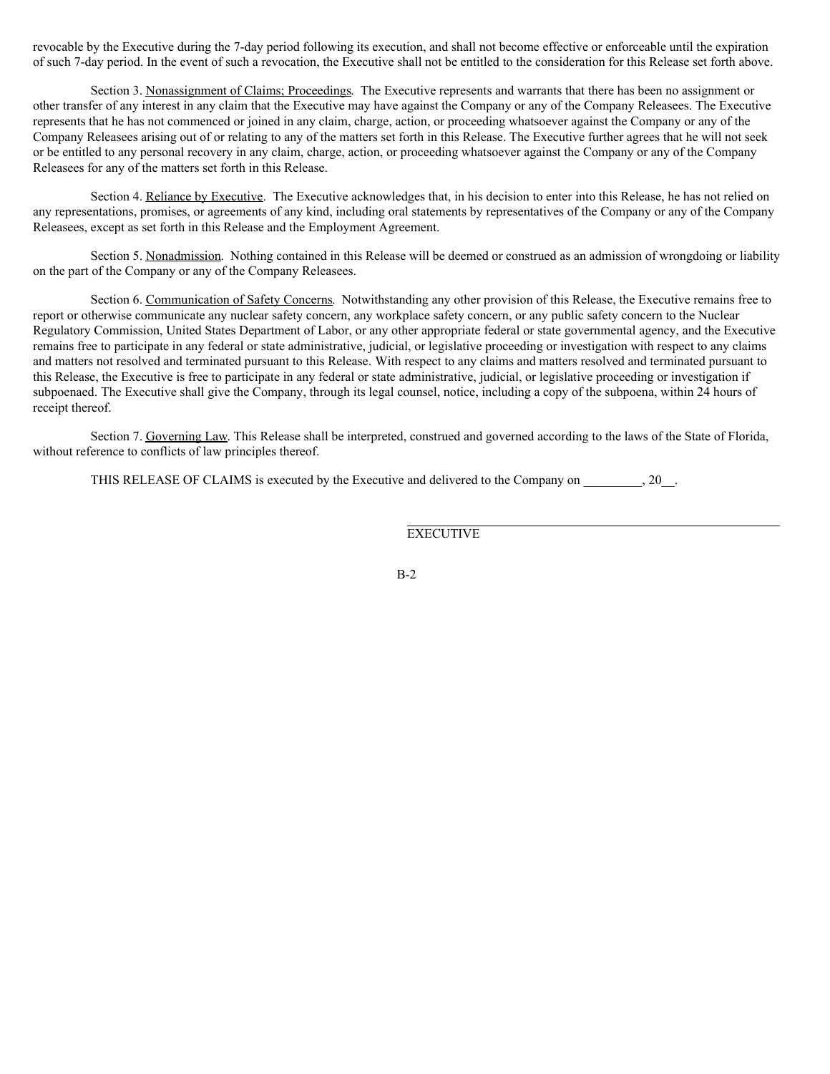revocable by the Executive during the 7-day period following its execution, and shall not become effective or enforceable until the expiration of such 7-day period. In the event of such a revocation, the Executive shall not be entitled to the consideration for this Release set forth above.

Section 3. Nonassignment of Claims; Proceedings. The Executive represents and warrants that there has been no assignment or other transfer of any interest in any claim that the Executive may have against the Company or any of the Company Releasees. The Executive represents that he has not commenced or joined in any claim, charge, action, or proceeding whatsoever against the Company or any of the Company Releasees arising out of or relating to any of the matters set forth in this Release. The Executive further agrees that he will not seek or be entitled to any personal recovery in any claim, charge, action, or proceeding whatsoever against the Company or any of the Company Releasees for any of the matters set forth in this Release.

Section 4. Reliance by Executive. The Executive acknowledges that, in his decision to enter into this Release, he has not relied on any representations, promises, or agreements of any kind, including oral statements by representatives of the Company or any of the Company Releasees, except as set forth in this Release and the Employment Agreement.

Section 5. Nonadmission. Nothing contained in this Release will be deemed or construed as an admission of wrongdoing or liability on the part of the Company or any of the Company Releasees.

Section 6. Communication of Safety Concerns. Notwithstanding any other provision of this Release, the Executive remains free to report or otherwise communicate any nuclear safety concern, any workplace safety concern, or any public safety concern to the Nuclear Regulatory Commission, United States Department of Labor, or any other appropriate federal or state governmental agency, and the Executive remains free to participate in any federal or state administrative, judicial, or legislative proceeding or investigation with respect to any claims and matters not resolved and terminated pursuant to this Release. With respect to any claims and matters resolved and terminated pursuant to this Release, the Executive is free to participate in any federal or state administrative, judicial, or legislative proceeding or investigation if subpoenaed. The Executive shall give the Company, through its legal counsel, notice, including a copy of the subpoena, within 24 hours of receipt thereof.

Section 7. Governing Law. This Release shall be interpreted, construed and governed according to the laws of the State of Florida, without reference to conflicts of law principles thereof.

THIS RELEASE OF CLAIMS is executed by the Executive and delivered to the Company on  $\qquad \qquad$  . 20.

**EXECUTIVE** 

B-2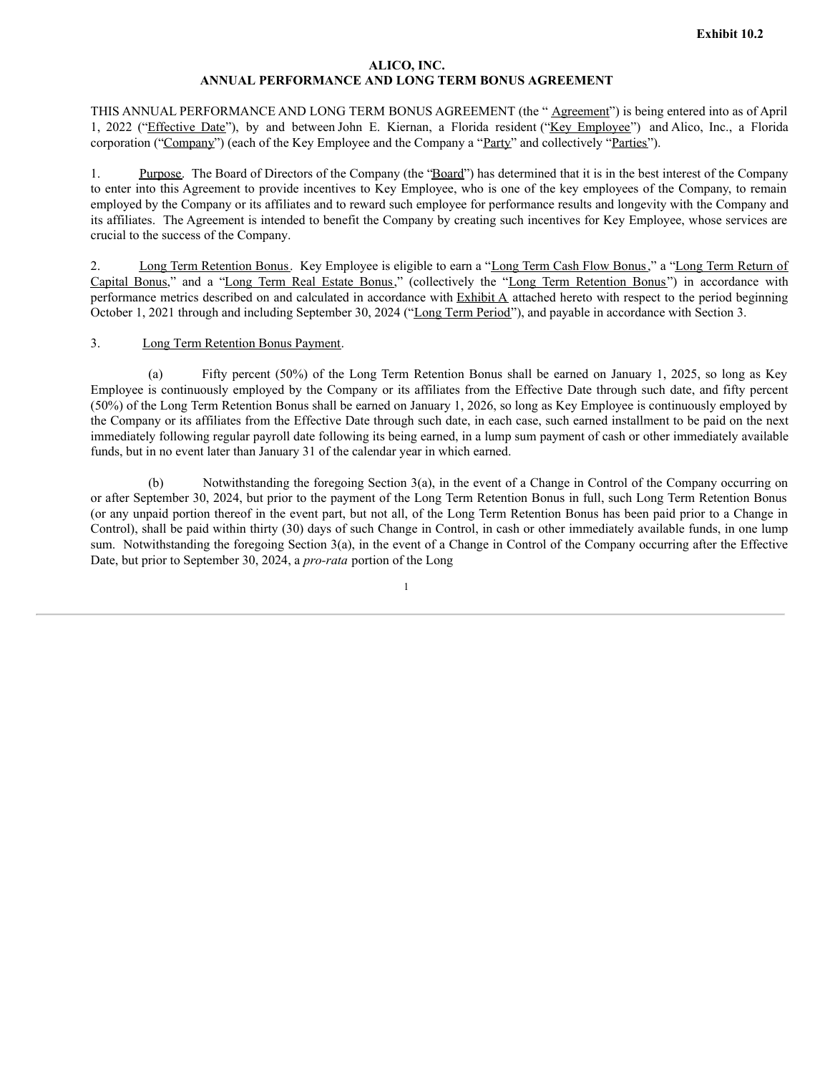# **ALICO, INC. ANNUAL PERFORMANCE AND LONG TERM BONUS AGREEMENT**

THIS ANNUAL PERFORMANCE AND LONG TERM BONUS AGREEMENT (the "Agreement") is being entered into as of April 1, 2022 ("Effective Date"), by and between John E. Kiernan, a Florida resident ("Key Employee") and Alico, Inc., a Florida corporation ("Company") (each of the Key Employee and the Company a "Party" and collectively "Parties").

1. Purpose. The Board of Directors of the Company (the "Board") has determined that it is in the best interest of the Company to enter into this Agreement to provide incentives to Key Employee, who is one of the key employees of the Company, to remain employed by the Company or its affiliates and to reward such employee for performance results and longevity with the Company and its affiliates. The Agreement is intended to benefit the Company by creating such incentives for Key Employee, whose services are crucial to the success of the Company.

2. Long Term Retention Bonus. Key Employee is eligible to earn a "Long Term Cash Flow Bonus," a "Long Term Return of Capital Bonus," and a "Long Term Real Estate Bonus," (collectively the "Long Term Retention Bonus") in accordance with performance metrics described on and calculated in accordance with  $\overline{\text{Exhibit A}}$  attached hereto with respect to the period beginning October 1, 2021 through and including September 30, 2024 ("Long Term Period"), and payable in accordance with Section 3.

# 3. Long Term Retention Bonus Payment.

(a) Fifty percent (50%) of the Long Term Retention Bonus shall be earned on January 1, 2025, so long as Key Employee is continuously employed by the Company or its affiliates from the Effective Date through such date, and fifty percent (50%) of the Long Term Retention Bonus shall be earned on January 1, 2026, so long as Key Employee is continuously employed by the Company or its affiliates from the Effective Date through such date, in each case, such earned installment to be paid on the next immediately following regular payroll date following its being earned, in a lump sum payment of cash or other immediately available funds, but in no event later than January 31 of the calendar year in which earned.

Notwithstanding the foregoing Section 3(a), in the event of a Change in Control of the Company occurring on or after September 30, 2024, but prior to the payment of the Long Term Retention Bonus in full, such Long Term Retention Bonus (or any unpaid portion thereof in the event part, but not all, of the Long Term Retention Bonus has been paid prior to a Change in Control), shall be paid within thirty (30) days of such Change in Control, in cash or other immediately available funds, in one lump sum. Notwithstanding the foregoing Section 3(a), in the event of a Change in Control of the Company occurring after the Effective Date, but prior to September 30, 2024, a *pro-rata* portion of the Long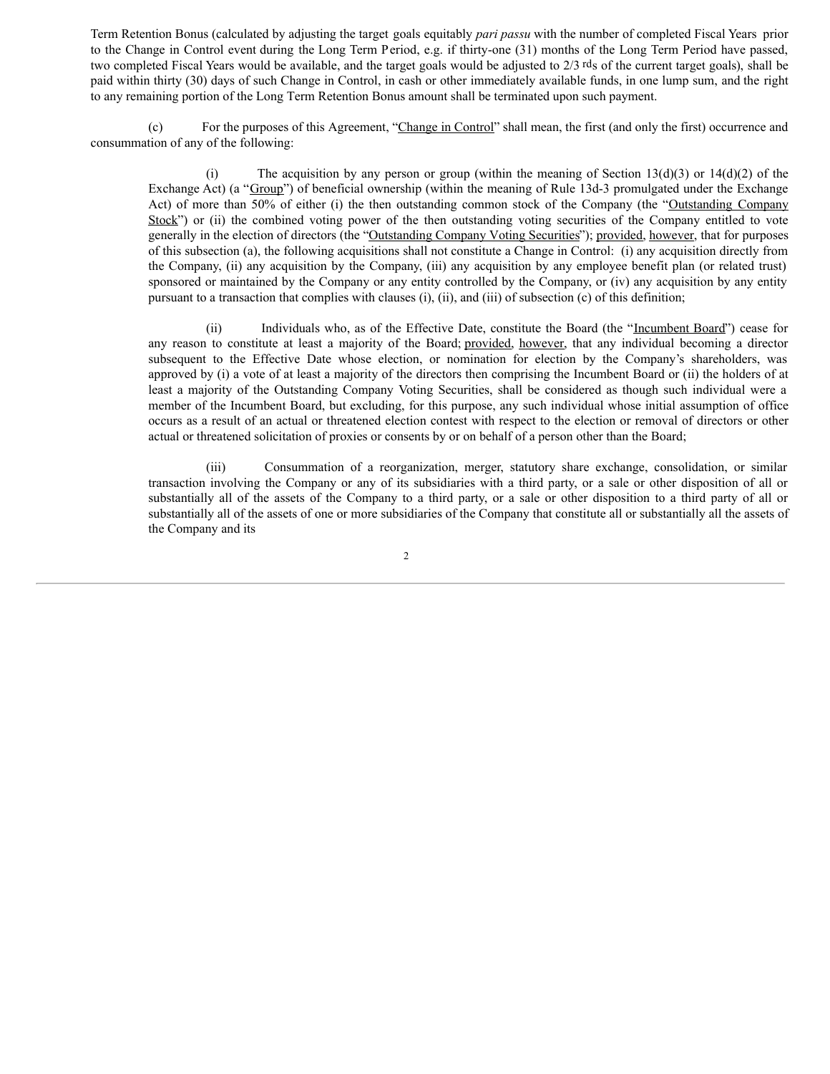Term Retention Bonus (calculated by adjusting the target goals equitably *pari passu* with the number of completed Fiscal Years prior to the Change in Control event during the Long Term Period, e.g. if thirty-one (31) months of the Long Term Period have passed, two completed Fiscal Years would be available, and the target goals would be adjusted to 2/3 rds of the current target goals), shall be paid within thirty (30) days of such Change in Control, in cash or other immediately available funds, in one lump sum, and the right to any remaining portion of the Long Term Retention Bonus amount shall be terminated upon such payment.

(c) For the purposes of this Agreement, "Change in Control" shall mean, the first (and only the first) occurrence and consummation of any of the following:

(i) The acquisition by any person or group (within the meaning of Section 13(d)(3) or 14(d)(2) of the Exchange Act) (a "Group") of beneficial ownership (within the meaning of Rule 13d-3 promulgated under the Exchange Act) of more than 50% of either (i) the then outstanding common stock of the Company (the "Outstanding Company Stock") or (ii) the combined voting power of the then outstanding voting securities of the Company entitled to vote generally in the election of directors (the "Outstanding Company Voting Securities"); provided, however, that for purposes of this subsection (a), the following acquisitions shall not constitute a Change in Control: (i) any acquisition directly from the Company, (ii) any acquisition by the Company, (iii) any acquisition by any employee benefit plan (or related trust) sponsored or maintained by the Company or any entity controlled by the Company, or (iv) any acquisition by any entity pursuant to a transaction that complies with clauses (i), (ii), and (iii) of subsection (c) of this definition;

(ii) Individuals who, as of the Effective Date, constitute the Board (the "Incumbent Board") cease for any reason to constitute at least a majority of the Board; provided, however, that any individual becoming a director subsequent to the Effective Date whose election, or nomination for election by the Company's shareholders, was approved by (i) a vote of at least a majority of the directors then comprising the Incumbent Board or (ii) the holders of at least a majority of the Outstanding Company Voting Securities, shall be considered as though such individual were a member of the Incumbent Board, but excluding, for this purpose, any such individual whose initial assumption of office occurs as a result of an actual or threatened election contest with respect to the election or removal of directors or other actual or threatened solicitation of proxies or consents by or on behalf of a person other than the Board;

(iii) Consummation of a reorganization, merger, statutory share exchange, consolidation, or similar transaction involving the Company or any of its subsidiaries with a third party, or a sale or other disposition of all or substantially all of the assets of the Company to a third party, or a sale or other disposition to a third party of all or substantially all of the assets of one or more subsidiaries of the Company that constitute all or substantially all the assets of the Company and its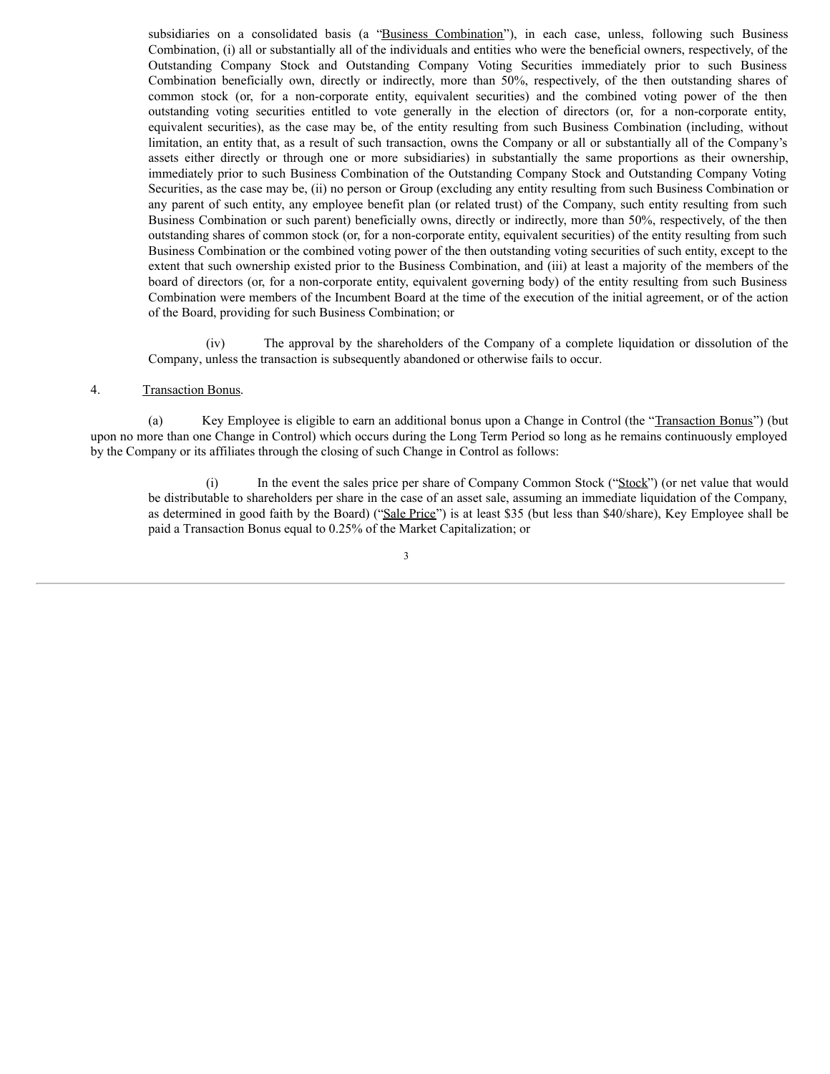subsidiaries on a consolidated basis (a "Business Combination"), in each case, unless, following such Business Combination, (i) all or substantially all of the individuals and entities who were the beneficial owners, respectively, of the Outstanding Company Stock and Outstanding Company Voting Securities immediately prior to such Business Combination beneficially own, directly or indirectly, more than 50%, respectively, of the then outstanding shares of common stock (or, for a non-corporate entity, equivalent securities) and the combined voting power of the then outstanding voting securities entitled to vote generally in the election of directors (or, for a non-corporate entity, equivalent securities), as the case may be, of the entity resulting from such Business Combination (including, without limitation, an entity that, as a result of such transaction, owns the Company or all or substantially all of the Company's assets either directly or through one or more subsidiaries) in substantially the same proportions as their ownership, immediately prior to such Business Combination of the Outstanding Company Stock and Outstanding Company Voting Securities, as the case may be, (ii) no person or Group (excluding any entity resulting from such Business Combination or any parent of such entity, any employee benefit plan (or related trust) of the Company, such entity resulting from such Business Combination or such parent) beneficially owns, directly or indirectly, more than 50%, respectively, of the then outstanding shares of common stock (or, for a non-corporate entity, equivalent securities) of the entity resulting from such Business Combination or the combined voting power of the then outstanding voting securities of such entity, except to the extent that such ownership existed prior to the Business Combination, and (iii) at least a majority of the members of the board of directors (or, for a non-corporate entity, equivalent governing body) of the entity resulting from such Business Combination were members of the Incumbent Board at the time of the execution of the initial agreement, or of the action of the Board, providing for such Business Combination; or

(iv) The approval by the shareholders of the Company of a complete liquidation or dissolution of the Company, unless the transaction is subsequently abandoned or otherwise fails to occur.

### 4. Transaction Bonus.

(a) Key Employee is eligible to earn an additional bonus upon a Change in Control (the "Transaction Bonus") (but upon no more than one Change in Control) which occurs during the Long Term Period so long as he remains continuously employed by the Company or its affiliates through the closing of such Change in Control as follows:

(i) In the event the sales price per share of Company Common Stock ("Stock") (or net value that would be distributable to shareholders per share in the case of an asset sale, assuming an immediate liquidation of the Company, as determined in good faith by the Board) ("Sale Price") is at least \$35 (but less than \$40/share), Key Employee shall be paid a Transaction Bonus equal to 0.25% of the Market Capitalization; or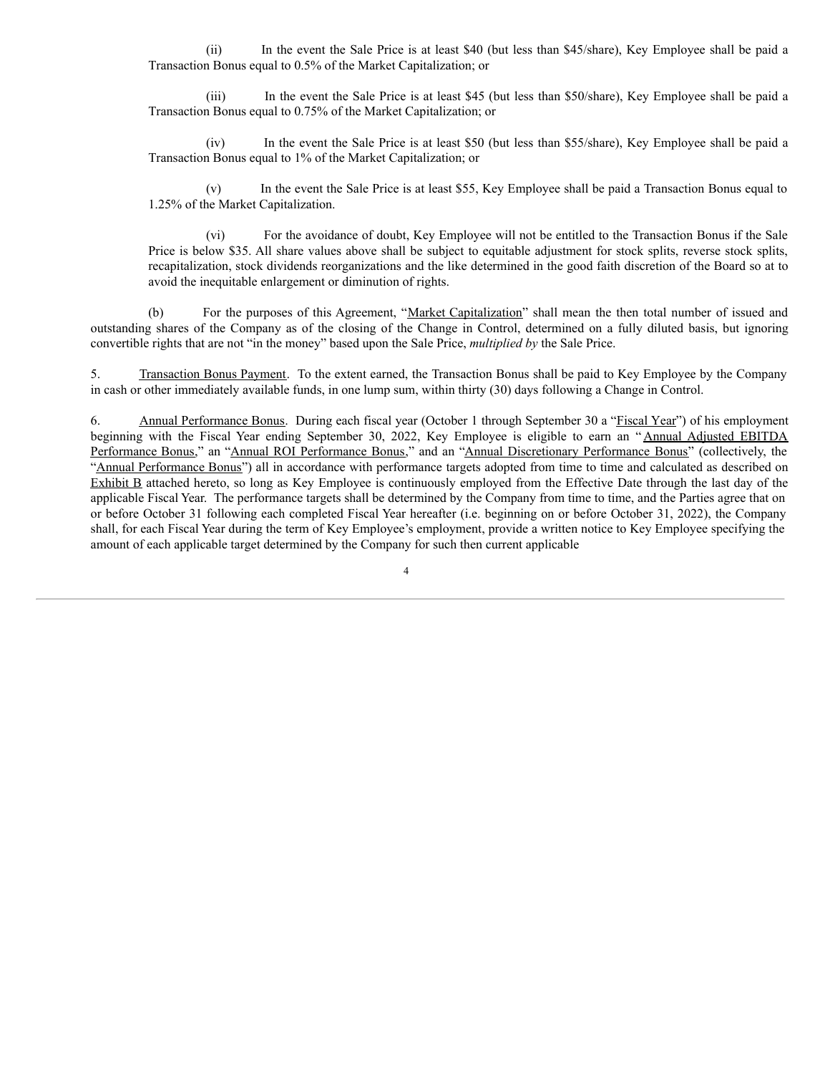(ii) In the event the Sale Price is at least \$40 (but less than \$45/share), Key Employee shall be paid a Transaction Bonus equal to 0.5% of the Market Capitalization; or

(iii) In the event the Sale Price is at least \$45 (but less than \$50/share), Key Employee shall be paid a Transaction Bonus equal to 0.75% of the Market Capitalization; or

(iv) In the event the Sale Price is at least \$50 (but less than \$55/share), Key Employee shall be paid a Transaction Bonus equal to 1% of the Market Capitalization; or

(v) In the event the Sale Price is at least \$55, Key Employee shall be paid a Transaction Bonus equal to 1.25% of the Market Capitalization.

(vi) For the avoidance of doubt, Key Employee will not be entitled to the Transaction Bonus if the Sale Price is below \$35. All share values above shall be subject to equitable adjustment for stock splits, reverse stock splits, recapitalization, stock dividends reorganizations and the like determined in the good faith discretion of the Board so at to avoid the inequitable enlargement or diminution of rights.

(b) For the purposes of this Agreement, "Market Capitalization" shall mean the then total number of issued and outstanding shares of the Company as of the closing of the Change in Control, determined on a fully diluted basis, but ignoring convertible rights that are not "in the money" based upon the Sale Price, *multiplied by* the Sale Price.

5. Transaction Bonus Payment. To the extent earned, the Transaction Bonus shall be paid to Key Employee by the Company in cash or other immediately available funds, in one lump sum, within thirty (30) days following a Change in Control.

6. Annual Performance Bonus. During each fiscal year (October 1 through September 30 a "Fiscal Year") of his employment beginning with the Fiscal Year ending September 30, 2022, Key Employee is eligible to earn an " Annual Adjusted EBITDA Performance Bonus," an "Annual ROI Performance Bonus," and an "Annual Discretionary Performance Bonus" (collectively, the "Annual Performance Bonus") all in accordance with performance targets adopted from time to time and calculated as described on Exhibit B attached hereto, so long as Key Employee is continuously employed from the Effective Date through the last day of the applicable Fiscal Year. The performance targets shall be determined by the Company from time to time, and the Parties agree that on or before October 31 following each completed Fiscal Year hereafter (i.e. beginning on or before October 31, 2022), the Company shall, for each Fiscal Year during the term of Key Employee's employment, provide a written notice to Key Employee specifying the amount of each applicable target determined by the Company for such then current applicable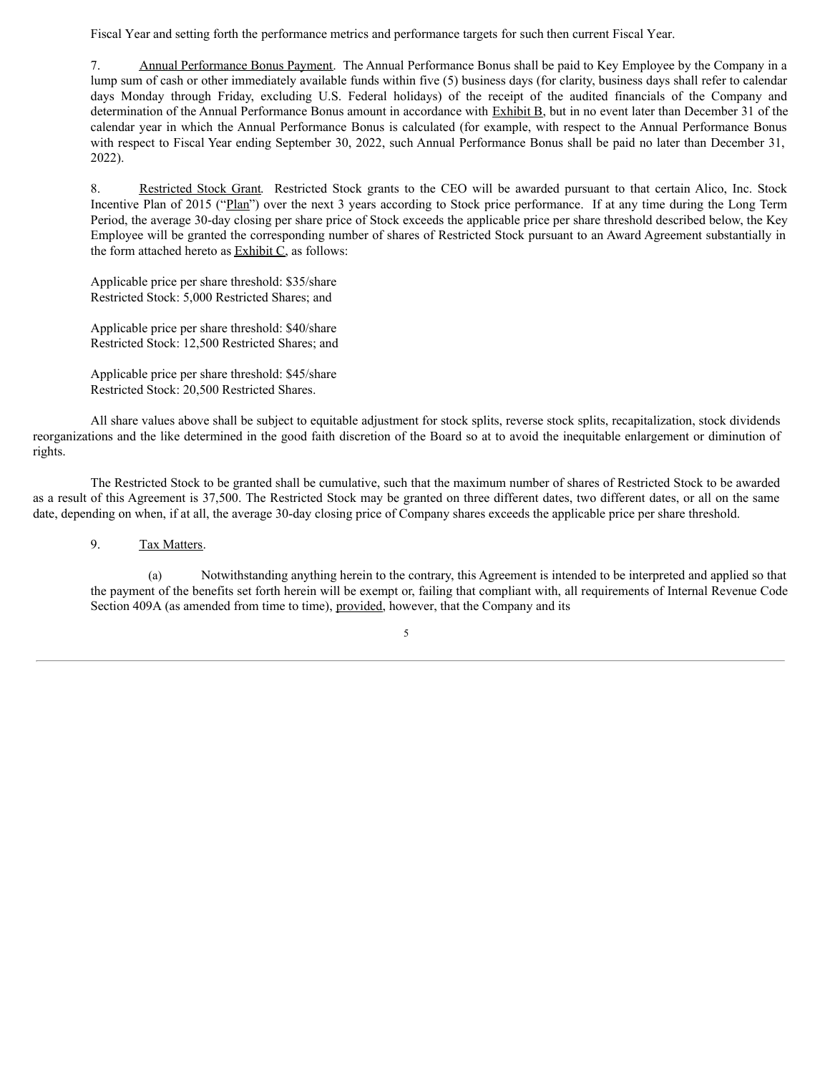Fiscal Year and setting forth the performance metrics and performance targets for such then current Fiscal Year.

7. Annual Performance Bonus Payment. The Annual Performance Bonus shall be paid to Key Employee by the Company in a lump sum of cash or other immediately available funds within five (5) business days (for clarity, business days shall refer to calendar days Monday through Friday, excluding U.S. Federal holidays) of the receipt of the audited financials of the Company and determination of the Annual Performance Bonus amount in accordance with Exhibit B, but in no event later than December 31 of the calendar year in which the Annual Performance Bonus is calculated (for example, with respect to the Annual Performance Bonus with respect to Fiscal Year ending September 30, 2022, such Annual Performance Bonus shall be paid no later than December 31, 2022).

8. Restricted Stock Grant. Restricted Stock grants to the CEO will be awarded pursuant to that certain Alico, Inc. Stock Incentive Plan of 2015 ("Plan") over the next 3 years according to Stock price performance. If at any time during the Long Term Period, the average 30-day closing per share price of Stock exceeds the applicable price per share threshold described below, the Key Employee will be granted the corresponding number of shares of Restricted Stock pursuant to an Award Agreement substantially in the form attached hereto as Exhibit C, as follows:

Applicable price per share threshold: \$35/share Restricted Stock: 5,000 Restricted Shares; and

Applicable price per share threshold: \$40/share Restricted Stock: 12,500 Restricted Shares; and

Applicable price per share threshold: \$45/share Restricted Stock: 20,500 Restricted Shares.

All share values above shall be subject to equitable adjustment for stock splits, reverse stock splits, recapitalization, stock dividends reorganizations and the like determined in the good faith discretion of the Board so at to avoid the inequitable enlargement or diminution of rights.

The Restricted Stock to be granted shall be cumulative, such that the maximum number of shares of Restricted Stock to be awarded as a result of this Agreement is 37,500. The Restricted Stock may be granted on three different dates, two different dates, or all on the same date, depending on when, if at all, the average 30-day closing price of Company shares exceeds the applicable price per share threshold.

# 9. Tax Matters.

(a) Notwithstanding anything herein to the contrary, this Agreement is intended to be interpreted and applied so that the payment of the benefits set forth herein will be exempt or, failing that compliant with, all requirements of Internal Revenue Code Section 409A (as amended from time to time), provided, however, that the Company and its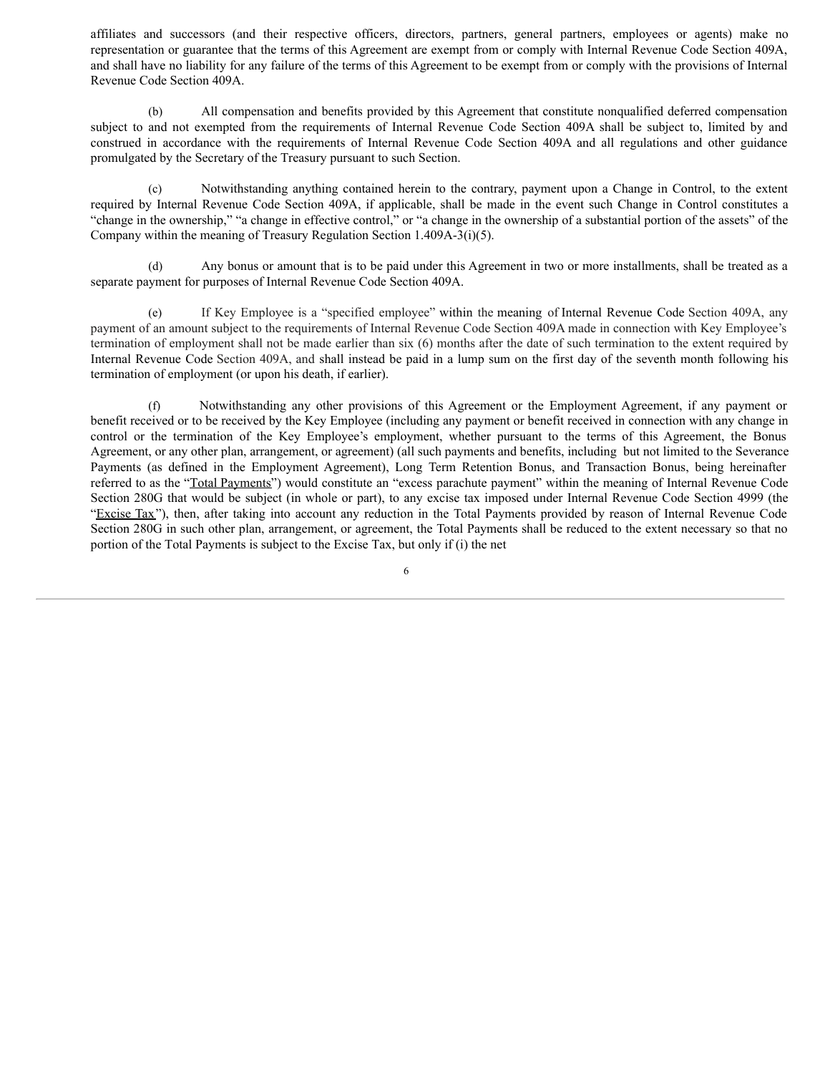affiliates and successors (and their respective officers, directors, partners, general partners, employees or agents) make no representation or guarantee that the terms of this Agreement are exempt from or comply with Internal Revenue Code Section 409A, and shall have no liability for any failure of the terms of this Agreement to be exempt from or comply with the provisions of Internal Revenue Code Section 409A.

(b) All compensation and benefits provided by this Agreement that constitute nonqualified deferred compensation subject to and not exempted from the requirements of Internal Revenue Code Section 409A shall be subject to, limited by and construed in accordance with the requirements of Internal Revenue Code Section 409A and all regulations and other guidance promulgated by the Secretary of the Treasury pursuant to such Section.

(c) Notwithstanding anything contained herein to the contrary, payment upon a Change in Control, to the extent required by Internal Revenue Code Section 409A, if applicable, shall be made in the event such Change in Control constitutes a "change in the ownership," "a change in effective control," or "a change in the ownership of a substantial portion of the assets" of the Company within the meaning of Treasury Regulation Section 1.409A-3(i)(5).

(d) Any bonus or amount that is to be paid under this Agreement in two or more installments, shall be treated as a separate payment for purposes of Internal Revenue Code Section 409A.

(e) If Key Employee is a "specified employee" within the meaning of Internal Revenue Code Section 409A, any payment of an amount subject to the requirements of Internal Revenue Code Section 409A made in connection with Key Employee's termination of employment shall not be made earlier than six (6) months after the date of such termination to the extent required by Internal Revenue Code Section 409A, and shall instead be paid in a lump sum on the first day of the seventh month following his termination of employment (or upon his death, if earlier).

(f) Notwithstanding any other provisions of this Agreement or the Employment Agreement, if any payment or benefit received or to be received by the Key Employee (including any payment or benefit received in connection with any change in control or the termination of the Key Employee's employment, whether pursuant to the terms of this Agreement, the Bonus Agreement, or any other plan, arrangement, or agreement) (all such payments and benefits, including but not limited to the Severance Payments (as defined in the Employment Agreement), Long Term Retention Bonus, and Transaction Bonus, being hereinafter referred to as the "Total Payments") would constitute an "excess parachute payment" within the meaning of Internal Revenue Code Section 280G that would be subject (in whole or part), to any excise tax imposed under Internal Revenue Code Section 4999 (the "Excise Tax"), then, after taking into account any reduction in the Total Payments provided by reason of Internal Revenue Code Section 280G in such other plan, arrangement, or agreement, the Total Payments shall be reduced to the extent necessary so that no portion of the Total Payments is subject to the Excise Tax, but only if (i) the net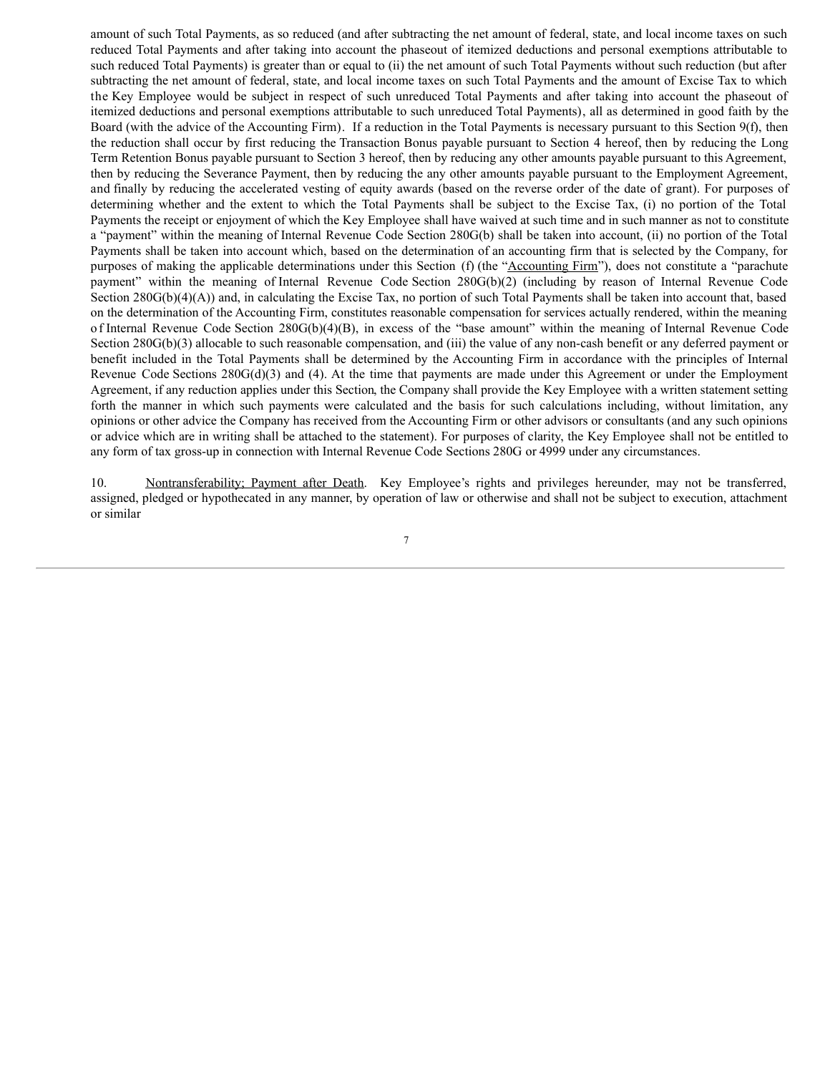amount of such Total Payments, as so reduced (and after subtracting the net amount of federal, state, and local income taxes on such reduced Total Payments and after taking into account the phaseout of itemized deductions and personal exemptions attributable to such reduced Total Payments) is greater than or equal to (ii) the net amount of such Total Payments without such reduction (but after subtracting the net amount of federal, state, and local income taxes on such Total Payments and the amount of Excise Tax to which the Key Employee would be subject in respect of such unreduced Total Payments and after taking into account the phaseout of itemized deductions and personal exemptions attributable to such unreduced Total Payments), all as determined in good faith by the Board (with the advice of the Accounting Firm). If a reduction in the Total Payments is necessary pursuant to this Section 9(f), then the reduction shall occur by first reducing the Transaction Bonus payable pursuant to Section 4 hereof, then by reducing the Long Term Retention Bonus payable pursuant to Section 3 hereof, then by reducing any other amounts payable pursuant to this Agreement, then by reducing the Severance Payment, then by reducing the any other amounts payable pursuant to the Employment Agreement, and finally by reducing the accelerated vesting of equity awards (based on the reverse order of the date of grant). For purposes of determining whether and the extent to which the Total Payments shall be subject to the Excise Tax, (i) no portion of the Total Payments the receipt or enjoyment of which the Key Employee shall have waived at such time and in such manner as not to constitute a "payment" within the meaning of Internal Revenue Code Section 280G(b) shall be taken into account, (ii) no portion of the Total Payments shall be taken into account which, based on the determination of an accounting firm that is selected by the Company, for purposes of making the applicable determinations under this Section (f) (the "Accounting Firm"), does not constitute a "parachute payment" within the meaning of Internal Revenue Code Section 280G(b)(2) (including by reason of Internal Revenue Code Section 280G(b)(4)(A)) and, in calculating the Excise Tax, no portion of such Total Payments shall be taken into account that, based on the determination of the Accounting Firm, constitutes reasonable compensation for services actually rendered, within the meaning o f Internal Revenue Code Section 280G(b)(4)(B), in excess of the "base amount" within the meaning of Internal Revenue Code Section 280G(b)(3) allocable to such reasonable compensation, and (iii) the value of any non-cash benefit or any deferred payment or benefit included in the Total Payments shall be determined by the Accounting Firm in accordance with the principles of Internal Revenue Code Sections  $280G(d)(3)$  and (4). At the time that payments are made under this Agreement or under the Employment Agreement, if any reduction applies under this Section, the Company shall provide the Key Employee with a written statement setting forth the manner in which such payments were calculated and the basis for such calculations including, without limitation, any opinions or other advice the Company has received from the Accounting Firm or other advisors or consultants (and any such opinions or advice which are in writing shall be attached to the statement). For purposes of clarity, the Key Employee shall not be entitled to any form of tax gross-up in connection with Internal Revenue Code Sections 280G or 4999 under any circumstances.

10. Nontransferability; Payment after Death. Key Employee's rights and privileges hereunder, may not be transferred, assigned, pledged or hypothecated in any manner, by operation of law or otherwise and shall not be subject to execution, attachment or similar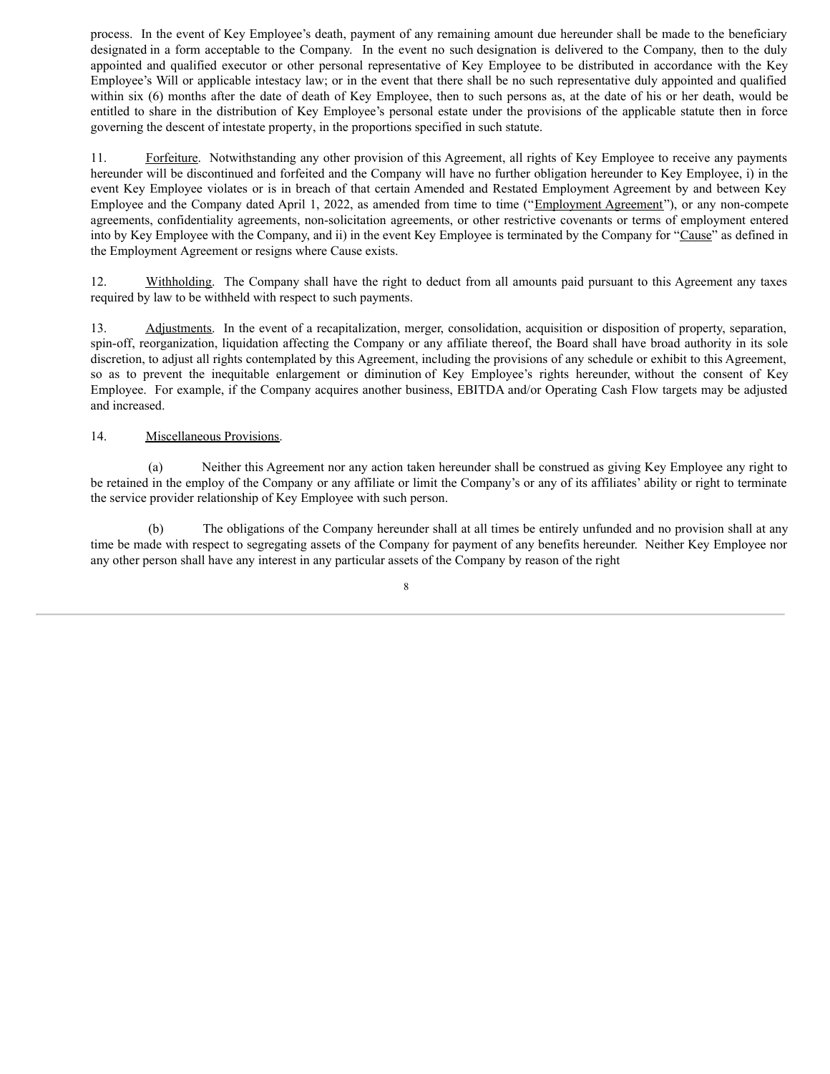process. In the event of Key Employee's death, payment of any remaining amount due hereunder shall be made to the beneficiary designated in a form acceptable to the Company. In the event no such designation is delivered to the Company, then to the duly appointed and qualified executor or other personal representative of Key Employee to be distributed in accordance with the Key Employee's Will or applicable intestacy law; or in the event that there shall be no such representative duly appointed and qualified within six (6) months after the date of death of Key Employee, then to such persons as, at the date of his or her death, would be entitled to share in the distribution of Key Employee's personal estate under the provisions of the applicable statute then in force governing the descent of intestate property, in the proportions specified in such statute.

11. Forfeiture. Notwithstanding any other provision of this Agreement, all rights of Key Employee to receive any payments hereunder will be discontinued and forfeited and the Company will have no further obligation hereunder to Key Employee, i) in the event Key Employee violates or is in breach of that certain Amended and Restated Employment Agreement by and between Key Employee and the Company dated April 1, 2022, as amended from time to time ("Employment Agreement"), or any non-compete agreements, confidentiality agreements, non-solicitation agreements, or other restrictive covenants or terms of employment entered into by Key Employee with the Company, and ii) in the event Key Employee is terminated by the Company for "Cause" as defined in the Employment Agreement or resigns where Cause exists.

12. Withholding. The Company shall have the right to deduct from all amounts paid pursuant to this Agreement any taxes required by law to be withheld with respect to such payments.

13. Adjustments. In the event of a recapitalization, merger, consolidation, acquisition or disposition of property, separation, spin-off, reorganization, liquidation affecting the Company or any affiliate thereof, the Board shall have broad authority in its sole discretion, to adjust all rights contemplated by this Agreement, including the provisions of any schedule or exhibit to this Agreement, so as to prevent the inequitable enlargement or diminution of Key Employee's rights hereunder, without the consent of Key Employee. For example, if the Company acquires another business, EBITDA and/or Operating Cash Flow targets may be adjusted and increased.

## 14. Miscellaneous Provisions.

(a) Neither this Agreement nor any action taken hereunder shall be construed as giving Key Employee any right to be retained in the employ of the Company or any affiliate or limit the Company's or any of its affiliates' ability or right to terminate the service provider relationship of Key Employee with such person.

(b) The obligations of the Company hereunder shall at all times be entirely unfunded and no provision shall at any time be made with respect to segregating assets of the Company for payment of any benefits hereunder. Neither Key Employee nor any other person shall have any interest in any particular assets of the Company by reason of the right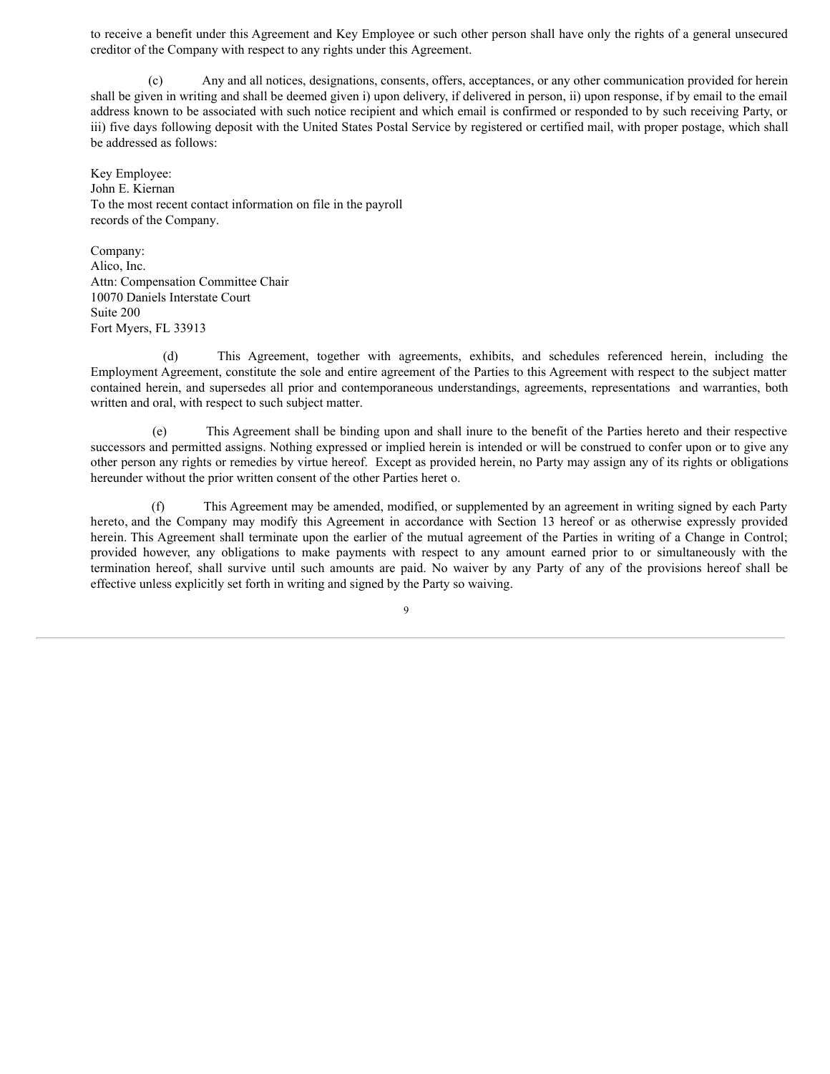to receive a benefit under this Agreement and Key Employee or such other person shall have only the rights of a general unsecured creditor of the Company with respect to any rights under this Agreement.

Any and all notices, designations, consents, offers, acceptances, or any other communication provided for herein shall be given in writing and shall be deemed given i) upon delivery, if delivered in person, ii) upon response, if by email to the email address known to be associated with such notice recipient and which email is confirmed or responded to by such receiving Party, or iii) five days following deposit with the United States Postal Service by registered or certified mail, with proper postage, which shall be addressed as follows:

Key Employee: John E. Kiernan To the most recent contact information on file in the payroll records of the Company.

Company: Alico, Inc. Attn: Compensation Committee Chair 10070 Daniels Interstate Court Suite 200 Fort Myers, FL 33913

(d) This Agreement, together with agreements, exhibits, and schedules referenced herein, including the Employment Agreement, constitute the sole and entire agreement of the Parties to this Agreement with respect to the subject matter contained herein, and supersedes all prior and contemporaneous understandings, agreements, representations and warranties, both written and oral, with respect to such subject matter.

(e) This Agreement shall be binding upon and shall inure to the benefit of the Parties hereto and their respective successors and permitted assigns. Nothing expressed or implied herein is intended or will be construed to confer upon or to give any other person any rights or remedies by virtue hereof. Except as provided herein, no Party may assign any of its rights or obligations hereunder without the prior written consent of the other Parties heret o.

(f) This Agreement may be amended, modified, or supplemented by an agreement in writing signed by each Party hereto, and the Company may modify this Agreement in accordance with Section 13 hereof or as otherwise expressly provided herein. This Agreement shall terminate upon the earlier of the mutual agreement of the Parties in writing of a Change in Control; provided however, any obligations to make payments with respect to any amount earned prior to or simultaneously with the termination hereof, shall survive until such amounts are paid. No waiver by any Party of any of the provisions hereof shall be effective unless explicitly set forth in writing and signed by the Party so waiving.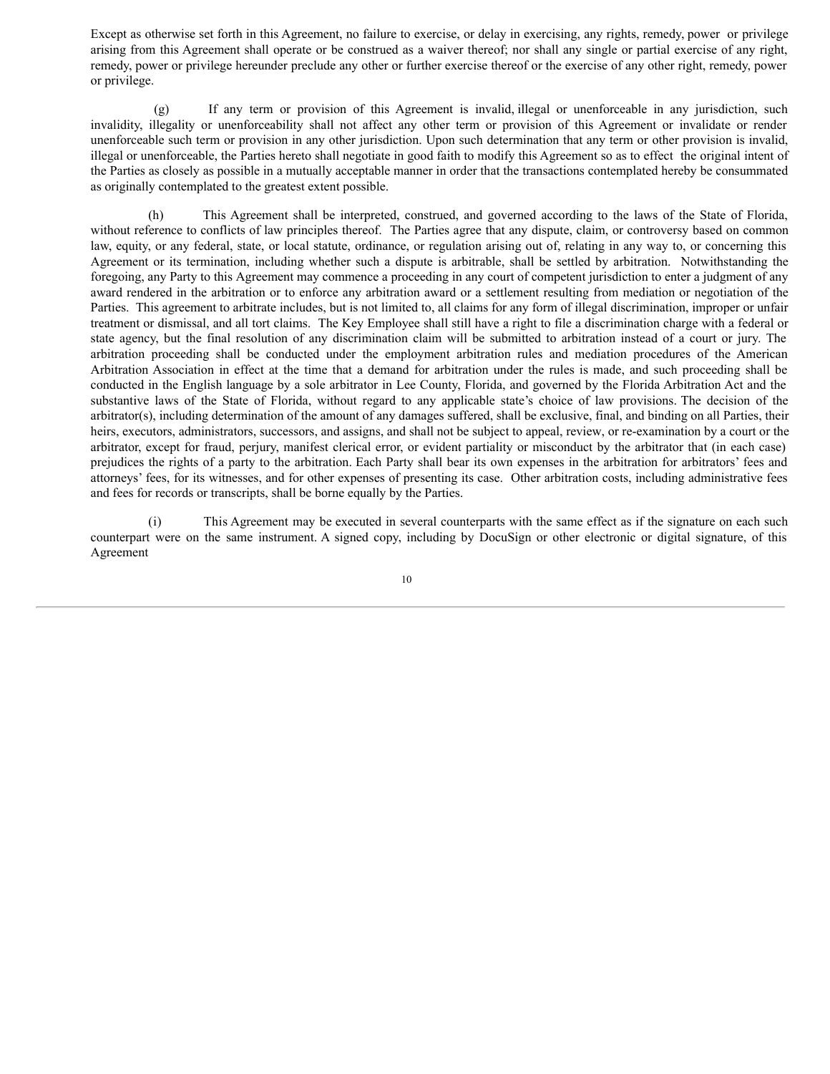Except as otherwise set forth in this Agreement, no failure to exercise, or delay in exercising, any rights, remedy, power or privilege arising from this Agreement shall operate or be construed as a waiver thereof; nor shall any single or partial exercise of any right, remedy, power or privilege hereunder preclude any other or further exercise thereof or the exercise of any other right, remedy, power or privilege.

(g) If any term or provision of this Agreement is invalid, illegal or unenforceable in any jurisdiction, such invalidity, illegality or unenforceability shall not affect any other term or provision of this Agreement or invalidate or render unenforceable such term or provision in any other jurisdiction. Upon such determination that any term or other provision is invalid, illegal or unenforceable, the Parties hereto shall negotiate in good faith to modify this Agreement so as to effect the original intent of the Parties as closely as possible in a mutually acceptable manner in order that the transactions contemplated hereby be consummated as originally contemplated to the greatest extent possible.

(h) This Agreement shall be interpreted, construed, and governed according to the laws of the State of Florida, without reference to conflicts of law principles thereof. The Parties agree that any dispute, claim, or controversy based on common law, equity, or any federal, state, or local statute, ordinance, or regulation arising out of, relating in any way to, or concerning this Agreement or its termination, including whether such a dispute is arbitrable, shall be settled by arbitration. Notwithstanding the foregoing, any Party to this Agreement may commence a proceeding in any court of competent jurisdiction to enter a judgment of any award rendered in the arbitration or to enforce any arbitration award or a settlement resulting from mediation or negotiation of the Parties. This agreement to arbitrate includes, but is not limited to, all claims for any form of illegal discrimination, improper or unfair treatment or dismissal, and all tort claims. The Key Employee shall still have a right to file a discrimination charge with a federal or state agency, but the final resolution of any discrimination claim will be submitted to arbitration instead of a court or jury. The arbitration proceeding shall be conducted under the employment arbitration rules and mediation procedures of the American Arbitration Association in effect at the time that a demand for arbitration under the rules is made, and such proceeding shall be conducted in the English language by a sole arbitrator in Lee County, Florida, and governed by the Florida Arbitration Act and the substantive laws of the State of Florida, without regard to any applicable state's choice of law provisions. The decision of the arbitrator(s), including determination of the amount of any damages suffered, shall be exclusive, final, and binding on all Parties, their heirs, executors, administrators, successors, and assigns, and shall not be subject to appeal, review, or re-examination by a court or the arbitrator, except for fraud, perjury, manifest clerical error, or evident partiality or misconduct by the arbitrator that (in each case) prejudices the rights of a party to the arbitration. Each Party shall bear its own expenses in the arbitration for arbitrators' fees and attorneys' fees, for its witnesses, and for other expenses of presenting its case. Other arbitration costs, including administrative fees and fees for records or transcripts, shall be borne equally by the Parties.

(i) This Agreement may be executed in several counterparts with the same effect as if the signature on each such counterpart were on the same instrument. A signed copy, including by DocuSign or other electronic or digital signature, of this Agreement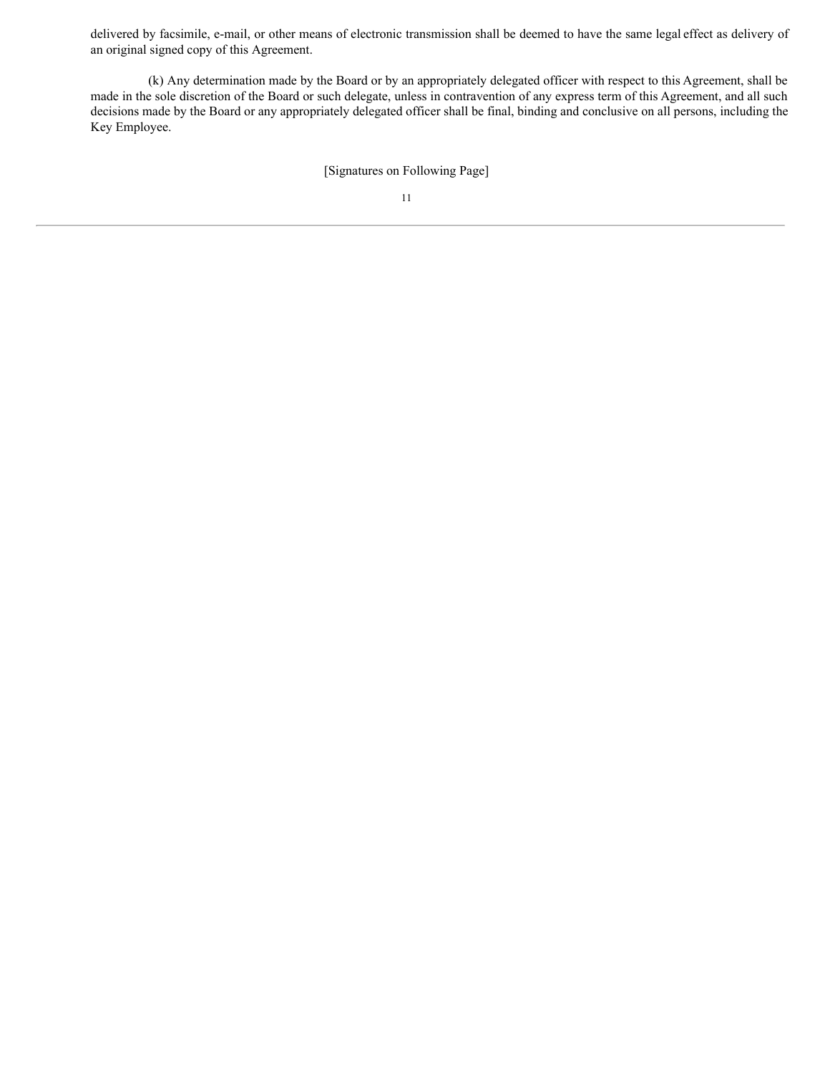delivered by facsimile, e-mail, or other means of electronic transmission shall be deemed to have the same legal effect as delivery of an original signed copy of this Agreement.

(k) Any determination made by the Board or by an appropriately delegated officer with respect to this Agreement, shall be made in the sole discretion of the Board or such delegate, unless in contravention of any express term of this Agreement, and all such decisions made by the Board or any appropriately delegated officer shall be final, binding and conclusive on all persons, including the Key Employee.

[Signatures on Following Page]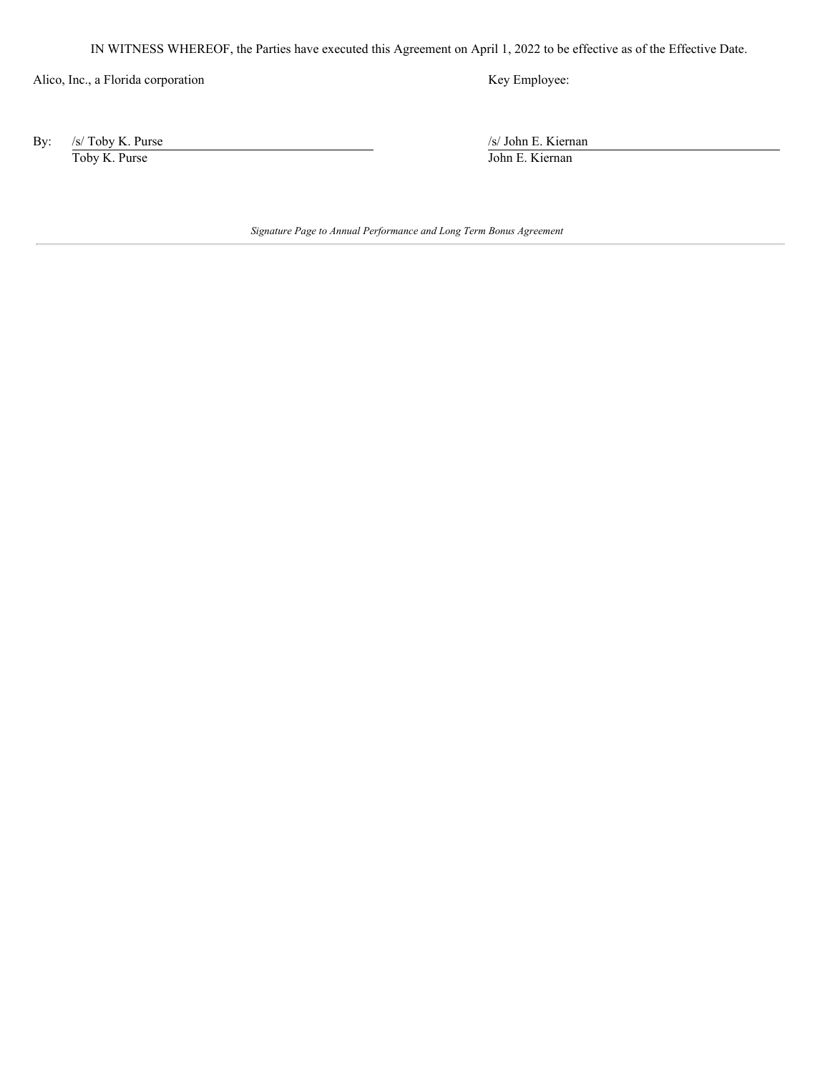<span id="page-37-0"></span>IN WITNESS WHEREOF, the Parties have executed this Agreement on April 1, 2022 to be effective as of the Effective Date.

Alico, Inc., a Florida corporation Key Employee:

By: /s/ Toby K. Purse /s/ John E. Kiernan Toby K. Purse John E. Kiernan

*Signature Page to Annual Performance and Long Term Bonus Agreement*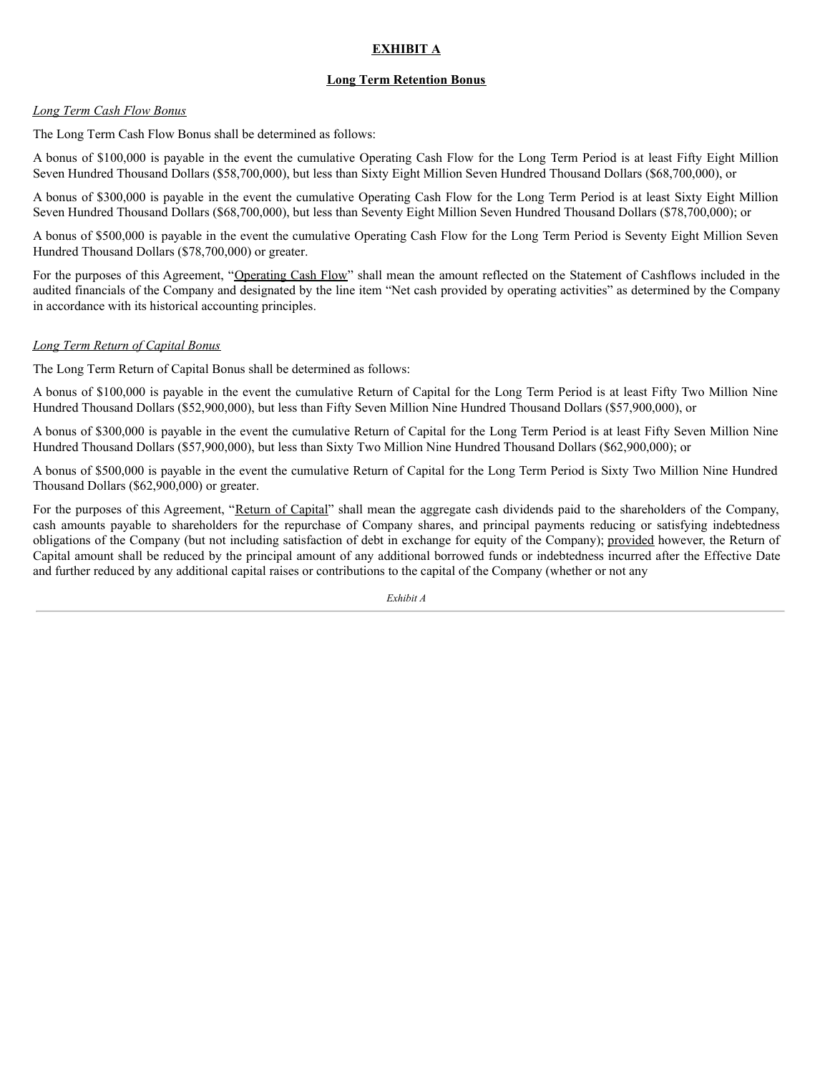# **EXHIBIT A**

# **Long Term Retention Bonus**

# *Long Term Cash Flow Bonus*

The Long Term Cash Flow Bonus shall be determined as follows:

A bonus of \$100,000 is payable in the event the cumulative Operating Cash Flow for the Long Term Period is at least Fifty Eight Million Seven Hundred Thousand Dollars (\$58,700,000), but less than Sixty Eight Million Seven Hundred Thousand Dollars (\$68,700,000), or

A bonus of \$300,000 is payable in the event the cumulative Operating Cash Flow for the Long Term Period is at least Sixty Eight Million Seven Hundred Thousand Dollars (\$68,700,000), but less than Seventy Eight Million Seven Hundred Thousand Dollars (\$78,700,000); or

A bonus of \$500,000 is payable in the event the cumulative Operating Cash Flow for the Long Term Period is Seventy Eight Million Seven Hundred Thousand Dollars (\$78,700,000) or greater.

For the purposes of this Agreement, "Operating Cash Flow" shall mean the amount reflected on the Statement of Cashflows included in the audited financials of the Company and designated by the line item "Net cash provided by operating activities" as determined by the Company in accordance with its historical accounting principles.

# *Long Term Return of Capital Bonus*

The Long Term Return of Capital Bonus shall be determined as follows:

A bonus of \$100,000 is payable in the event the cumulative Return of Capital for the Long Term Period is at least Fifty Two Million Nine Hundred Thousand Dollars (\$52,900,000), but less than Fifty Seven Million Nine Hundred Thousand Dollars (\$57,900,000), or

A bonus of \$300,000 is payable in the event the cumulative Return of Capital for the Long Term Period is at least Fifty Seven Million Nine Hundred Thousand Dollars (\$57,900,000), but less than Sixty Two Million Nine Hundred Thousand Dollars (\$62,900,000); or

A bonus of \$500,000 is payable in the event the cumulative Return of Capital for the Long Term Period is Sixty Two Million Nine Hundred Thousand Dollars (\$62,900,000) or greater.

For the purposes of this Agreement, "Return of Capital" shall mean the aggregate cash dividends paid to the shareholders of the Company, cash amounts payable to shareholders for the repurchase of Company shares, and principal payments reducing or satisfying indebtedness obligations of the Company (but not including satisfaction of debt in exchange for equity of the Company); provided however, the Return of Capital amount shall be reduced by the principal amount of any additional borrowed funds or indebtedness incurred after the Effective Date and further reduced by any additional capital raises or contributions to the capital of the Company (whether or not any

*Exhibit A*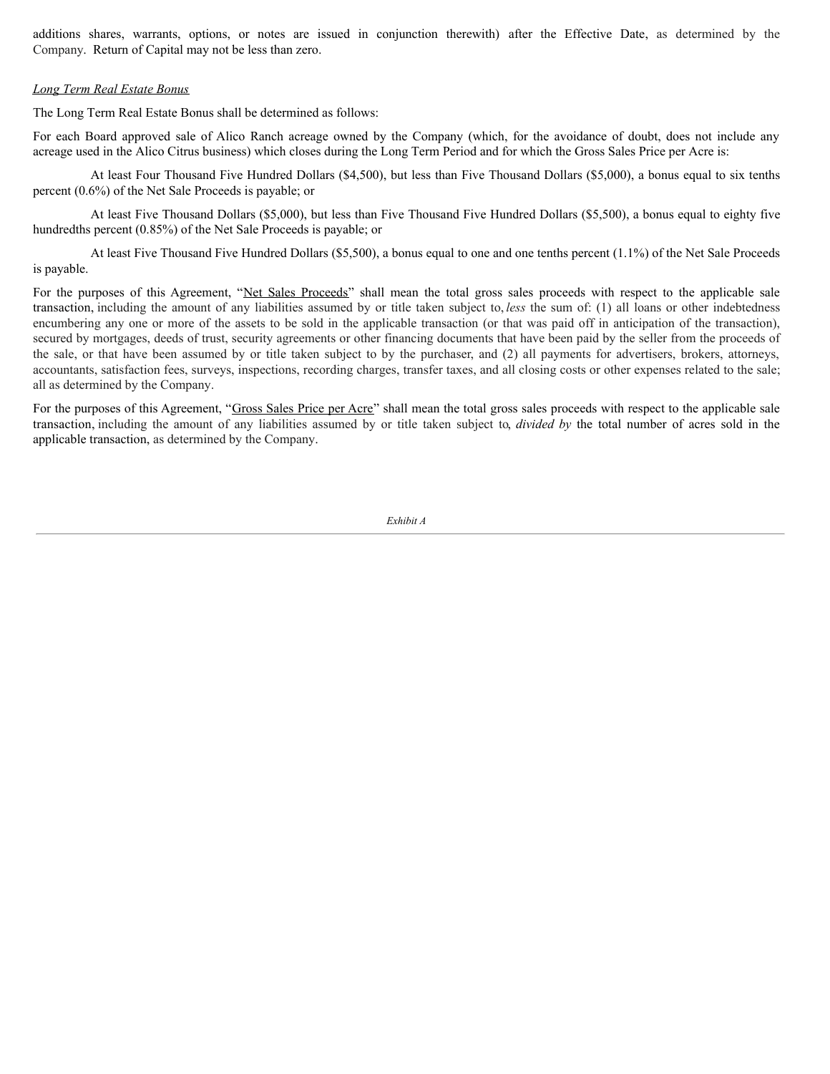additions shares, warrants, options, or notes are issued in conjunction therewith) after the Effective Date, as determined by the Company. Return of Capital may not be less than zero.

## *Long Term Real Estate Bonus*

The Long Term Real Estate Bonus shall be determined as follows:

For each Board approved sale of Alico Ranch acreage owned by the Company (which, for the avoidance of doubt, does not include any acreage used in the Alico Citrus business) which closes during the Long Term Period and for which the Gross Sales Price per Acre is:

At least Four Thousand Five Hundred Dollars (\$4,500), but less than Five Thousand Dollars (\$5,000), a bonus equal to six tenths percent (0.6%) of the Net Sale Proceeds is payable; or

At least Five Thousand Dollars (\$5,000), but less than Five Thousand Five Hundred Dollars (\$5,500), a bonus equal to eighty five hundredths percent (0.85%) of the Net Sale Proceeds is payable; or

At least Five Thousand Five Hundred Dollars (\$5,500), a bonus equal to one and one tenths percent (1.1%) of the Net Sale Proceeds is payable.

For the purposes of this Agreement, "Net Sales Proceeds" shall mean the total gross sales proceeds with respect to the applicable sale transaction, including the amount of any liabilities assumed by or title taken subject to, *less* the sum of: (1) all loans or other indebtedness encumbering any one or more of the assets to be sold in the applicable transaction (or that was paid off in anticipation of the transaction), secured by mortgages, deeds of trust, security agreements or other financing documents that have been paid by the seller from the proceeds of the sale, or that have been assumed by or title taken subject to by the purchaser, and (2) all payments for advertisers, brokers, attorneys, accountants, satisfaction fees, surveys, inspections, recording charges, transfer taxes, and all closing costs or other expenses related to the sale; all as determined by the Company.

For the purposes of this Agreement, "Gross Sales Price per Acre" shall mean the total gross sales proceeds with respect to the applicable sale transaction, including the amount of any liabilities assumed by or title taken subject to, *divided by* the total number of acres sold in the applicable transaction, as determined by the Company.

*Exhibit A*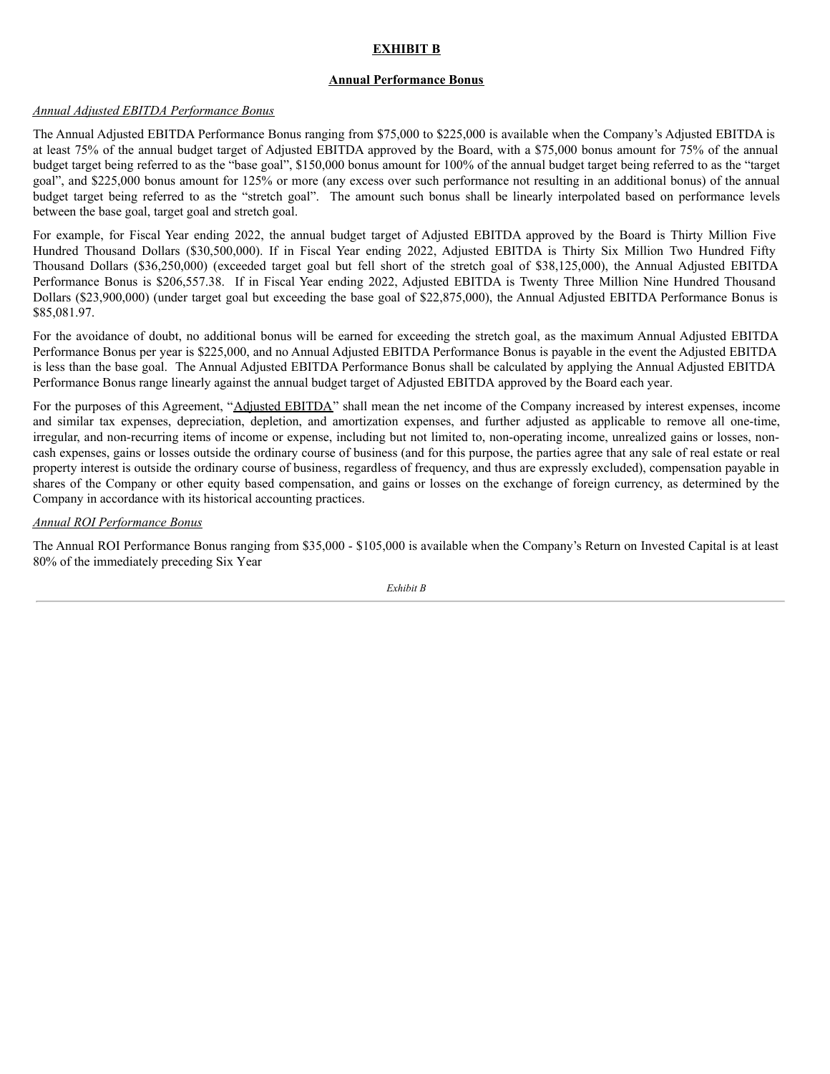# **EXHIBIT B**

## **Annual Performance Bonus**

## *Annual Adjusted EBITDA Performance Bonus*

The Annual Adjusted EBITDA Performance Bonus ranging from \$75,000 to \$225,000 is available when the Company's Adjusted EBITDA is at least 75% of the annual budget target of Adjusted EBITDA approved by the Board, with a \$75,000 bonus amount for 75% of the annual budget target being referred to as the "base goal", \$150,000 bonus amount for 100% of the annual budget target being referred to as the "target goal", and \$225,000 bonus amount for 125% or more (any excess over such performance not resulting in an additional bonus) of the annual budget target being referred to as the "stretch goal". The amount such bonus shall be linearly interpolated based on performance levels between the base goal, target goal and stretch goal.

For example, for Fiscal Year ending 2022, the annual budget target of Adjusted EBITDA approved by the Board is Thirty Million Five Hundred Thousand Dollars (\$30,500,000). If in Fiscal Year ending 2022, Adjusted EBITDA is Thirty Six Million Two Hundred Fifty Thousand Dollars (\$36,250,000) (exceeded target goal but fell short of the stretch goal of \$38,125,000), the Annual Adjusted EBITDA Performance Bonus is \$206,557.38. If in Fiscal Year ending 2022, Adjusted EBITDA is Twenty Three Million Nine Hundred Thousand Dollars (\$23,900,000) (under target goal but exceeding the base goal of \$22,875,000), the Annual Adjusted EBITDA Performance Bonus is \$85,081.97.

For the avoidance of doubt, no additional bonus will be earned for exceeding the stretch goal, as the maximum Annual Adjusted EBITDA Performance Bonus per year is \$225,000, and no Annual Adjusted EBITDA Performance Bonus is payable in the event the Adjusted EBITDA is less than the base goal. The Annual Adjusted EBITDA Performance Bonus shall be calculated by applying the Annual Adjusted EBITDA Performance Bonus range linearly against the annual budget target of Adjusted EBITDA approved by the Board each year.

For the purposes of this Agreement, "Adjusted EBITDA" shall mean the net income of the Company increased by interest expenses, income and similar tax expenses, depreciation, depletion, and amortization expenses, and further adjusted as applicable to remove all one-time, irregular, and non-recurring items of income or expense, including but not limited to, non-operating income, unrealized gains or losses, noncash expenses, gains or losses outside the ordinary course of business (and for this purpose, the parties agree that any sale of real estate or real property interest is outside the ordinary course of business, regardless of frequency, and thus are expressly excluded), compensation payable in shares of the Company or other equity based compensation, and gains or losses on the exchange of foreign currency, as determined by the Company in accordance with its historical accounting practices.

## *Annual ROI Performance Bonus*

The Annual ROI Performance Bonus ranging from \$35,000 - \$105,000 is available when the Company's Return on Invested Capital is at least 80% of the immediately preceding Six Year

*Exhibit B*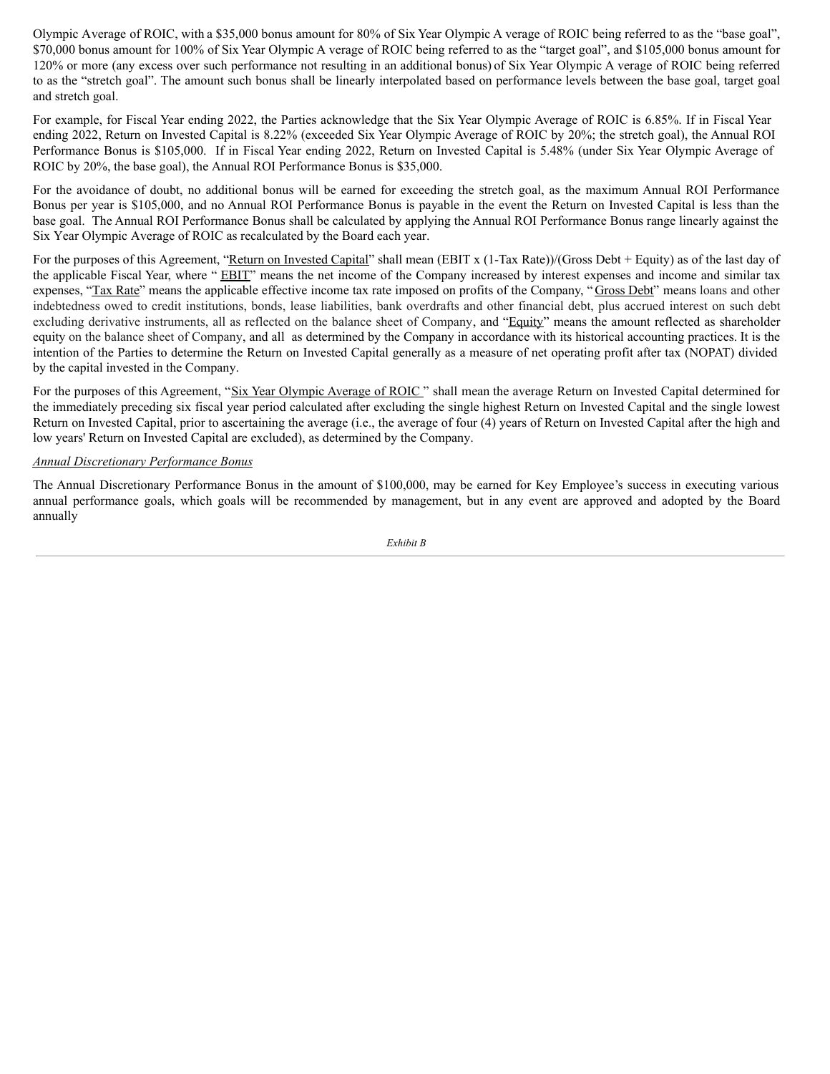Olympic Average of ROIC, with a \$35,000 bonus amount for 80% of Six Year Olympic A verage of ROIC being referred to as the "base goal", \$70,000 bonus amount for 100% of Six Year Olympic A verage of ROIC being referred to as the "target goal", and \$105,000 bonus amount for 120% or more (any excess over such performance not resulting in an additional bonus) of Six Year Olympic A verage of ROIC being referred to as the "stretch goal". The amount such bonus shall be linearly interpolated based on performance levels between the base goal, target goal and stretch goal.

For example, for Fiscal Year ending 2022, the Parties acknowledge that the Six Year Olympic Average of ROIC is 6.85%. If in Fiscal Year ending 2022, Return on Invested Capital is 8.22% (exceeded Six Year Olympic Average of ROIC by 20%; the stretch goal), the Annual ROI Performance Bonus is \$105,000. If in Fiscal Year ending 2022, Return on Invested Capital is 5.48% (under Six Year Olympic Average of ROIC by 20%, the base goal), the Annual ROI Performance Bonus is \$35,000.

For the avoidance of doubt, no additional bonus will be earned for exceeding the stretch goal, as the maximum Annual ROI Performance Bonus per year is \$105,000, and no Annual ROI Performance Bonus is payable in the event the Return on Invested Capital is less than the base goal. The Annual ROI Performance Bonus shall be calculated by applying the Annual ROI Performance Bonus range linearly against the Six Year Olympic Average of ROIC as recalculated by the Board each year.

For the purposes of this Agreement, "Return on Invested Capital" shall mean (EBIT x (1-Tax Rate))/(Gross Debt + Equity) as of the last day of the applicable Fiscal Year, where " EBIT" means the net income of the Company increased by interest expenses and income and similar tax expenses, "Tax Rate" means the applicable effective income tax rate imposed on profits of the Company, "Gross Debt" means loans and other indebtedness owed to credit institutions, bonds, lease liabilities, bank overdrafts and other financial debt, plus accrued interest on such debt excluding derivative instruments, all as reflected on the balance sheet of Company, and "Equity" means the amount reflected as shareholder equity on the balance sheet of Company, and all as determined by the Company in accordance with its historical accounting practices. It is the intention of the Parties to determine the Return on Invested Capital generally as a measure of net operating profit after tax (NOPAT) divided by the capital invested in the Company.

For the purposes of this Agreement, "Six Year Olympic Average of ROIC" shall mean the average Return on Invested Capital determined for the immediately preceding six fiscal year period calculated after excluding the single highest Return on Invested Capital and the single lowest Return on Invested Capital, prior to ascertaining the average (i.e., the average of four (4) years of Return on Invested Capital after the high and low years' Return on Invested Capital are excluded), as determined by the Company.

# *Annual Discretionary Performance Bonus*

The Annual Discretionary Performance Bonus in the amount of \$100,000, may be earned for Key Employee's success in executing various annual performance goals, which goals will be recommended by management, but in any event are approved and adopted by the Board annually

*Exhibit B*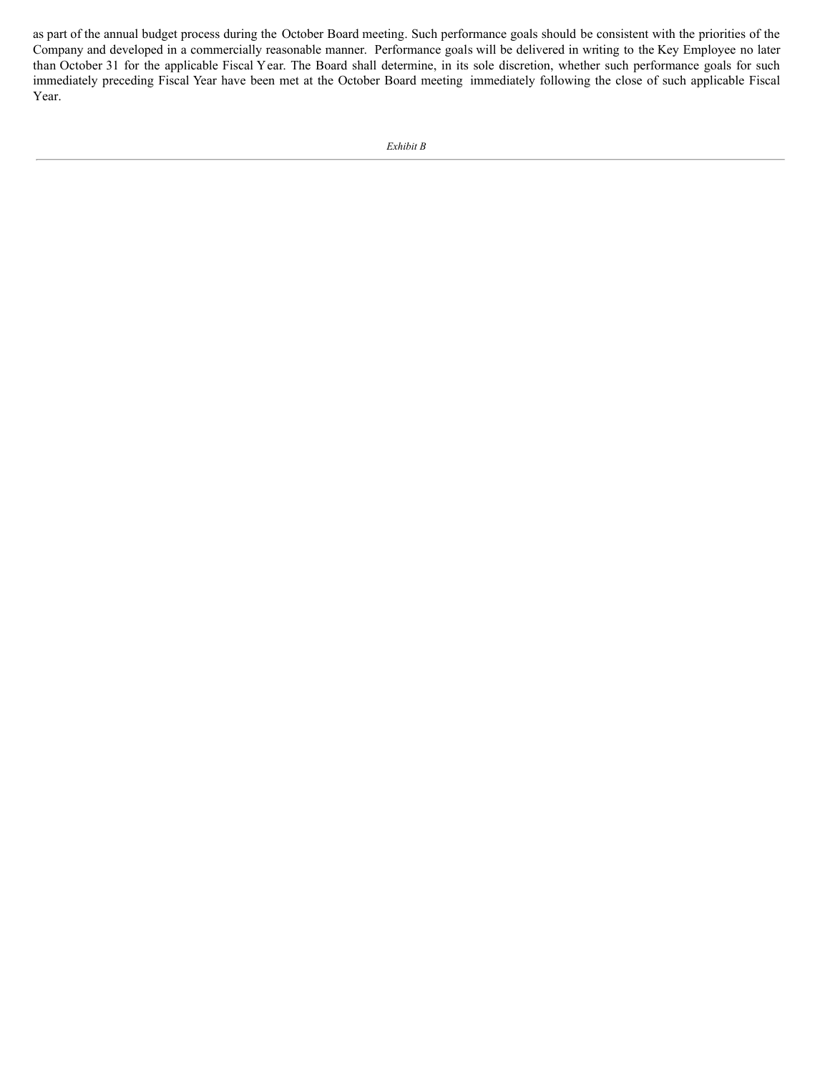as part of the annual budget process during the October Board meeting. Such performance goals should be consistent with the priorities of the Company and developed in a commercially reasonable manner. Performance goals will be delivered in writing to the Key Employee no later than October 31 for the applicable Fiscal Year. The Board shall determine, in its sole discretion, whether such performance goals for such immediately preceding Fiscal Year have been met at the October Board meeting immediately following the close of such applicable Fiscal Year.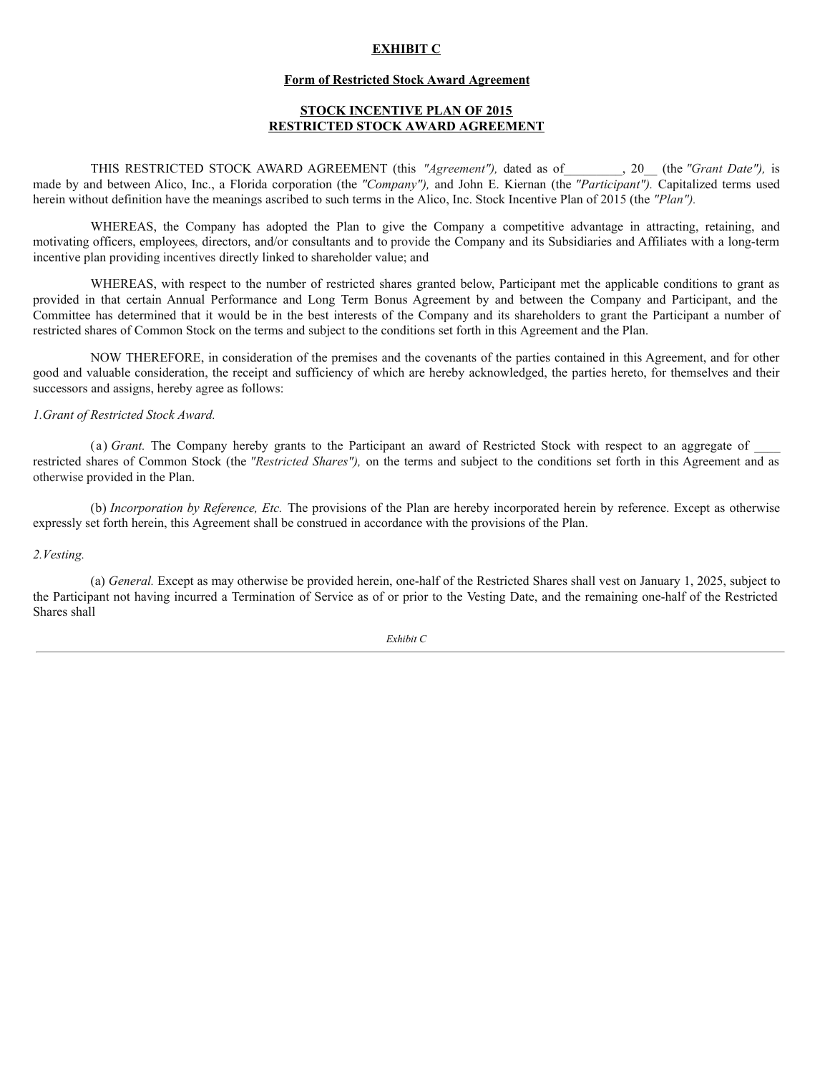# **EXHIBIT C**

### **Form of Restricted Stock Award Agreement**

# **STOCK INCENTIVE PLAN OF 2015 RESTRICTED STOCK AWARD AGREEMENT**

THIS RESTRICTED STOCK AWARD AGREEMENT (this *"Agreement"),* dated as of\_\_\_\_\_\_\_\_\_, 20\_\_ (the *"Grant Date"),* is made by and between Alico, Inc., a Florida corporation (the *"Company"),* and John E. Kiernan (the *"Participant").* Capitalized terms used herein without definition have the meanings ascribed to such terms in the Alico, Inc. Stock Incentive Plan of 2015 (the *"Plan"*).

WHEREAS, the Company has adopted the Plan to give the Company a competitive advantage in attracting, retaining, and motivating officers, employees, directors, and/or consultants and to provide the Company and its Subsidiaries and Affiliates with a long-term incentive plan providing incentives directly linked to shareholder value; and

WHEREAS, with respect to the number of restricted shares granted below, Participant met the applicable conditions to grant as provided in that certain Annual Performance and Long Term Bonus Agreement by and between the Company and Participant, and the Committee has determined that it would be in the best interests of the Company and its shareholders to grant the Participant a number of restricted shares of Common Stock on the terms and subject to the conditions set forth in this Agreement and the Plan.

NOW THEREFORE, in consideration of the premises and the covenants of the parties contained in this Agreement, and for other good and valuable consideration, the receipt and sufficiency of which are hereby acknowledged, the parties hereto, for themselves and their successors and assigns, hereby agree as follows:

### *1.Grant of Restricted Stock Award.*

(a) *Grant*. The Company hereby grants to the Participant an award of Restricted Stock with respect to an aggregate of restricted shares of Common Stock (the *"Restricted Shares"),* on the terms and subject to the conditions set forth in this Agreement and as otherwise provided in the Plan.

(b) *Incorporation by Reference, Etc.* The provisions of the Plan are hereby incorporated herein by reference. Except as otherwise expressly set forth herein, this Agreement shall be construed in accordance with the provisions of the Plan.

#### *2.Vesting.*

(a) *General.* Except as may otherwise be provided herein, one-half of the Restricted Shares shall vest on January 1, 2025, subject to the Participant not having incurred a Termination of Service as of or prior to the Vesting Date, and the remaining one-half of the Restricted Shares shall

*Exhibit C*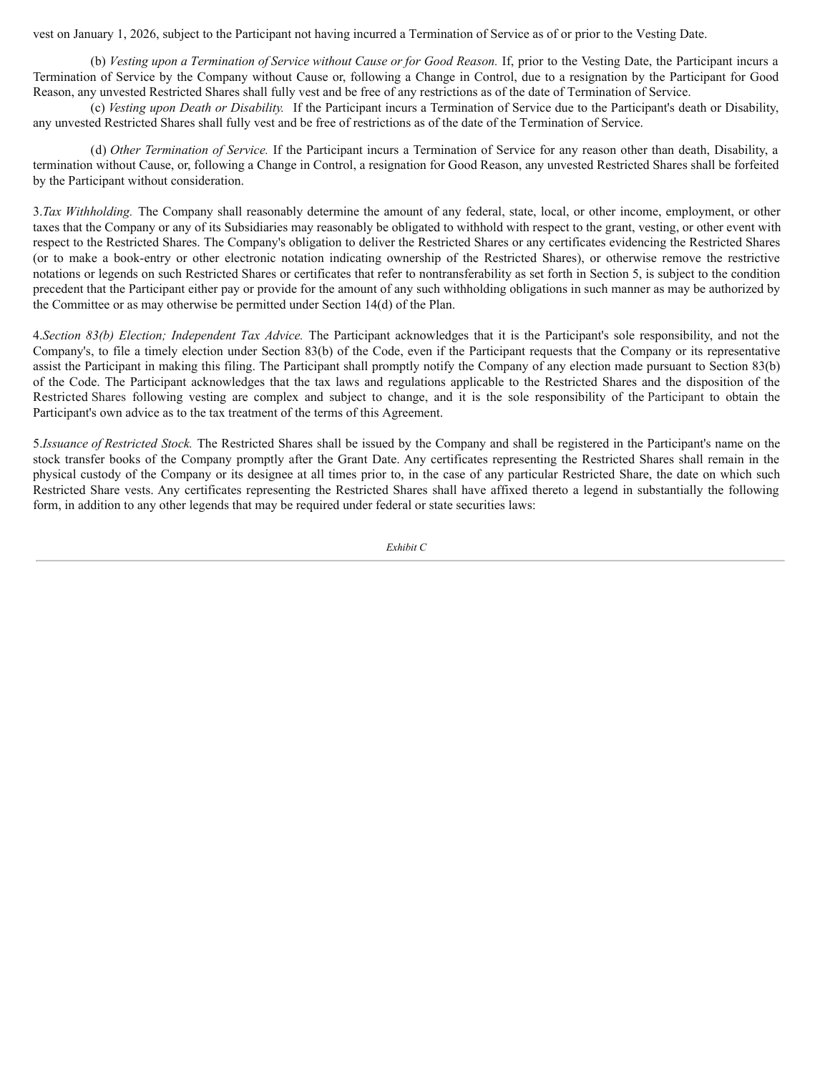vest on January 1, 2026, subject to the Participant not having incurred a Termination of Service as of or prior to the Vesting Date.

(b) *Vesting upon a Termination of Service without Cause or for Good Reason.* If, prior to the Vesting Date, the Participant incurs a Termination of Service by the Company without Cause or, following a Change in Control, due to a resignation by the Participant for Good Reason, any unvested Restricted Shares shall fully vest and be free of any restrictions as of the date of Termination of Service.

(c) *Vesting upon Death or Disability.* If the Participant incurs a Termination of Service due to the Participant's death or Disability, any unvested Restricted Shares shall fully vest and be free of restrictions as of the date of the Termination of Service.

(d) *Other Termination of Service.* If the Participant incurs a Termination of Service for any reason other than death, Disability, a termination without Cause, or, following a Change in Control, a resignation for Good Reason, any unvested Restricted Shares shall be forfeited by the Participant without consideration.

3.*Tax Withholding.* The Company shall reasonably determine the amount of any federal, state, local, or other income, employment, or other taxes that the Company or any of its Subsidiaries may reasonably be obligated to withhold with respect to the grant, vesting, or other event with respect to the Restricted Shares. The Company's obligation to deliver the Restricted Shares or any certificates evidencing the Restricted Shares (or to make a book-entry or other electronic notation indicating ownership of the Restricted Shares), or otherwise remove the restrictive notations or legends on such Restricted Shares or certificates that refer to nontransferability as set forth in Section 5, is subject to the condition precedent that the Participant either pay or provide for the amount of any such withholding obligations in such manner as may be authorized by the Committee or as may otherwise be permitted under Section 14(d) of the Plan.

4.*Section 83(b) Election; Independent Tax Advice.* The Participant acknowledges that it is the Participant's sole responsibility, and not the Company's, to file a timely election under Section 83(b) of the Code, even if the Participant requests that the Company or its representative assist the Participant in making this filing. The Participant shall promptly notify the Company of any election made pursuant to Section 83(b) of the Code. The Participant acknowledges that the tax laws and regulations applicable to the Restricted Shares and the disposition of the Restricted Shares following vesting are complex and subject to change, and it is the sole responsibility of the Participant to obtain the Participant's own advice as to the tax treatment of the terms of this Agreement.

5.*Issuance of Restricted Stock.* The Restricted Shares shall be issued by the Company and shall be registered in the Participant's name on the stock transfer books of the Company promptly after the Grant Date. Any certificates representing the Restricted Shares shall remain in the physical custody of the Company or its designee at all times prior to, in the case of any particular Restricted Share, the date on which such Restricted Share vests. Any certificates representing the Restricted Shares shall have affixed thereto a legend in substantially the following form, in addition to any other legends that may be required under federal or state securities laws: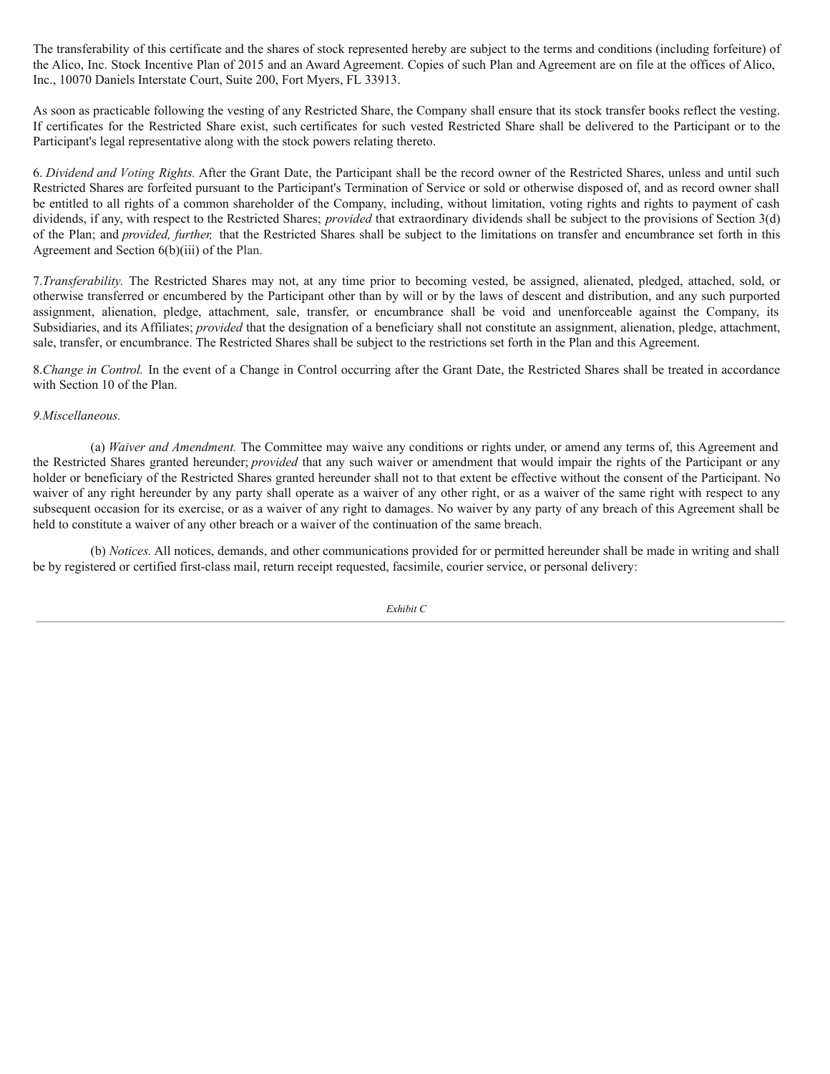The transferability of this certificate and the shares of stock represented hereby are subject to the terms and conditions (including forfeiture) of the Alico, Inc. Stock Incentive Plan of 2015 and an Award Agreement. Copies of such Plan and Agreement are on file at the offices of Alico, Inc., 10070 Daniels Interstate Court, Suite 200, Fort Myers, FL 33913.

As soon as practicable following the vesting of any Restricted Share, the Company shall ensure that its stock transfer books reflect the vesting. If certificates for the Restricted Share exist, such certificates for such vested Restricted Share shall be delivered to the Participant or to the Participant's legal representative along with the stock powers relating thereto.

6. *Dividend and Voting Rights.* After the Grant Date, the Participant shall be the record owner of the Restricted Shares, unless and until such Restricted Shares are forfeited pursuant to the Participant's Termination of Service or sold or otherwise disposed of, and as record owner shall be entitled to all rights of a common shareholder of the Company, including, without limitation, voting rights and rights to payment of cash dividends, if any, with respect to the Restricted Shares; *provided* that extraordinary dividends shall be subject to the provisions of Section 3(d) of the Plan; and *provided, further,* that the Restricted Shares shall be subject to the limitations on transfer and encumbrance set forth in this Agreement and Section 6(b)(iii) of the Plan.

7.*Transferability.* The Restricted Shares may not, at any time prior to becoming vested, be assigned, alienated, pledged, attached, sold, or otherwise transferred or encumbered by the Participant other than by will or by the laws of descent and distribution, and any such purported assignment, alienation, pledge, attachment, sale, transfer, or encumbrance shall be void and unenforceable against the Company, its Subsidiaries, and its Affiliates; *provided* that the designation of a beneficiary shall not constitute an assignment, alienation, pledge, attachment, sale, transfer, or encumbrance. The Restricted Shares shall be subject to the restrictions set forth in the Plan and this Agreement.

8.*Change in Control.* In the event of a Change in Control occurring after the Grant Date, the Restricted Shares shall be treated in accordance with Section 10 of the Plan.

## *9.Miscellaneous.*

(a) *Waiver and Amendment.* The Committee may waive any conditions or rights under, or amend any terms of, this Agreement and the Restricted Shares granted hereunder; *provided* that any such waiver or amendment that would impair the rights of the Participant or any holder or beneficiary of the Restricted Shares granted hereunder shall not to that extent be effective without the consent of the Participant. No waiver of any right hereunder by any party shall operate as a waiver of any other right, or as a waiver of the same right with respect to any subsequent occasion for its exercise, or as a waiver of any right to damages. No waiver by any party of any breach of this Agreement shall be held to constitute a waiver of any other breach or a waiver of the continuation of the same breach.

(b) *Notices.* All notices, demands, and other communications provided for or permitted hereunder shall be made in writing and shall be by registered or certified first-class mail, return receipt requested, facsimile, courier service, or personal delivery: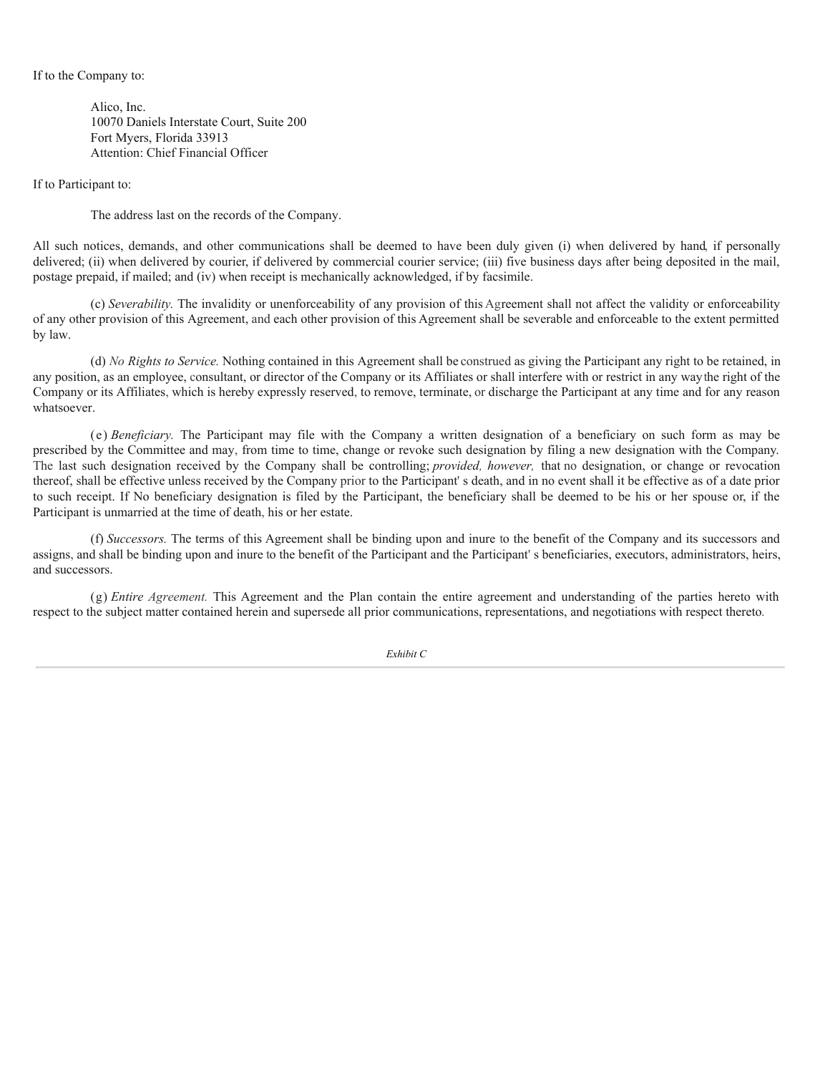### If to the Company to:

Alico, Inc. 10070 Daniels Interstate Court, Suite 200 Fort Myers, Florida 33913 Attention: Chief Financial Officer

If to Participant to:

The address last on the records of the Company.

All such notices, demands, and other communications shall be deemed to have been duly given (i) when delivered by hand, if personally delivered; (ii) when delivered by courier, if delivered by commercial courier service; (iii) five business days after being deposited in the mail, postage prepaid, if mailed; and (iv) when receipt is mechanically acknowledged, if by facsimile.

(c) *Severability.* The invalidity or unenforceability of any provision of this Agreement shall not affect the validity or enforceability of any other provision of this Agreement, and each other provision of this Agreement shall be severable and enforceable to the extent permitted by law.

(d) *No Rights to Service.* Nothing contained in this Agreement shall be construed as giving the Participant any right to be retained, in any position, as an employee, consultant, or director of the Company or its Affiliates or shall interfere with or restrict in any waythe right of the Company or its Affiliates, which is hereby expressly reserved, to remove, terminate, or discharge the Participant at any time and for any reason whatsoever.

(e) *Beneficiary.* The Participant may file with the Company a written designation of a beneficiary on such form as may be prescribed by the Committee and may, from time to time, change or revoke such designation by filing a new designation with the Company. The last such designation received by the Company shall be controlling; *provided, however,* that no designation, or change or revocation thereof, shall be effective unless received by the Company prior to the Participant' s death, and in no event shall it be effective as of a date prior to such receipt. If No beneficiary designation is filed by the Participant, the beneficiary shall be deemed to be his or her spouse or, if the Participant is unmarried at the time of death, his or her estate.

(f) *Successors.* The terms of this Agreement shall be binding upon and inure to the benefit of the Company and its successors and assigns, and shall be binding upon and inure to the benefit of the Participant and the Participant' s beneficiaries, executors, administrators, heirs, and successors.

(g) *Entire Agreement.* This Agreement and the Plan contain the entire agreement and understanding of the parties hereto with respect to the subject matter contained herein and supersede all prior communications, representations, and negotiations with respect thereto.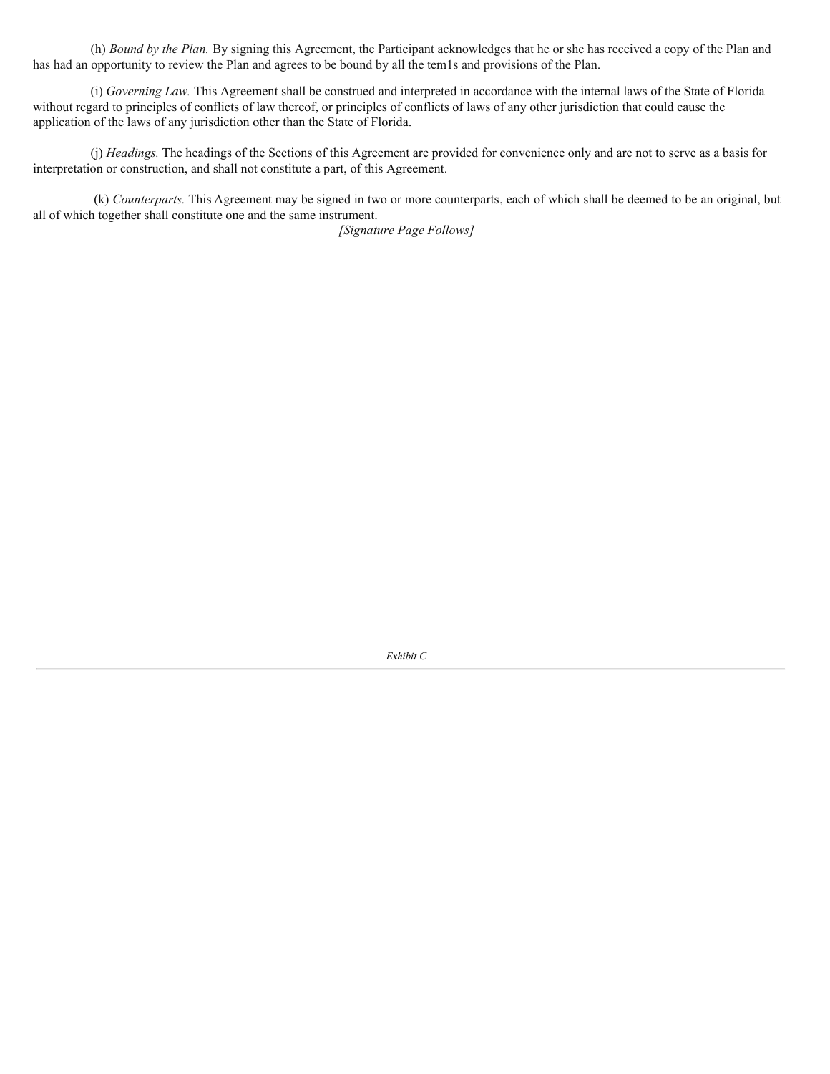(h) *Bound by the Plan.* By signing this Agreement, the Participant acknowledges that he or she has received a copy of the Plan and has had an opportunity to review the Plan and agrees to be bound by all the tem1s and provisions of the Plan.

(i) *Governing Law.* This Agreement shall be construed and interpreted in accordance with the internal laws of the State of Florida without regard to principles of conflicts of law thereof, or principles of conflicts of laws of any other jurisdiction that could cause the application of the laws of any jurisdiction other than the State of Florida.

(j) *Headings.* The headings of the Sections of this Agreement are provided for convenience only and are not to serve as a basis for interpretation or construction, and shall not constitute a part, of this Agreement.

(k) *Counterparts.* This Agreement may be signed in two or more counterparts, each of which shall be deemed to be an original, but all of which together shall constitute one and the same instrument.

*[Signature Page Follows]*